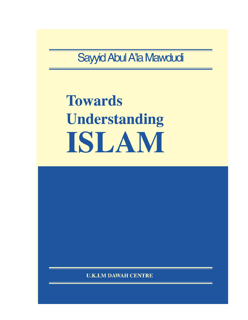# Sayyid Abul A'la Mawdudi

**Towards Understanding** ISLAM

**U.K.I.M DAWAH CENTRE**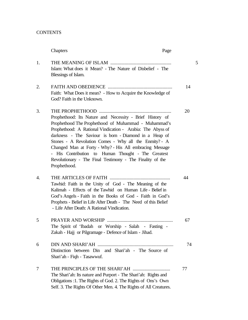|                  | Chapters<br>Page                                                                                                                                                                                                                                                                                                                                                                                                                                                                               |    |
|------------------|------------------------------------------------------------------------------------------------------------------------------------------------------------------------------------------------------------------------------------------------------------------------------------------------------------------------------------------------------------------------------------------------------------------------------------------------------------------------------------------------|----|
| 1.               | Islam: What does it Mean? - The Nature of Disbelief - The<br>Blessings of Islam.                                                                                                                                                                                                                                                                                                                                                                                                               | 5  |
| 2.               | Faith: What Does it mean? - How to Acquire the Knowledge of<br>God? Faith in the Unknown.                                                                                                                                                                                                                                                                                                                                                                                                      | 14 |
| 3.               | Prophethood: Its Nature and Necessity - Brief History of<br>Prophethood The Prophethood of Muhammad - Muhammad's<br>Prophethood: A Rational Vindication - Arabia: The Abyss of<br>darkness - The Saviour is born - Diamond in a Heap of<br>Stones - A Revolution Comes - Why all the Enmity? - A<br>Changed Man at Forty - Why? - His All embracing Message<br>- His Contribution to Human Thought - The Greatest<br>Revolutionary - The Final Testimony - The Finality of the<br>Prophethood. | 20 |
| $\overline{4}$ . | Tawhid: Faith in the Unity of God - The Meaning of the<br>Kalimah - Effects of the Tawhid on Human Life - Belief in<br>God's Angels - Faith in the Books of God - Faith in God's<br>Prophets - Belief in Life After Death - The Need of this Belief<br>- Life After Death: A Rational Vindication.                                                                                                                                                                                             | 44 |
| 5                | The Spirit of 'Ibadah or Worship - Salah - Fasting -<br>Zakah - Hajj or Pilgramage - Defence of Islam - Jihad.                                                                                                                                                                                                                                                                                                                                                                                 | 67 |
| 6                | Distinction between Din and Shari'ah - The Source of<br>Shari'ah - Fiqh - Tasawwuf.                                                                                                                                                                                                                                                                                                                                                                                                            | 74 |
| 7                | The Shari'ah: Its nature and Purport - The Shari'ah: Rights and<br>Obligations :1. The Rights of God. 2. The Rights of Ons's Own<br>Self. 3. The Rights Of Other Men. 4. The Rights of All Creatures.                                                                                                                                                                                                                                                                                          | 77 |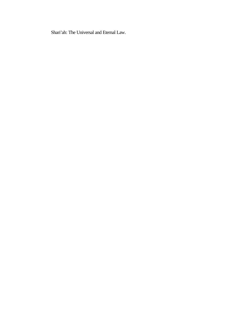Shari'ah: The Universal and Eternal Law.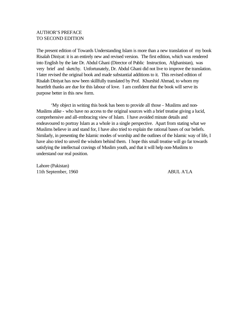# AUTHOR'S PREFACE TO SECOND EDITION

The present edition of Towards Understanding Islam is more than a new translation of my book Risalah Diniyat: it is an entirely new and revised version. The first edition, which was rendered into English by the late Dr. Abdul Ghani (Director of Public Instruction, Afghanistan), was very brief and sketchy. Unfortunately, Dr. Abdul Ghani did not live to improve the translation. I later revised the original book and made substantial additions to it. This revised edition of Risalah Diniyat has now been skillfully translated by Prof. Khurshid Ahmad, to whom my heartfelt thanks are due for this labour of love. I am confident that the book will serve its purpose better in this new form.

'My object in writing this book has been to provide all those - Muslims and non-Muslims alike - who have no access to the original sources with a brief treatise giving a lucid, comprehensive and all-embracing view of Islam. I have avoided minute details and endeavoured to portray Islam as a whole in a single perspective. Apart from stating what we Muslims believe in and stand for, I have also tried to explain the rational bases of our beliefs. Similarly, in presenting the Islamic modes of worship and the outlines of the Islamic way of life, I have also tried to unveil the wisdom behind them. I hope this small treatise will go far towards satisfying the intellectual cravings of Muslim youth, and that it will help non-Muslims to understand our real position.

Lahore (Pakistan) 11th September, 1960 ABUL A'LA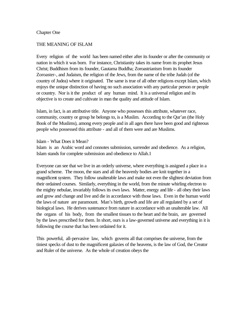## Chapter One

## THE MEANING OF ISLAM

Every religion of the world has been named either after its founder or after the community or nation in which it was born. For instance, Christianity takes its name from its prophet Jesus Christ; Buddhism from its founder, Gautama Buddha; Zoroastrianism from its founder Zoroaster-, and Judaism, the religion of the Jews, from the name of the tribe Judah (of the country of Judea) where it originated. The same is true of all other religions except Islam, which enjoys the unique distinction of having no such association with any particular person or people or country. Nor is it the product of any human mind. It is a universal religion and its objective is to create and cultivate in man the quality and attitude of Islam.

Islam, in fact, is an attributive title. Anyone who possesses this attribute, whatever race, community, country or group he belongs to, is a Muslim. According to the Qur'an (the Holy Book of the Muslims), among every people and in all ages there have been good and righteous people who possessed this attribute - and all of them were and are Muslims.

Islam - What Does it Mean?

Islam is an Arabic word and connotes submission, surrender and obedience. As a religion, Islam stands for complete submission and obedience to Allah.1

Everyone can see that we live in an orderly universe, where everything is assigned a place in a grand scheme. The moon, the stars and all the heavenly bodies are knit together in a magnificent system. They follow unalterable laws and make not even the slightest deviation from their ordained courses. Similarly, everything in the world, from the minute whirling electron to the mighty nebulae, invariably follows its own laws. Matter, energy and life - all obey their laws and grow and change and live and die in accordance with those laws. Even in the human world the laws of nature are paramount. Man's birth, growth and life are all regulated by a set of biological laws. He derives sustenance from nature in accordance with an unalterable law. All the organs of his body, from the smallest tissues to the heart and the brain, are governed by the laws prescribed for them. In short, ours is a law-governed universe and everything in it is following the course that has been ordained for it.

This powerful, all-pervasive law, which governs all that comprises the universe, from the tiniest specks of dust to the magnificent galaxies of the heavens, is the law of God, the Creator and Ruler of the universe. As the whole of creation obeys the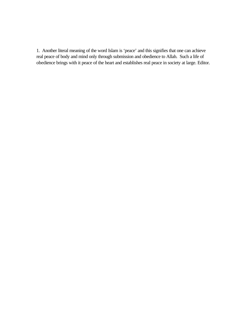1. Another literal meaning of the word Islam is 'peace' and this signifies that one can achieve real peace of body and mind only through submission and obedience to Allah. Such a life of obedience brings with it peace of the heart and establishes real peace in society at large. Editor.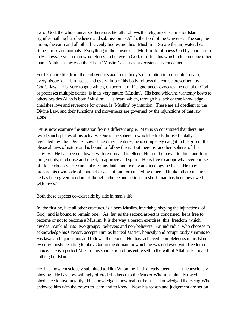aw of God, the whole universe, therefore, literally follows the religion of Islam - for Islam signifies nothing but obedience and submission to Allah, the Lord of the Universe. The sun, the moon, the earth and all other heavenly bodies are thus 'Muslim'. So are the air, water, heat, stones, trees and animals. Everything in the universe is 'Muslim' for it obeys God by submission to His laws. Even a man who refuses to believe in God, or offers his worship to someone other than ' Allah, has necessarily to be a 'Muslim' as far as his existence is concerned.

For his entire life, from the embryonic stage to the body's dissolution into dust after death, every tissue of his muscles and every limb of his body follows the course prescribed by God's law. His very tongue which, on account of his ignorance advocates the denial of God or professes multiple deities, is in its very nature 'Muslim'. His head which he wantonly bows to others besides Allah is born 'Muslim'. His heart, which, through his lack of true knowledge, cherishes love and reverence for others, is 'Muslim' by intuition. These are all obedient to the Divine Law, and their functions and movements are governed by the injunctions of that law alone.

Let us now examine the situation from a different angle. Man is so constituted that there are two distinct spheres of his activity. One is the sphere in which he finds himself totally regulated by the Divine Law. Like other creatures, he is completely caught in the grip of the physical laws of nature and is bound to follow them. But there is another sphere of his activity. He has been endowed with reason and intellect. He has the power to think and form judgements, to choose and reject, to approve and spurn. He is free to adopt whatever course of life he chooses. He can embrace any faith, and live by any ideology he likes. He may prepare his own code of conduct or accept one formulated by others. Unlike other creatures, he has been given freedom of thought, choice and action. In short, man has been bestowed with free will.

Both these aspects co-exist side by side in man's life.

In the first he, like all other creatures, is a born Muslim, invariably obeying the injunctions of God, and is bound to remain one. As far as the second aspect is concerned, he is free to become or not to become a Muslim. It is the way a person exercises this freedom which divides mankind into two groups: believers and non-believers. An individual who chooses to acknowledge his Creator, accepts Him as his real Master, honestly and scrupulously submits to His laws and injunctions and follows the code. He has achieved completeness in his Islam by consciously deciding to obey God in the domain in which he was endowed with freedom of choice. He is a perfect Muslim: his submission of his entire self to the will of Allah is Islam and nothing but Islam.

He has now consciously submitted to Him Whom he had already been unconsciously obeying. He has now willingly offered obedience to the Master Whom he already owed obedience to involuntarily. His knowledge is now real for he has acknowledged the Being Who endowed him with the power to learn and to know. Now his reason and judgement are set on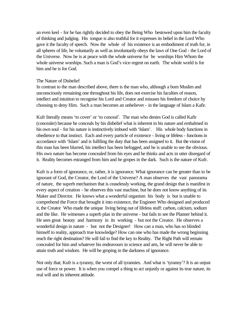an even keel - for he has rightly decided to obey the Being Who bestowed upon him the faculty of thinking and judging. His tongue is also truthful for it expresses its belief in the Lord Who gave it the faculty of speech. Now the whole of his existence is an embodiment of truth for, in all spheres of life, he voluntarily as well as involuntarily obeys the laws of One God - the Lord of the Universe. Now he is at peace with the whole universe for he worships Him Whom the whole universe worships. Such a man is God's vice-regent on earth. The whole world is for him and he is for God.

#### The Nature of Disbelief

In contrast to the man described above, there is the man who, although a born Muslim and unconsciously remaining one throughout his life, does not exercise his faculties of reason, intellect and intuition to recognise his Lord and Creator and misuses his freedom of choice by choosing to deny Him. Such a man becomes an unbeliever - in the language of Islam a Kafir.

Kufr literally means 'to cover' or 'to conceal'. The man who denies God is called Kafir (concealer) because he conceals by his disbelief what is inherent in his nature and embalmed in his own soul - for his nature is instinctively imbued with 'Islam'. His whole body functions in obedience to that instinct. Each and every particle of existence - living or lifeless - functions in accordance with 'Islam' and is fulfiling the duty that has been assigned to it. But the vision of this man has been blurred, his intellect has been befogged, and he is unable to see the obvious. His own nature has become concealed from his eyes and he thinks and acts in utter disregard of it. Reality becomes estranged from him and he gropes in the dark. Such is the nature of Kufr.

Kufr is a form of ignorance, or, rather, it is ignorance. What ignorance can be greater than to be ignorant of God, the Creator, the Lord of the Universe? A man observes the vast panorama of nature, the superb mechanism that is ceaselessly working, the grand design that is manifest in every aspect of creation - he observes this vast machine, but he does not know anything of its Maker and Director. He knows what a wonderful organism his body is but is unable to comprehend the Force that brought it into existence, the Engineer Who designed and produced it, the Creator Who made the unique living being out of lifeless stuff: carbon, calcium, sodium and the like. He witnesses a superb plan in the universe - but fails to see the Planner behind it. He sees great beauty and harmony in its working - but not the Creator. He observes a wonderful design in nature - but not the Designer! How can a man, who has so blinded himself to reality, approach true knowledge? How can one who has made the wrong beginning reach the right destination? He will fail to find the key to Reality. The Right Path will remain concealed for him and whatever his endeavours in science and arts, he will never be able to attain truth and wisdom. He will be groping in the darkness of ignorance.

Not only that; Kufr is a tyranny, the worst of all tyrannies. And what is 'tyranny'? It is an unjust use of force or power. It is when you compel a thing to act unjustly or against its true nature, its real will and its inherent attitude.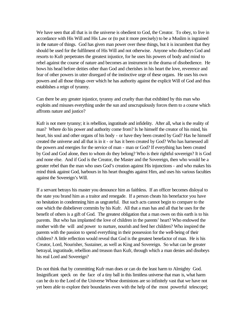We have seen that all that is in the universe is obedient to God, the Creator. To obey, to live in accordance with His Will and His Law or (to put it more precisely) to be a Muslim is ingrained in the nature of things. God has given man power over these things, but it is incumbent that they should be used for the fulfilment of His Will and not otherwise. Anyone who disobeys God and resorts to Kufr perpetrates the greatest injustice, for he uses his powers of body and mind to rebel against the course of nature and becomes an instrument in the drama of disobedience. He bows his head before deities other than God and cherishes in his heart the love, reverence and fear of other powers in utter disregard of the instinctive urge of these organs. He uses his own powers and all those things over which he has authority against the explicit Will of God and thus establishes a reign of tyranny.

Can there be any greater injustice, tyranny and cruelty than that exhibited by this man who exploits and misuses everything under the sun and unscrupulously forces them to a course which affronts nature and justice?

Kufr is not mere tyranny; it is rebellion, ingratitude and infidelity. After all, what is the reality of man? Where do his power and authority come from? Is he himself the creator of his mind, his heart, his soul and other organs of his body - or have they been created by God? Has he himself created the universe and all that is in it - or has it been created by God? Who has harnessed all the powers and energies for the service of man - man or God? If everything has been created by God and God alone, then to whom do they belong? Who is their rightful sovereign? It is God and none else. And if God is the Creator, the Master and the Sovereign, then who would be a greater rebel than the man who uses God's creation against His injunctions - and who makes his mind think against God, harbours in his heart thoughts against Him, and uses his various faculties against the Sovereign's Will.

If a servant betrays his master you denounce him as faithless. If an officer becomes disloyal to the state you brand him as a traitor and renegade. If a person cheats his benefactor you have no hesitation in condemning him as ungrateful. But such acts cannot begin to compare to the one which the disbeliever commits by his Kufr. All that a man has and all that he uses for the benefit of others is a gift of God. The greatest obligation that a man owes on this earth is to his parents. But who has implanted the love of children in the parents' heart? Who endowed the mother with the will and power to nurture, nourish and feed her children? Who inspired the parents with the passion to spend everything in their possession for the well-being of their children? A little reflection would reveal that God is the greatest benefactor of man. He is his Creator, Lord, Nourisher, Sustainer, as well as King and Sovereign. So what can be greater betrayal, ingratitude, rebellion and treason than Kufr, through which a man denies and disobeys his real Lord and Sovereign?

Do not think that by committing Kufr man does or can do the least harm to Almighty God. Insignificant speck on the face of a tiny ball in this limitless universe that man is, what harm can he do to the Lord of the Universe Whose dominions are so infinitely vast that we have not yet been able to explore their boundaries even with the help of the most powerful telescope|;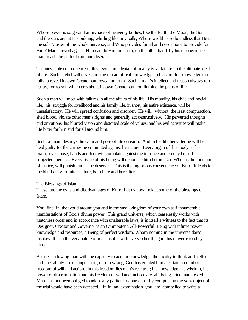Whose power is so great that myriads of heavenly bodies, like the Earth, the Moon, the Sun and the stars are, at His bidding, whirling like tiny balls; Whose wealth is so boundless that He is the sole Master of the whole universe; and Who provides for all and needs none to provide for Him? Man's revolt against Him can do Him no harm; on the other hand, by his disobedience, man treads the path of ruin and disgrace.

The inevitable consequence of this revolt and denial of reality is a failure in the ultimate ideals of life. Such a rebel will never find the thread of real knowledge and vision; for knowledge that fails to reveal its own Creator can reveal no truth. Such a man's intellect and reason always run astray, for reason which errs about its own Creator cannot illumine the paths of life.

Such a man will meet with failures in all the affairs of his life. His morality, his civic and social life, his struggle for livelihood and his family life, in short, his entire existence, will be unsatisfactory. He will spread confusion and disorder. He will, without the least compunction, shed blood, violate other men's rights and generally act destructively. His perverted thoughts and ambitions, his blurred vision and distorted scale of values, and his evil activities will make life bitter for him and for all around him.

Such a man destroys the calm and pose of life on earth. And in the life hereafter he will be held guilty for the crimes he committed against his nature. Every organ of his body - his brain, eyes, nose, hands and feet will complain against the injustice and cruelty he had subjected them to. Every tissue of his being will denounce him before God Who, as the fountain of justice, will punish him as he deserves. This is the inglorious consequence of Kufr. It leads to the blind alleys of utter failure, both here and hereafter.

# The Blessings of Islam

These are the evils and disadvantages of Kufr. Let us now look at some of the blessings of Islam.

You find in the world around you and in the small kingdom of your own self innumerable manifestations of God's divine power. This grand universe, which ceaselessly works with matchless order and in accordance with unalterable laws, is in itself a witness to the fact that its Designer, Creator and Governor is an Omnipotent, All-Powerful Being with infinite power, knowledge and resources, a Being of perfect wisdom, Whom nothing in the universe dares disobey. It is in the very nature of man, as it is with every other thing in this universe to obey Him.

Besides endowing man with the capacity to acquire knowledge, the faculty to think and reflect, and the ability to distinguish right from wrong, God has granted him a certain amount of freedom of will and action. In this freedom lies man's real trial; his knowledge, his wisdom, his power of discrimination and his freedom of will and action are all being tried and tested. Man has not been obliged to adopt any particular course, for by compulsion the very object of the trial would have been defeated. If in an examination you are compelled to write a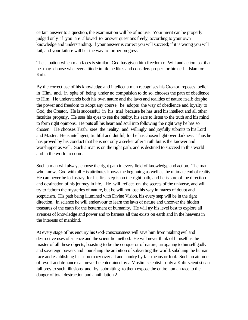certain answer to a question, the examination will be of no use. Your merit can be properly judged only if you are allowed to answer questions freely, according to your own knowledge and understanding. If your answer is correct you will succeed; if it is wrong you will fail, and your failure will bar the way to further progress.

The situation which man faces is similar. God has given him freedom of Will and action so that he may choose whatever attitude in life he likes and considers proper for himself - Islam or Kufr.

By the correct use of his knowledge and intellect a man recognises his Creator, reposes belief in Him, and, in spite of being under no compulsion to do so, chooses the path of obedience to Him. He understands both his own nature and the laws and realities of nature itself; despite the power and freedom to adopt any course, he adopts the way of obedience and loyalty to God, the Creator. He is successful in his trial because he has used his intellect and all other faculties properly. He uses his eyes to see the reality, his ears to listen to the truth and his mind to form right opinions. He puts all his heart and soul into following the right way he has so chosen. He chooses Truth, sees the reality, and willingly and joyfully submits to his Lord and Master. He is intelligent, truthful and dutiful, for he has chosen light over darkness. Thus he has proved by his conduct that he is not only a seeker after Truth but is the knower and worshipper as well. Such a man is on the right path, and is destined to succeed in this world and in the world to come.

Such a man will always choose the right path in every field of knowledge and action. The man who knows God with all His attributes knows the beginning as well as the ultimate end of reality. He can never be led astray, for his first step is on the right path, and he is sure of the direction and destination of his journey in life. He will reflect on the secrets of the universe, and will try to fathom the mysteries of nature, but he will not lose his way in mazes of doubt and scepticism. His path being illumined with Divine Vision, his every step will be in the right direction. In science he will endeavour to learn the laws of nature and uncover the hidden treasures of the earth for the betterment of humanity. He will try his level best to explore all avenues of knowledge and power and to harness all that exists on earth and in the heavens in the interests of mankind.

At every stage of his enquiry his God-consciousness will save him from making evil and destructive uses of science and the scientific method. He will never think of himself as the master of all these objects, boasting to be the conqueror of nature, arrogating to himself godly and sovereign powers and nourishing the ambition of subverting the world, subduing the human race and establishing his supremacy over all and sundry by fair means or foul. Such an attitude of revolt and defiance can never be entertained by a Muslim scientist - only a Kafir scientist can fall prey to such illusions and by submitting to them expose the entire human race to the danger of total destruction and annihilation.2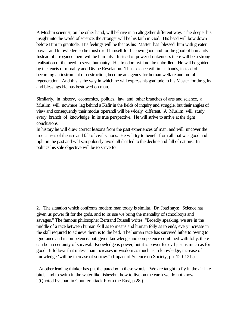A Muslim scientist, on the other hand, will behave in an altogether different way. The deeper his insight into the world of science, the stronger will be his faith in God. His head will bow down before Him in gratitude. His feelings will be that as his Master has blessed him with greater power and knowledge so he must exert himself for his own good and for the good of humanity. Instead of arrogance there will be humility. Instead of power drunkenness there will be a strong realisation of the need to serve humanity. His freedom will not be unbridled. He will be guided by the tenets of morality and Divine Revelation. Thus science will in his hands, instead of becoming an instrument of destruction, become an agency for human welfare and moral regeneration. And this is the way in which he will express his gratitude to his Master for the gifts and blessings He has bestowed on man.

Similarly, in history, economics, politics, law and other branches of arts and science, a Muslim will nowhere lag behind a Kafir in the fields of inquiry and struggle, but their angles of view and consequently their modus operandi will be widely different. A Muslim will study every branch of knowledge in its true perspective. He will strive to arrive at the right conclusions.

In history he will draw correct lessons from the past experiences of man, and will uncover the true causes of the rise and fall of civilisations. He will try to benefit from all that was good and right in the past and will scrupulously avoid all that led to the decline and fall of nations. In politics his sole objective will be to strive for

2. The situation which confronts modern man today is similar. Dr. Joad says: "Science has given us power fit for the gods, and to its use we bring the mentality of schoolboys and savages." The famous philosopher Bertrand Russell writes: "Broadly speaking. we are in the middle of a race between human skill as to means and human folly as to ends, every increase in the skill required to achieve them is to the bad. The human race has survived hitherto owing to ignorance and incompetence: but. given knowledge and competence combined with folly. there can be no certainty of survival. Knowledge is power, but it is power for evil just as much as for good. It follows that unless man increases in wisdom as much as in knowledge, increase of knowledge 'will be increase of sorrow." (Impact of Science on Society, pp. 120-121.)

 Another leading thinker has put the paradox in these words: "We are taught to fly in the air like birds, and to swim in the water like fishes:but how to live on the earth we do not know "(Quoted bv Joad in Counter attack From the East, p.28.)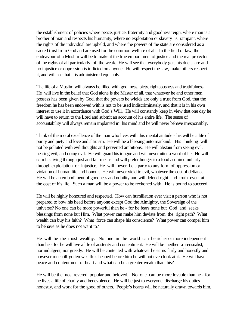the establishment of policies where peace, justice, fraternity and goodness reign, where man is a brother of man and respects his humanity, where no exploitation or slavery is rampant, where the rights of the individual are upheld, and where the powers of the state are considered as a sacred trust from God and are used for the common welfare of all. In the field of law, the endeavour of a Muslim will be to make it the true embodiment of justice and the real protector of the rights of all particularly of the weak. He will see that everybody gets his due share and no injustice or oppression is inflicted on anyone. He will respect the law, make others respect it, and will see that it is administered equitably.

The life of a Muslim will always be filled with godliness, piety, righteousness and truthfulness. He will live in the belief that God alone is the Master of all, that whatever he and other men possess has been given by God, that the powers he wields are only a trust from God, that the freedom he has been endowed with is not to be used indiscriminately, and that it is in his own interest to use it in accordance with God's Will. He will constantly keep in view that one day he will have to return to the Lord and submit an account of his entire life. The sense of accountability will always remain implanted in' his mind and he will never behave irresponsibly.

Think of the moral excellence of the man who lives with this mental attitude - his will be a life of purity and piety and love and altruism. He will be a blessing unto mankind. His thinking will not be polluted with evil thoughts and perverted ambitions. He will abstain from seeing evil, hearing evil, and doing evil. He will guard his tongue and will never utter a word of lie. He will earn his living through just and fair means and will prefer hunger to a food acquired unfairly through exploitation or injustice. He will never be a party to any form of oppression or violation of human life and honour. He will never yield to evil, whatever the cost of defiance. He will be an embodiment of goodness and nobility and will defend right and truth even at the cost of his life. Such a man will be a power to be reckoned with. He is bound to succeed.

He will be highly honoured and respected. How can humiliation ever visit a person who is not prepared to bow his head before anyone except God the Almighty, the Sovereign of the universe? No one can be more powerful than he - for he fears none but God and seeks blessings from none but Him. What power can make him deviate from the right path? What wealth can buy his faith? What force can shape his conscience? What power can compel him to behave as he does not want to?

He will be the most wealthy. No one in the world can be richer or more independent than he - for he will live a life of austerity and contentment. He will be neither a sensualist, nor indulgent, nor greedy. He will be contented with whatever he earns fairly and honestly and however much ill-gotten wealth is heaped before him he will not even look at it. He will have peace and contentment of heart and what can be a greater wealth than this?

He will be the most revered, popular and beloved. No one can be more lovable than he - for he lives a life of charity and benevolence. He will be just to everyone, discharge his duties honestly, and work for the good of others. People's hearts will be naturally drawn towards him.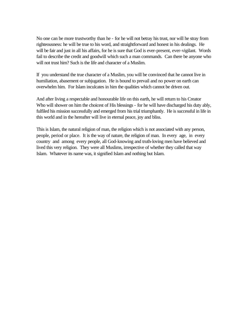No one can be more trustworthy than he - for he will not betray his trust, nor will he stray from righteousness: he will be true to his word, and straightforward and honest in his dealings. He will be fair and just in all his affairs, for he is sure that God is ever-present, ever-vigilant. Words fail to describe the credit and goodwill which such a man commands. Can there be anyone who will not trust him? Such is the life and character of a Muslim.

If you understand the true character of a Muslim, you will be convinced that he cannot live in humiliation, abasement or subjugation. He is bound to prevail and no power on earth can overwhelm him. For Islam inculcates in him the qualities which cannot be driven out.

And after living a respectable and honourable life on this earth, he will return to his Creator Who will shower on him the choicest of His blessings - for he will have discharged his duty ably, fulfiled his mission successfully and emerged from his trial triumphantly. He is successful in life in this world and in the hereafter will live in eternal peace, joy and bliss.

This is Islam, the natural religion of man, the religion which is not associated with any person, people, period or place. It is the way of nature, the religion of man. In every age, in every country and among every people, all God-knowing and truth-loving men have believed and lived this very religion. They were all Muslims, irrespective of whether they called that way Islam. Whatever its name was, it signified Islam and nothing but Islam.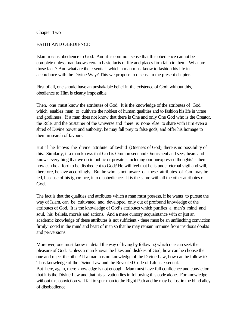## Chapter Two

# FAITH AND OBEDIENCE

Islam means obedience to God. And it is common sense that this obedience cannot be complete unless man knows certain basic facts of life and places firm faith in them. What are those facts? And what are the essentials which a man must know to fashion his life in accordance with the Divine Way? This we propose to discuss in the present chapter.

First of all, one should have an unshakable belief in the existence of God; without this, obedience to Him is clearly impossible.

Then, one must know the attributes of God. It is the knowledge of the attributes of God which enables man to cultivate the noblest of human qualities and to fashion his life in virtue and godliness. If a man does not know that there is One and only One God who is the Creator, the Ruler and the Sustainer of the Universe and there is none else to share with Him even a shred of Divine power and authority, he may fall prey to false gods, and offer his homage to them in search of favours.

But if he knows the divine attribute of tawhid (Oneness of God), there is no possibility of this. Similarly, if a man knows that God is Omnipresent and Omniscient and sees, hears and knows everything that we do in public or private - including our unexpressed thoughts! - then how can he afford to be disobedient to God? He will feel that he is under eternal vigil and will, therefore, behave accordingly. But he who is not aware of these attributes of God may be led, because of his ignorance, into disobedience. It is the same with all the other attributes of God.

The fact is that the qualities and attributes which a man must possess, if he wants to pursue the way of Islam, can be cultivated and developed only out of profound knowledge of the attributes of God. It is the knowledge of God's attributes which purifies a man's mind and soul, his beliefs, morals and actions. And a mere cursory acquaintance with or just an academic knowledge of these attributes is not sufficient - there must be an unflinching conviction firmly rooted in the mind and heart of man so that he may remain immune from insidious doubts and perversions.

Moreover, one must know in detail the way of living by following which one can seek the pleasure of God. Unless a man knows the likes and dislikes of God, how can he choose the one and reject the other? If a man has no knowledge of the Divine Law, how can he follow it? Thus knowledge of the Divine Law and the Revealed Code of Life is essential. But here, again, mere knowledge is not enough. Man must have full confidence and conviction that it is the Divine Law and that his salvation lies in following this code alone. For knowledge without this conviction will fail to spur man to the Right Path and he may be lost in the blind alley of disobedience.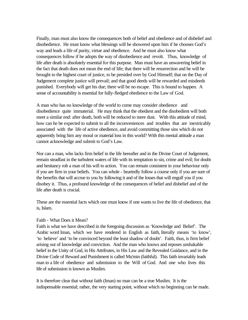Finally, man must also know the consequences both of belief and obedience and of disbelief and disobedience. He must know what blessings will be showered upon him if he chooses God's way and leads a life of purity, virtue and obedience. And he must also know what consequences follow if he adopts the way of disobedience and revolt. Thus, knowledge of life after death is absolutely essential for this purpose. Man must have an unwavering belief in the fact that death does not mean the end of life; that there will be resurrection and he will be brought to the highest court of justice, to be presided over by God Himself; that on the Day of Judgement complete justice will prevail; and that good deeds will be rewarded and misdeeds punished. Everybody will get his due; there will be no escape. This is bound to happen. A sense of accountability is essential for fully-fledged obedience to the Law of God.

A man who has no knowledge of the world to come may consider obedience and disobedience quite immaterial. He may think that the obedient and the disobedient will both meet a similar end: after death, both will be reduced to mere dust. With this attitude of mind, how can he be expected to submit to all the inconveniences and troubles that are inextricably associated with the life of active obedience, and avoid committing those sins which do not apparently bring him any moral or material loss in this world? With this mental attitude a man cannot acknowledge and submit to God's Law.

Nor can a man, who lacks firm belief in the life hereafter and in the Divine Court of Judgement, remain steadfast in the turbulent waters of life with its temptation to sin, crime and evil; for doubt and hesitancy rob a man of his will to action. You can remain consistent in your behaviour only if you are firm in your beliefs. You can whole - heartedly follow a course only if you are sure of the benefits that will accrue to you by following it and of the losses that will engulf you if you disobey it. Thus, a profound knowledge of the consequences of belief and disbelief and of the life after death is crucial.

These are the essential facts which one must know if one wants to live the life of obedience, that is, Islam.

#### Faith - What Does it Mean?

Faith is what we have described in the foregoing discussion as 'Knowledge and Belief'. The Arabic word Iman, which we have rendered in English as faith, literally means 'to know', 'to believe' and 'to be convinced beyond the least shadow of doubt'. Faith, thus, is firm belief arising out of knowledge and conviction. And the man who knows and reposes unshakable belief in the Unity of God, in His Attributes, in His Law and the Revealed Guidance, and in the Divine Code of Reward and Punishment is called Mu'min (faithful). This faith invariably leads man to a life of obedience and submission to the Will of God. And one who lives this life of submission is known as Muslim.

It is therefore clear that without faith (Iman) no man can be a true Muslim. It is the indispensable essential; rather, the very starting point, without which no beginning can be made.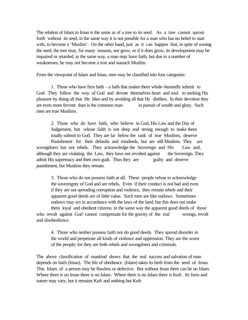The relation of Islam to Iman is the same as of a tree to its seed. As a tree cannot sprout forth without its seed, in the same way it is not possible for a man who has no belief to start with, to become a 'Muslim'. On the other hand, just as it can happen that, in spite of sowing the seed, the tree may, for many reasons, not grow, or if it does grow, its development may be impaired or retarded, in the same way, a man may have faith, but due to a number of weaknesses, he may not become a true and staunch Muslim.

From the viewpoint of Islam and Iman, men may be classified into four categories:

1. Those who have firm faith - a faith that makes them whole-heartedly submit to God. They follow the way of God and devote themselves heart and soul to seeking His pleasure by doing all that He likes and by avoiding all that He dislikes. In their devotion they are even more fervent than is the common man in pursuit of wealth and glory. Such men are true Muslims.

2. Those who do have faith, who believe in God, His Law and the Day of Judgement, but whose faith is not deep and strong enough to make them totally submit to God. They are far below the rank of true Muslims, deserve Punishment for their defaults and misdeeds, but are still Muslims. They are wrongdoers but not rebels. They acknowledge the Sovereign and His Law and, although they are violating the Law, they have not revolted against the Sovereign. They admit His supremacy and their own guilt. Thus they are guilty and deserve punishment, but Muslims they remain.

3. Those who do not possess faith at all. These people refuse to acknowledge the sovereignty of God and are rebels. Even if their conduct is not bad and even if they are not spreading corruption and violence, they remain rebels and their apparent good deeds are of little value. Such men are like outlaws. Sometimes outlaws may act in accordance with the laws of the land, but this does not make them loyal and obedient citizens; in the same way the apparent good deeds of those who revolt against God cannot compensate for the gravity of the real wrongs, revolt and disobedience.

4. Those who neither possess faith nor do good deeds. They spread disorder in the world and perpetrate all kinds of violence and oppression. They are the worst of the people; for they are both rebels and wrongdoers and criminals.

The above classification of mankind shows that the real success and salvation of man depends on faith (Iman). The life of obedience (Islam) takes its birth from the seed of Iman. This Islam of a person may be flawless or defective. But without Iman there can be no Islam. Where there is no Iman there is no Islam. Where there is no Islam there is Kufr. Its form and nature may vary, but it remains Kufr and nothing but Kufr.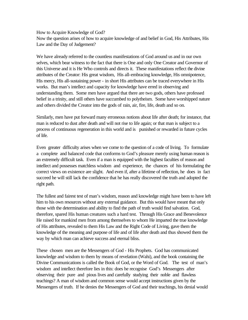How to Acquire Knowledge of God? Now the question arises of how to acquire knowledge of and belief in God, His Attributes, His Law and the Day of Judgement?

We have already referred to the countless manifestations of God around us and in our own selves, which bear witness to the fact that there is One and only One Creator and Governor of this Universe and it is He Who controls and directs it. These manifestations reflect the divine attributes of the Creator: His great wisdom, His all-embracing knowledge, His omnipotence, His mercy, His all-sustaining power - in short His attributes can be traced everywhere in His works. But man's intellect and capacity for knowledge have erred in observing and understanding them. Some men have argued that there are two gods, others have professed belief in a trinity, and still others have succumbed to polytheism. Some have worshipped nature and others divided the Creator into the gods of rain, air, fire, life, death and so on.

Similarly, men have put forward many erroneous notions about life after death; for instance, that man is reduced to dust after death and will not rise to life again; or that man is subject to a process of continuous regeneration in this world and is punished or rewarded in future cycles of life.

Even greater difficulty arises when we come to the question of a code of living. To formulate a complete and balanced code that conforms to God's pleasure merely using human reason is an extremely difficult task. Even if a man is equipped with the highest faculties of reason and intellect and possesses matchless wisdom and experience, the chances of his formulating the correct views on existence are slight. And even if, after a lifetime of reflection, he does in fact succeed he will still lack the confidence that he has really discovered the truth and adopted the right path.

The fullest and fairest test of man's wisdom, reason and knowledge might have been to have left him to his own resources without any external guidance. But this would have meant that only those with the determination and ability to find the path of truth would find salvation. God, therefore, spared His human creatures such a hard test. Through His Grace and Benevolence He raised for mankind men from among themselves to whom He imparted the true knowledge of His attributes, revealed to them His Law and the Right Code of Living, gave them the knowledge of the meaning and purpose of life and of life after death and thus showed them the way by which man can achieve success and eternal bliss.

These chosen men are the Messengers of God - His Prophets. God has communicated knowledge and wisdom to them by means of revelation (Wahi), and the book containing the Divine Communications is called the Book of God, or the Word of God. The test of man's wisdom and intellect therefore lies in this: does he recognise God's Messengers after observing their pure and pious lives and carefully studying their noble and flawless teachings? A man of wisdom and common sense would accept instructions given by the Messengers of truth. If he denies the Messengers of God and their teachings, his denial would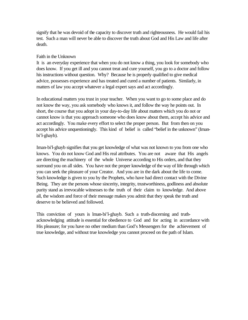signify that he was devoid of the capacity to discover truth and righteousness. He would fail his test. Such a man will never be able to discover the truth about God and His Law and life after death.

# Faith in the Unknown

It is an everyday experience that when you do not know a thing, you look for somebody who does know. If you get ill and you cannot treat and cure yourself, you go to a doctor and follow his instructions without question. Why? Because he is properly qualified to give medical advice, possesses experience and has treated and cured a number of patients. Similarly, in matters of law you accept whatever a legal expert says and act accordingly.

In educational matters you trust in your teacher. When you want to go to some place and do not know the way, you ask somebody who knows it, and follow the way he points out. In short, the course that you adopt in your day-to-day life about matters which you do not or cannot know is that you approach someone who does know about them, accept his advice and act accordingly. You make every effort to select the proper person. But from then on you accept his advice unquestioningly. This kind of belief is called "belief in the unknown" (Imanbi'l-ghayb).

Iman-bi'l-ghayb signifies that you get knowledge of what was not known to you from one who knows. You do not know God and His real attributes. You are not aware that His angels are directing the machinery of the whole Universe according to His orders, and that they surround you on all sides. You have not the proper knowledge of the way of life through which you can seek the pleasure of your Creator. And you are in the dark about the life to come. Such knowledge is given to you by the Prophets, who have had direct contact with the Divine Being. They are the persons whose sincerity, integrity, trustworthiness, godliness and absolute purity stand as irrevocable witnesses to the truth of their claim to knowledge. And above all, the wisdom and force of their message makes you admit that they speak the truth and deserve to be believed and followed.

This conviction of yours is lman-bi'l-ghayb. Such a truth-discerning and truthacknowledging attitude is essential for obedience to God and for acting in accordance with His pleasure; for you have no other medium than God's Messengers for the achievement of true knowledge, and without true knowledge you cannot proceed on the path of Islam.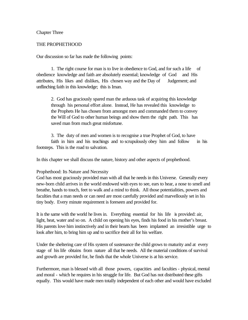# Chapter Three

## THE PROPHETHOOD

Our discussion so far has made the following points:

1. The right course for man is to live in obedience to God, and for such a life of obedience knowledge and faith are absolutely essential; knowledge of God and His attributes, His likes and dislikes, His chosen way and the Day of Judgement; and unflinching faith in this knowledge; this is Iman.

2. God has graciously spared man the arduous task of acquiring this knowledge through his personal effort alone. Instead, He has revealed this knowledge to the Prophets He has chosen from amongst men and commanded them to convey the Will of God to other human beings and show them the right path. This has saved man from much great misfortune.

3. The duty of men and women is to recognise a true Prophet of God, to have faith in him and his teachings and to scrupulously obey him and follow in his footsteps. This is the road to salvation.

In this chapter we shall discuss the nature, history and other aspects of prophethood.

#### Prophethood: Its Nature and Necessity

God has most graciously provided man with all that he needs in this Universe. Generally every new-born child arrives in the world endowed with eyes to see, ears to hear, a nose to smell and breathe, hands to touch, feet to walk and a mind to think. All those potentialities, powers and faculties that a man needs or can need are most carefully provided and marvellously set in his tiny body. Every minute requirement is foreseen and provided for.

It is the same with the world he lives in. Everything essential for his life is provided: air, light, heat, water and so on. A child on opening his eyes, finds his food in his mother's breast. His parents love him instinctively and in their hearts has been implanted an irresistible urge to look after him, to bring him up and to sacrifice their all for his welfare.

Under the sheltering care of His system of sustenance the child grows to maturity and at every stage of his life obtains from nature all that he needs. All the material conditions of survival and growth are provided for, he finds that the whole Universe is at his service.

Furthermore, man is blessed with all those powers, capacities and faculties - physical, mental and moral - which he requires in his struggle for life. But God has not distributed these gifts equally. This would have made men totally independent of each other and would have excluded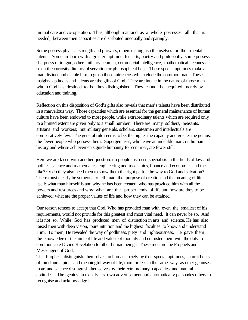mutual care and co-operation. Thus, although mankind as a whole possesses all that is needed, between men capacities are distributed unequally and sparingly.

Some possess physical strength and prowess, others distinguish themselves for their mental talents. Some are born with a greater aptitude for arts, poetry and philosophy, some possess sharpness of tongue, others military acumen, commercial intelligence, mathematical keenness, scientific curiosity, literary observation or philosophical bent. These special aptitudes make a man distinct and enable him to grasp those intricacies which elude the common man. These insights, aptitudes and talents are the gifts of God. They are innate in the nature of those men whom God has destined to be thus distinguished. They cannot be acquired merely by education and training.

Reflection on this disposition of God's gifts also reveals that man's talents have been distributed in a marvellous way. Those capacities which are essential for the general maintenance of human culture have been endowed to most people, while extraordinary talents which are required only to a limited extent are given only to a small number. There are many soldiers, peasants, artisans and workers; but military generals, scholars, statesmen and intellectuals are comparatively few. The general rule seems to be: the higher the capacity and greater the genius, the fewer people who possess them. Supergeniuses, who leave an indelible mark on human history and whose achievements guide humanity for centuries, are fewer still.

Here we are faced with another question: do people just need specialists in the fields of law and politics, science and mathematics, engineering and mechanics, finance and economics and the like? Or do they also need men to show them the right path - the way to God and salvation? There must clearly be someone to tell man the purpose of creation and the meaning of life itself: what man himself is and why he has been created; who has provided him with all the powers and resources and why; what are the proper ends of life and how are they to be achieved; what are the proper values of life and how they can be attained.

Our reason refuses to accept that God, Who has provided man with even the smallest of his requirements, would not provide for this greatest and most vital need. It can never be so. And it is not so. While God has produced men of distinction in arts and science, He has also raised men with deep vision, pure intuition and the highest faculties to know and understand Him. To them, He revealed the way of godliness, piety and righteousness. He gave them the knowledge of the aims of life and values of morality and entrusted them with the duty to communicate Divine Revelation to other human beings. These men are the Prophets and Messengers of God.

The Prophets distinguish themselves in human society by their special aptitudes, natural bents of mind and a pious and meaningful way of life, more or less in the same way as other geniuses in art and science distinguish themselves by their extraordinary capacities and natural aptitudes. The genius in man is its own advertisement and automatically persuades others to recognise and acknowledge it.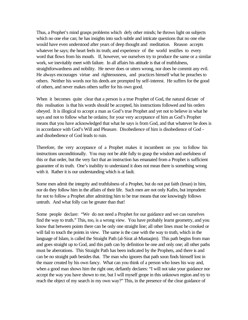Thus, a Prophet's mind grasps problems which defy other minds; he throws light on subjects which no one else can; he has insights into such subtle and intricate questions that no one else would have even understood after years of deep thought and meditation. Reason accepts whatever he says; the heart feels its truth; and experience of the world testifies to every word that flows from his mouth. If, however, we ourselves try to produce the same or a similar work, we inevitably meet with failure. In all affairs his attitude is that of truthfulness, straightforwardness and nobility. He never does or utters wrong, nor does he commit any evil. He always encourages virtue and righteousness, and practices himself what he preaches to others. Neither his words nor his deeds are prompted by self-interest. He suffers for the good of others, and never makes others suffer for his own good.

When it becomes quite clear that a person is a true Prophet of God, the natural dictate of this realisation is that his words should be accepted, his instructions followed and his orders obeyed. It is illogical to accept a man as God's true Prophet and yet not to believe in what he says and not to follow what he ordains; for your very acceptance of him as God's Prophet means that you have acknowledged that what he says is from God, and that whatever he does is in accordance with God's Will and Pleasure. Disobedience of him is disobedience of God and disobedience of God leads to ruin.

Therefore, the very acceptance of a Prophet makes it incumbent on you to follow his instructions unconditionally. You may not be able fully to grasp the wisdom and usefulness of this or that order, but the very fact that an instruction has emanated from a Prophet is sufficient guarantee of its truth. One's inability to understand it does not mean there is something wrong with it. Rather it is our understanding which is at fault.

Some men admit the integrity and truthfulness of a Prophet, but do not put faith (Iman) in him, nor do they follow him in the affairs of their life. Such men are not only Kafirs, but imprudent: for not to follow a Prophet after admitting him to be true means that one knowingly follows untruth. And what folly can be greater than that!

Some people declare: "We do not need a Prophet for our guidance and we can ourselves find the way to truth." This, too, is a wrong view. You have probably learnt geometry, and you know that between points there can be only one straight line; all other lines must be crooked or will fail to touch the points in view. The same is the case with the way to truth, which in the language of Islam, is called the Straight Path (al-Sirat al-Mustaqim). This path begins from man and goes straight up to God, and this path can by definition be one and only one; all other paths must be aberrations. This Straight Path has been indicated by the Prophets, and there is and can be no straight path besides that. The man who ignores that path soon finds himself lost in the maze created by his own fancy. What can you think of a person who loses his way and, when a good man shows him the right one, defiantly declares: "I will not take your guidance nor accept the way you have shown to me, but I will myself grope in this unknown region and try to reach the object of my search in my own way?" This, in the presence of the clear guidance of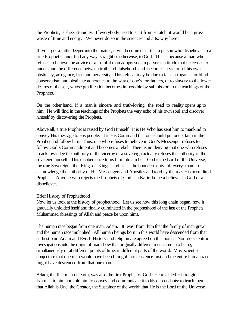the Prophets, is sheer stupidity. If everybody tried to start from scratch, it would be a gross waste of time and energy. We never do so in the sciences and arts: why here?

If you go a little deeper into the matter, it will become clear that a person who disbelieves in a true Prophet cannot find any way, straight or otherwise, to God. This is because a man who refuses to believe the advice of a truthful man adopts such a perverse attitude that he ceases to understand the difference between truth and falsehood and becomes a victim of his own obstinacy, arrogance, bias and perversity. This refusal may be due to false arrogance, or blind conservatism and obstinate adherence to the way of one's forefathers, or to slavery to the lower desires of the self, whose gratification becomes impossible by submission to the teachings of the Prophets.

On the other hand, if a man is sincere and truth-loving, the road to reality opens up to him. He will find in the teachings of the Prophets the very echo of his own soul and discover himself by discovering the Prophets.

Above all, a true Prophet is raised by God Himself. It is He Who has sent him to mankind to convey His message to His people. It is His Command that one should put one's faith in the Prophet and follow him. Thus, one who refuses to believe in God's Messenger refuses to follow God's Commandment and becomes a rebel. There is no denying that one who refuses to acknowledge the authority of the viceroy of a sovereign actually refuses the authority of the sovereign himself. This disobedience turns him into a rebel. God is the Lord of the Universe, the true Sovereign, the King of Kings, and it is the bounden duty of every man to acknowledge the authority of His Messengers and Apostles and to obey them as His accredited Prophets. Anyone who rejects the Prophets of God is a Kafir, be he a believer in God or a disbeliever.

#### Brief History of Prophethood

Now let us look at the history of prophethood. Let us see how this long chain began, how it gradually unfolded itself and finally culminated in the prophethood of the last of the Prophets, Muhammad (blessings of Allah and peace be upon him).

The human race began from one man: Adam. It was from him that the family of man grew and the human race multiplied. All human beings born in this world have descended from that earliest pair: Adam and Eve.1 History and religion are agreed on this point. Nor do scientific investigations into the origin of man show that originally different men came into being, simultaneously or at different points of time, in different parts of the world. Most scientists conjecture that one man would have been brought into existence first and the entire human race might have descended from that one man.

Adam, the first man on earth, was also the first Prophet of God. He revealed His religion - Islam - to him and told him to convey and communicate it to his descendants: to teach them that Allah is One, the Creator, the Sustainer of the world; that He is the Lord of the Universe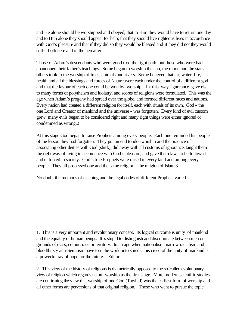and He alone should be worshipped and obeyed, that to Him they would have to return one day and to Him alone they should appeal for help; that they should live righteous lives in accordance with God's pleasure and that if they did so they would be blessed and if they did not they would suffer both here and in the hereafter.

Those of Adam's descendants who were good trod the right path, but those who were bad abandoned their father's teachings. Some began to worship the sun, the moon and the stars; others took to the worship of trees, animals and rivers. Some believed that air, water, fire, health and all the blessings and forces of Nature were each under the control of a different god and that the favour of each one could be won by worship. In this way ignorance gave rise to many forms of polytheism and idolatry, and scores of religions were formulated. This was the age when Adam's progeny had spread over the globe, and formed different races and nations. Every nation had created a different religion for itself, each with rituals of its own. God - the one Lord and Creator of mankind and the universe - was forgotten. Every kind of evil custom grew; many evils began to be considered right and many right things were either ignored or condemned as wrong.2

At this stage God began to raise Prophets among every people. Each one reminded his people of the lesson they had forgotten. They put an end to idol-worship and the practice of associating other deities with God (shirk), did away with all customs of ignorance, taught them the right way of living in accordance with God's pleasure, and gave them laws to be followed and enforced in society. God's true Prophets were raised in every land and among every people. They all possessed one and the same religion - the religion of Islam.3

No doubt the methods of teaching and the legal codes of different Prophets varied

1. This is a very important and revolutionary concept. Its logical outcome is unity of mankind and the equality of human beings. It is stupid to distinguish and discriminate between men on grounds of class, colour, race or territory. In an age when nationalism. narrow racialism and bloodthirsty anti-Semitism have torn the world into shreds. this creed of the unity of mankind is a powerful ray of hope for the future. - Editor.

2. This view of the history of religions is diametrically opposed to the so-called evolutionary view of religion which regards nature-worship as the first stage. More modern scientific studies are confirming the view that worship of one God (Tawhid) was the earliest form of worship and all other forms are perversions of that original religion. Those who want to pursue the topic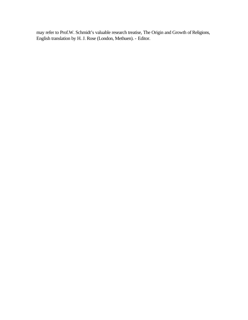may refer to Prof.W. Schmidt's valuable research treatise, The Origin and Growth of Religions, English translation by H. J. Rose (London, Methuen). - Editor.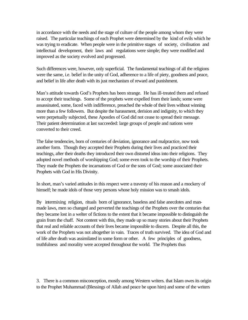in accordance with the needs and the stage of culture of the people among whom they were raised. The particular teachings of each Prophet were determined by the kind of evils which he was trying to eradicate. When people were in the primitive stages of society, civilisation and intellectual development, their laws and regulations were simple; they were modified and improved as the society evolved and progressed.

Such differences were, however, only superficial. The fundamental teachings of all the religions were the same, i.e. belief in the unity of God, adherence to a life of piety, goodness and peace, and belief in life after death with its just mechanism of reward and punishment.

Man's attitude towards God's Prophets has been strange. He has ill-treated them and refused to accept their teachings. Some of the prophets were expelled from their lands; some were assassinated, some, faced with indifference, preached the whole of their lives without winning more than a few followers. But despite the harassment, derision and indignity, to which they were perpetually subjected, these Apostles of God did not cease to spread their message. Their patient determination at last succeeded: large groups of people and nations were converted to their creed.

The false tendencies, born of centuries of deviation, ignorance and malpractice, now took another form. Though they accepted their Prophets during their lives and practiced their teachings, after their deaths they introduced their own distorted ideas into their religions. They adopted novel methods of worshipping God; some even took to the worship of their Prophets. They made the Prophets the incarnations of God or the sons of God; some associated their Prophets with God in His Divinity.

In short, man's varied attitudes in this respect were a travesty of his reason and a mockery of himself; he made idols of those very persons whose holy mission was to smash idols.

By intermixing religion, rituals born of ignorance, baseless and false anecdotes and manmade laws, men so changed and perverted the teachings of the Prophets over the centuries that they became lost in a welter of fictions to the extent that it became impossible to distinguish the grain from the chaff. Not content with this, they made up so many stories about their Prophets that real and reliable accounts of their lives became impossible to discern. Despite all this, the work of the Prophets was not altogether in vain. Traces of truth survived. The idea of God and of life after death was assimilated in some form or other. A few principles of goodness, truthfulness and morality were accepted throughout the world. The Prophets thus

3. There is a common misconception, mostly among Western writers. that Islam owes its origin to the Prophet Muhammad (Blessings of Allah and peace be upon him) and some of the writers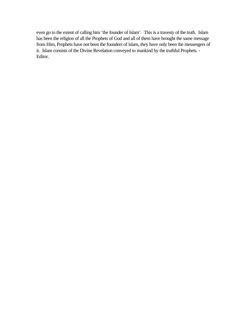even go to the extent of calling him 'the founder of Islam'. This is a travesty of the truth. Islam has been the religion of all the Prophets of God and all of them have brought the same message from Him, Prophets have not been the founders of lslam, they have only been the messengers of it. Islam consists of the Divine Revelation conveyed to mankind by the truthful Prophets. - Editor.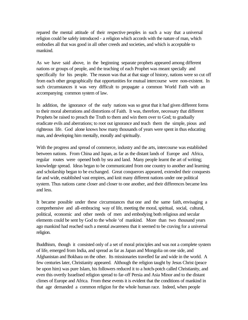repared the mental attitude of their respective peoples in such a way that a universal religion could be safely introduced - a religion which accords with the nature of man, which embodies all that was good in all other creeds and societies, and which is acceptable to mankind.

As we have said above, in the beginning separate prophets appeared among different nations or groups of people, and the teaching of each Prophet was meant specially and specifically for his people. The reason was that at that stage of history, nations were so cut off from each other geographically that opportunities for mutual intercourse were non-existent. In such circumstances it was very difficult to propagate a common World Faith with an accompanying common system of law.

In addition, the ignorance of the early nations was so great that it had given different forms to their moral aberrations and distortions of Faith. It was, therefore, necessary that different Prophets be raised to preach the Truth to them and win them over to God; to gradually eradicate evils and aberrations; to root out ignorance and teach them the simple, pious and righteous life. God alone knows how many thousands of years were spent in thus educating man, and developing him mentally, morally and spiritually.

With the progress and spread of commerce, industry and the arts, intercourse was established between nations. From China and Japan, as far as the distant lands of Europe and Africa, regular routes were opened both by sea and land. Many people learnt the art of writing; knowledge spread. Ideas began to be communicated from one country to another and learning and scholarship began to be exchanged. Great conquerors appeared, extended their conquests far and wide, established vast empires, and knit many different nations under one political system. Thus nations came closer and closer to one another, and their differences became less and less.

It became possible under these circumstances that one and the same faith, envisaging a comprehensive and all-embracing way of life, meeting the moral, spiritual, social, cultural, political, economic and other needs of men and embodying both religious and secular elements could be sent by God to the whole 'of mankind. More than two thousand years ago mankind had reached such a mental awareness that it seemed to be craving for a universal religion.

Buddhism, though it consisted only of a set of moral principles and was not a complete system of life, emerged from India, and spread as far as Japan and Mongolia on one side, and Afghanistan and Bokhara on the other. Its missionaries travelled far and wide in the world. A few centuries later, Christianity appeared. Although the religion taught by Jesus Christ (peace be upon him) was pure Islam, his followers reduced it to a hotch-potch called Christianity, and even this overtly Israelised religion spread to far-off Persia and Asia Minor and to the distant climes of Europe and Africa. From these events it is evident that the conditions of mankind in that age demanded a common religion for the whole human race. Indeed, when people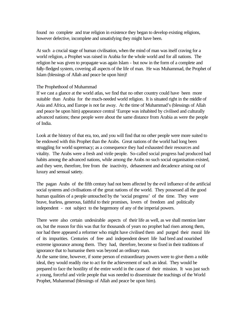found no complete and true religion in existence they began to develop existing religions, however defective, incomplete and unsatisfying they might have been.

At such a crucial stage of human civilisation, when the mind of man was itself craving for a world religion, a Prophet was raised in Arabia for the whole world and for all nations. The religion he was given to propagate was again Islam - but now in the form of a complete and fully-fledged system, covering all aspects of the life of man. He was Muhammad, the Prophet of Islam (blessings of Allah and peace be upon him)!

#### The Prophethood of Muhammad

If we cast a glance at the world atlas, we find that no other country could have been more suitable than Arabia for the much-needed world religion. It is situated right in the middle of Asia and Africa, and Europe is not far away. At the time of Muhammad's (blessings of Allah and peace be upon him) appearance central 'Europe was inhabited by civilised and culturally advanced nations; these people were about the same distance from Arabia as were the people of India.

Look at the history of that era, too, and you will find that no other people were more suited to be endowed with this Prophet than the Arabs. Great nations of the world had long been struggling for world supremacy; as a consequence they had exhausted their resources and vitality. The Arabs were a fresh and virile people. So-called social progress had produced bad habits among the advanced nations, while among the Arabs no such social organisation existed, and they were, therefore, free from the inactivity, debasement and decadence arising out of luxury and sensual satiety.

The pagan Arabs of the fifth century had not been affected by the evil influence of the artificial social systems and civilisations of the great nations of the world. They possessed all the good human qualities of a people untouched by the 'social progress' of the time. They were brave, fearless, generous, faithful to their promises, lovers of freedom and politically independent - not subject to the hegemony of any of the imperial powers.

There were also certain undesirable aspects of their life as well, as we shall mention later on, but the reason for this was that for thousands of years no prophet had risen among them, nor had there appeared a reformer who might have civilised them and purged their moral life of its impurities. Centuries of free and independent desert life had bred and nourished extreme ignorance among them. They had, therefore, become so fixed in their traditions of ignorance that to humanise them was beyond an ordinary man.

At the same time, however, if some person of extraordinary powers were to give them a noble ideal, they would readily rise to act for the achievement of such an ideal. They would be prepared to face the hostility of the entire world in the cause of their mission. It was just such a young, forceful and virile people that was needed to disseminate the teachings of the World Prophet, Muhammad (blessings of Allah and peace be upon him).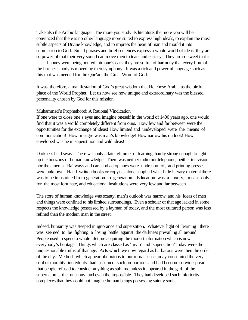Take also the Arabic language. The more you study its literature, the more you will be convinced that there is no other language more suited to express high ideals, to explain the most subtle aspects of Divine knowledge, and to impress the heart of man and mould it into submission to God. Small phrases and brief sentences express a whole world of ideas; they are so powerful that their very sound can move men to tears and ecstasy. They are so sweet that it is as if honey were being poured into one's ears; they are so full of harmony that every fibre of the listener's body is moved by their symphony. It was a rich and powerful language such as this that was needed for the Qur'an, the Great Word of God.

It was, therefore, a manifestation of God's great wisdom that He chose Arabia as the birthplace of the World Prophet. Let us now see how unique and extraordinary was the blessed personality chosen by God for this mission.

#### Muhammad's Prophethood: A Rational Vindication

If one were to close one's eyes and imagine oneself in the world of 1400 years ago, one would find that it was a world completely different from ours. How few and far between were the opportunities for the exchange of ideas! How limited and undeveloped were the means of communication! How meagre was man's knowledge! How narrow his outlook! How enveloped was he in superstition and wild ideas!

Darkness held sway. There was only a faint glimmer of learning, hardly strong enough to light up the horizons of human knowledge. There was neither radio nor telephone, neither television nor the cinema. Railways and cars and aeroplanes were undreamt of, and printing presses were unknown. Hand-written books or copyists alone supplied what little literary material there was to be transmitted from generation to generation. Education was a luxury, meant only for the most fortunate, and educational institutions were very few and far between.

The store of human knowledge was scanty, man's outlook was narrow, and his ideas of men and things were confined to his limited surroundings. Even a scholar of that age lacked in some respects the knowledge possessed by a layman of today, and the most cultured person was less refined than the modern man in the street.

Indeed, humanity was steeped in ignorance and superstition. Whatever light of learning there was seemed to be fighting a losing battle against the darkness prevailing all around. People used to spend a whole lifetime acquiring the modest information which is now everybody's heritage. Things which are classed as 'myth' and 'superstition' today were the unquestionable truths of that age. Acts which we now regard as barbarous were then the order of the day. Methods which appear obnoxious to our moral sense today constituted the very soul of morality; incredulity had assumed such proportions and had become so widespread that people refused to consider anything as sublime unless it appeared in the garb of the supernatural, the uncanny and even the impossible. They had developed such inferiority complexes that they could not imagine human beings possessing saintly souls.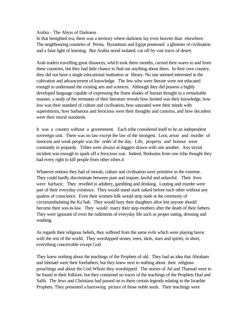## Arabia - The Abyss of Darkness

In that benighted era, there was a territory where darkness lay even heavier than elsewhere. The neighbouring countries of Persia, Byzantium and Egypt possessed a glimmer of civilisation and a faint light of learning. But Arabia stood isolated, cut off by vast tracts of desert.

Arab traders travelling great distances, which took them months, carried their wares to and from these countries, but they had little chance to find out anything about them. In their own country, they did not have a single educational institution or library. No one seemed interested in the cultivation and advancement of knowledge. The few who were literate were not educated enough to understand the existing arts and sciences. Although they did possess a highly developed language capable of expressing the finest shades of human thought in a remarkable manner, a study of the remnants of their literature reveals how limited was their knowledge, how low was their standard of culture and civilisation, how saturated were their minds with superstitions, how barbarous and ferocious were their thoughts and customs, and how decadent were their moral standards.

It was a country without a government. Each tribe considered itself to be an independent sovereign unit. There was no law except the law of the strongest. Loot, arson and murder of innocent and weak people was the order of the day. Life, property and honour were constantly in jeopardy. Tribes were always at daggers drawn with one another. Any trivial incident was enough to spark off a ferocious war. Indeed, Bedouins from one tribe thought they had every right to kill people from other tribes.4

Whatever notions they had of morals, culture and civilisation were primitive in the extreme. They could hardly discriminate between pure and impure, lawful and unlawful. Their lives were barbaric. They revelled in adultery, gambling and drinking. Looting and murder were part of their everyday existence. They would stand stark naked before each other without any qualms of conscience. Even their women-folk would strip nude at the ceremony of circumambulating the Ka'bah. They would bury their daughters alive lest anyone should become their son-in-law. They would marry their step-mothers after the death of their fathers. They were ignorant of even the rudiments of everyday life such as proper eating, dressing and washing.

As regards their religious beliefs, they suffered from the same evils which were playing havoc with the rest of the world. They worshipped stones, trees, idols, stars and spirits; in short, everything conceivable except God.

They knew nothing about the teachings of the Prophets of old. They had an idea that Abraham and Ishmael were their forefathers, but they knew next to nothing about their religious preachings and about the God Whom they worshipped. The stories of Ad and Thamud were to be found in their folklore, but they contained no traces of the teachings of the Prophets Hud and Salih. The Jews and Christians had passed on to them certain legends relating to the Israelite Prophets. They presented a harrowing picture of those noble souls. Their teachings were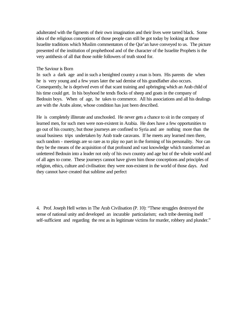adulterated with the figments of their own imagination and their lives were tarred black. Some idea of the religious conceptions of those people can still be got today by looking at those Israelite traditions which Muslim commentators of the Qur'an have conveyed to us. The picture presented of the institution of prophethood and of the character of the Israelite Prophets is the very antithesis of all that those noble followers of truth stood for.

### The Saviour is Born

In such a dark age and in such a benighted country a man is born. His parents die when he is very young and a few years later the sad demise of his grandfather also occurs. Consequently, he is deprived even of that scant training and upbringing which an Arab child of his time could get. In his boyhood he tends flocks of sheep and goats in the company of Bedouin boys. When of age, he takes to commerce. All his associations and all his dealings are with the Arabs alone, whose condition has just been described.

He is completely illiterate and unschooled. He never gets a chance to sit in the company of learned men, for such men were non-existent in Arabia. He does have a few opportunities to go out of his country, but those journeys are confined to Syria and are nothing more than the usual business trips undertaken by Arab trade caravans. If he meets any learned men there, such random - meetings are so rare as to play no part in the forming of his personality. Nor can they be the means of the acquisition of that profound and vast knowledge which transformed an unlettered Bedouin into a leader not only of his own country and age but of the whole world and of all ages to come. These journeys cannot have given him those conceptions and principles of religion, ethics, culture and civilisation: they were non-existent in the world of those days. And they cannot have created that sublime and perfect

4. Prof. Joseph Hell writes in The Arab Civilisation (P. 10): "These struggles destroyed the sense of national unity and developed an incurable particularism; each tribe deeming itself self-sufficient and regarding the rest as its legitimate victims for murder, robbery and plunder."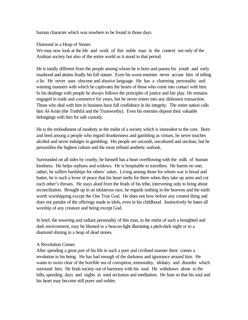human character which was nowhere to be found in those days.

## Diamond in a Heap of Stones

We may now look at the life and work of this noble man in the context not only of the Arabian society but also of the entire world as it stood in that period.

He is totally different from the people among whom he is born and passes his youth and early manhood and attains finally his full stature. Even his worst enemies never accuse him of telling a lie. He never uses obscene and abusive language. He has a charming personality and winning manners with which he captivates the hearts of those who come into contact with him. In his dealings with people he always follows the principles of justice and fair play. He remains engaged in trade and commerce for years, but he never enters into any dishonest transaction. Those who deal with him in business have full confidence in his integrity. The entire nation calls him Al-Amin (the Truthful and the Trustworthy). Even his enemies deposit their valuable belongings with him for safe custody.

He is the embodiment of modesty in the midst of a society which is immodest to the core. Born and bred among a people who regard drunkenness and gambling as virtues, he never touches alcohol and never indulges in gambling. His people are uncouth, uncultured and unclean, but he personifies the highest culture and the most refined aesthetic outlook.

Surrounded on all sides by cruelty, he himself has a heart overflowing with the milk of human kindness. He helps orphans and widows. He is hospitable to travellers. He harms no one; rather, he suffers hardships for others' sakes. Living among those for whom war is bread and butter, he is such a lover of peace that his heart melts for them when they take up arms and cut each other's throats. He stays aloof from the feuds of his tribe, intervening only to bring about reconciliation. Brought up in an idolatrous race, he regards nothing in the heavens and the earth worth worshipping except the One True God. He does not bow before any created thing and does not partake of the offerings made to idols, even in his childhood. Instinctively he hates all worship of any creature and being except God.

In brief, the towering and radiant personality of this man, in the midst of such a benighted and dark environment, may be likened to a beacon-light illumining a pitch-dark night or to a diamond shining in a heap of dead stones.

# A Revolution Comes

After spending a great part of his life in such a pure and civilised manner there comes a revolution in his being. He has had enough of the darkness and ignorance around him. He wants to swim clear of the horrible sea of corruption, immorality, idolatry and disorder which surround him. He finds society out of harmony with his soul. He withdraws alone to the hills, spending days and nights in total seclusion and meditation. He fasts so that his soul and his heart may become still purer and nobler.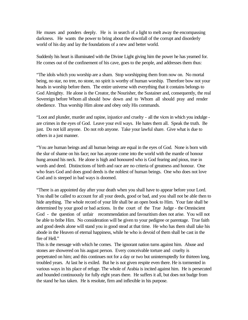He muses and ponders deeply. He is in search of a light to melt away the encompassing darkness. He wants the power to bring about the downfall of the corrupt and disorderly world of his day and lay the foundations of a new and better world.

Suddenly his heart is illuminated with the Divine Light giving him the power he has yearned for. He comes out of the confinement of his cave, goes to the people, and addresses them thus:

"The idols which you worship are a sham. Stop worshipping them from now on. No mortal being, no star, no tree, no stone, no spirit is worthy of human worship. Therefore bow not your heads in worship before them. The entire universe with everything that it contains belongs to God Almighty. He alone is the Creator, the Nourisher, the Sustainer and, consequently, the real Sovereign before Whom all should bow down and to Whom all should pray and render obedience. Thus worship Him alone and obey only His commands.

"Loot and plunder, murder and rapine, injustice and cruelty - all the vices in which you indulge are crimes in the eyes of God. Leave your evil ways. He hates them all. Speak the truth. Be just. Do not kill anyone. Do not rob anyone. Take your lawful share. Give what is due to others in a just manner.

"You are human beings and all human beings are equal in the eyes of God. None is born with the slur of shame on his face; nor has anyone come into the world with the mantle of honour hung around his neck. He alone is high and honoured who is God fearing and pious, true in words and deed. Distinctions of birth and race are no criteria of greatness and honour. One who fears God and does good deeds is the noblest of human beings. One who does not love God and is steeped in bad ways is doomed.

"There is an appointed day after your death when you shall have to appear before your Lord. You shall be called to account for all your deeds, good or bad, and you shall not be able then to hide anything. The whole record of your life shall be an open book to Him. Your fate shall be determined by your good or bad actions. In the court of the True Judge - the Omniscient God - the question of unfair recommendation and favouritism does not arise. You will not be able to bribe Him. No consideration will be given to your pedigree or parentage. True faith and good deeds alone will stand you in good stead at that time. He who has them shall take his abode in the Heaven of eternal happiness, while he who is devoid of them shall be cast in the fire of Hell."

This is the message with which he comes. The ignorant nation turns against him. Abuse and stones are showered on his august person. Every conceivable torture and cruelty is perpetrated on him; and this continues not for a day or two but uninterruptedly for thirteen long, troubled years. At last he is exiled. But he is not given respite even there. He is tormented in various ways in his place of refuge. The whole of Arabia is incited against him. He is persecuted and hounded continuously for fully eight years there. He suffers it all, but does not budge from the stand he has taken. He is resolute, firm and inflexible in his purpose.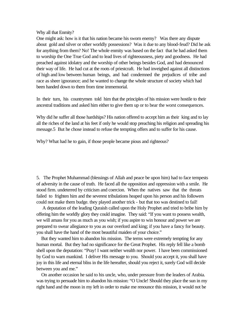#### Why all that Enmity?

One might ask: how is it that his nation became his sworn enemy? Was there any dispute about gold and silver or other worldly possessions? Was it due to any blood-feud? Did he ask for anything from them? No! The whole enmity was based on the fact that he had asked them to worship the One True God and to lead lives of righteousness, piety and goodness. He had preached against idolatry and the worship of other beings besides God, and had denounced their way of life. He had cut at the roots of priestcraft. He had inveighed against all distinctions of high and low between human beings, and had condemned the prejudices of tribe and race as sheer ignorance; and he wanted to change the whole structure of society which had been handed down to them from time immemorial.

In their turn, his countrymen told him that the principles of his mission were hostile to their ancestral traditions and asked him either to give them up or to bear the worst consequences.

Why did he suffer all those hardships? His nation offered to accept him as their king and to lay all the riches of the land at his feet if only he would stop preaching his religion and spreading his message.5 But he chose instead to refuse the tempting offers and to suffer for his cause.

Why? What had he to gain, if those people became pious and righteous?

5. The Prophet Muhammad (blessings of Allah and peace be upon him) had to face tempests of adversity in the cause of truth. He faced all the opposition and oppression with a smile. He stood firm. undeterred by criticism and coercion. When the natives saw that the threats failed to frighten him and the severest tribulations heaped upon his person and his followers could not make them budge. they played another trick - but that too was destined to fail!

 A deputation of the leading Quraish called upon the Holy Prophet and tried to bribe him by offering him the worldly glory they could imagine. They said: "If you want to possess wealth, we will amass for you as much as you wish; if you aspire to win honour and power we are prepared to swear allegiance to you as our overlord and king; if you have a fancy for beauty. you shall have the hand of the most beautiful maiden of your choice."

 But they wanted him to abandon his mission. The terms were extremely tempting for any human mortal. But they had no significance for the Great Prophet. His reply fell like a bomb shell upon the deputation: "Pray! I want neither wealth nor power. I have been commissioned by God to warn mankind. I deliver His message to you. Should you accept it, you shall have joy in this life and eternal bliss in the life hereafter, should you reject it, surely God will decide between you and me."

 On another occasion he said to his uncle, who, under pressure from the leaders of Arabia. was trying to persuade him to abandon his mission: "O Uncle! Should they place the sun in my right hand and the moon in my left in order to make me renounce this mission, it would not be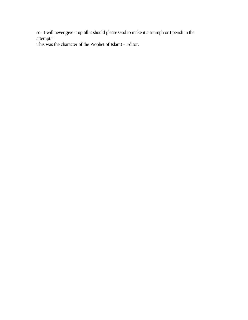so. I will never give it up till it should please God to make it a triumph or I perish in the attempt."

This was the character of the Prophet of Islam! - Editor.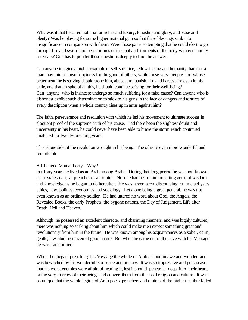Why was it that he cared nothing for riches and luxury, kingship and glory, and ease and plenty? Was he playing for some higher material gain so that these blessings sank into insignificance in comparison with them? Were those gains so tempting that he could elect to go through fire and sword and bear tortures of the soul and torments of the body with equanimity for years? One has to ponder these questions deeply to find the answer.

Can anyone imagine a higher example of self-sacrifice, fellow-feeling and humanity than that a man may ruin his own happiness for the good of others, while those very people for whose betterment he is striving should stone him, abuse him, banish him and harass him even in his exile, and that, in spite of all this, he should continue striving for their well-being? Can anyone who is insincere undergo so much suffering for a false cause? Can anyone who is dishonest exhibit such determination to stick to his guns in the face of dangers and tortures of every description when a whole country rises up in arms against him?

The faith, perseverance and resolution with which he led his movement to ultimate success is eloquent proof of the supreme truth of his cause. Had there been the slightest doubt and uncertainty in his heart, he could never have been able to brave the storm which continued unabated for twenty-one long years.

This is one side of the revolution wrought in his being. The other is even more wonderful and remarkable.

# A Changed Man at Forty - Why?

For forty years he lived as an Arab among Arabs. During that long period he was not known as a statesman, a preacher or an orator. No-one had heard him imparting gems of wisdom and knowledge as he began to do hereafter. He was never seen discoursing on metaphysics, ethics, law, politics, economics and sociology. Let alone being a great general, he was not even known as an ordinary soldier. He had uttered no word about God, the Angels, the Revealed Books, the early Prophets, the bygone nations, the Day of Judgement, Life after Death, Hell and Heaven.

Although he possessed an excellent character and charming manners, and was highly cultured, there was nothing so striking about him which could make men expect something great and revolutionary from him in the future. He was known among his acquaintances as a sober, calm, gentle, law-abiding citizen of good nature. But when he came out of the cave with his Message he was transformed.

When he began preaching his Message the whole of Arabia stood in awe and wonder and was bewitched by his wonderful eloquence and oratory. It was so impressive and persuasive that his worst enemies were afraid of hearing it, lest it should penetrate deep into their hearts or the very marrow of their beings and convert them from their old religion and culture. It was so unique that the whole legion of Arab poets, preachers and orators of the highest calibre failed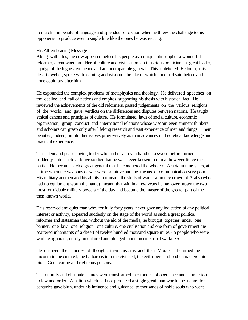to match it in beauty of language and splendour of diction when he threw the challenge to his opponents to produce even a single line like the ones he was reciting.

# His All-embracing Message

Along with this, he now appeared before his people as a unique philosopher a wonderful reformer, a renowned moulder of culture and civilisation, an illustrious politician, a great leader, a judge of the highest eminence and an incomparable general. This unlettered Bedouin, this desert dweller, spoke with learning and wisdom, the like of which none had said before and none could say after him.

He expounded the complex problems of metaphysics and theology. He delivered speeches on the decline and fall of nations and empires, supporting his thesis with historical fact. He reviewed the achievements of the old reformers, passed judgements on the various religions of the world, and gave verdicts on the differences and disputes between nations. He taught ethical canons and principles of culture. He formulated laws of social culture, economic organisation, group conduct and international relations whose wisdom even eminent thinkers and scholars can grasp only after lifelong research and vast experience of men and things. Their beauties, indeed, unfold themselves progressively as man advances in theoretical knowledge and practical experience.

This silent and peace-loving trader who had never even handled a sword before turned suddenly into such a brave soldier that he was never known to retreat however fierce the battle. He became such a great general that he conquered the whole of Arabia in nine years, at a time when the weapons of war were primitive and the means of communication very poor. His military acumen and his ability to transmit the skills of war to a motley crowd of Arabs (who had no equipment worth the name) meant that within a few years he had overthrown the two most formidable military powers of the day and become the master of the greater part of the then known world.

This reserved and quiet man who, for fully forty years, never gave any indication of any political interest or activity, appeared suddenly on the stage of the world as such a great political reformer and statesman that, without the aid of the media, he brought together under one banner, one law, one religion, one culture, one civilisation and one form of government the scattered inhabitants of a desert of twelve hundred thousand square miles - a people who were warlike, ignorant, unruly, uncultured and plunged in internecine tribal warfare.6

He changed their modes of thought, their customs and their Morals. He turned the uncouth in the cultured, the barbarous into the civilised, the evil-doers and bad characters into pious God-fearing and righteous persons.

Their unruly and obstinate natures were transformed into models of obedience and submission to law and order. A nation which had not produced a single great man worth the name for centuries gave birth, under his influence and guidance, to thousands of noble souls who went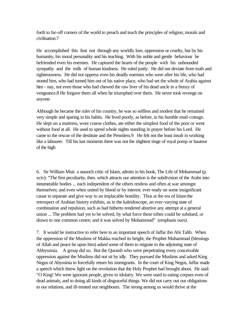forth to far-off corners of the world to preach and teach the principles of religion, morals and civilisation.7

He accomplished this feat not through any worldly lure, oppression or cruelty, but by his humanity, his moral personality and his teaching. With his noble and gentle behaviour he befriended even his enemies. He captured the hearts of the people with his unbounded sympathy and the milk of human kindness. He ruled justly. He did not deviate from truth and righteousness. He did not oppress even his deadly enemies who were after his life, who had stoned him, who had turned him out of his native place, who had set the whole of Arabia against him - nay, not even those who had chewed the raw liver of his dead uncle in a frenzy of vengeance.8 He forgave them all when he triumphed over them. He never took revenge on anyone.

Although he became the ruler of his country, he was so selfless and modest that he remained very simple and sparing in his habits. He lived poorly, as before, in his humble mud-cottage. He slept on a mattress, wore coarse clothes, ate either the simplest food of the poor or went without food at all. He used to spend whole nights standing in prayer before his Lord. He came to the rescue of the destitute and the Penniless.9 He felt not the least insult in working like a labourer. Till his last moments there was not the slightest tinge of royal pomp or hauteur of the high

6. Sir William Muir. a staunch critic of Islam, admits in his book, The Life of Mohammad (p. xciv): "The first peculiarity, then. which attracts our attention is the subdivision of the Arabs into innumerable bodies ... each independent of the others restless and often at war amongst themselves; and even when united by blood or by interest. ever ready on some insignificant cause to separate and give way to an implacable hostility. Thus at the era of Islam the retrospect of Arabian history exhibits, as in the kaleidoscope, an ever-varying state of combination and repulsion, such as had hitherto rendered abortive any attempt at a general union ... The problem had yet to be solved, by what force these tribes could be subdued, or drawn to one common centre; and it was solved by Mohammad" (emphasis ours).

7. It would be instructive to refer here to an important speech of Jaffar ibn Abi Talib. When the oppression of the Muslims of Makka reached its height, the Prophet Muhammad (blessings of Allah and peace be upon him) asked some of them to migrate to the adjoining state of Abbyssinia. A group did so. But the Quraish who were perpetrating every conceivable oppression against the Muslims did not sit by idly. They pursued the Muslims and asked King Negus of Abyssinia to forcefully return his immigrants. In the court of King Negus, Jaffar made a speech which threw light on the revolution that the Holy Prophet had brought about. He said: "O King! We were ignorant people, given to idolatry. We were used to eating corpses even of dead animals, and to doing all kinds of disgraceful things. We did not carry out our obligations to our relations, and ill-treated our neighbours. The strong among us would thrive at the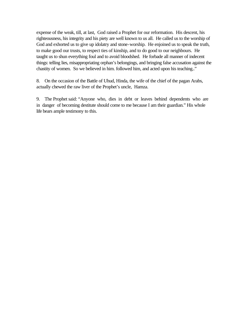expense of the weak, till, at last, God raised a Prophet for our reformation. His descent, his righteousness, his integrity and his piety are well known to us all. He called us to the worship of God and exhorted us to give up idolatry and stone-worship. He enjoined us to speak the truth, to make good our trusts, to respect ties of kinship, and to do good to our neighbours. He taught us to shun everything foul and to avoid bloodshed. He forbade all manner of indecent things: telling lies, misappropriating orphan's belongings, and bringing false accusation against the chastity of women. So we believed in him. followed him, and acted upon his teaching.."

8. On the occasion of the Battle of Uhud, Hinda, the wife of the chief of the pagan Arabs, actually chewed the raw liver of the Prophet's uncle, Hamza.

9. The Prophet said: "Anyone who, dies in debt or leaves behind dependents who are in danger of becoming destitute should come to me because I am their guardian." His whole life bears ample testimony to this.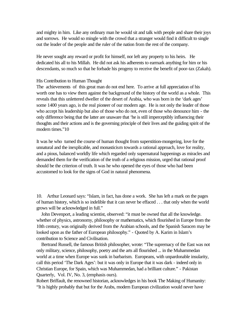and mighty in him. Like any ordinary man he would sit and talk with people and share their joys and sorrows. He would so mingle with the crowd that a stranger would find it difficult to single out the leader of the people and the ruler of the nation from the rest of the company.

He never sought any reward or profit for himself, nor left any property to his heirs. He dedicated his all to his Millah. He did not ask his adherents to earmark anything for him or his descendants, so much so that he forbade his progeny to receive the benefit of poor-tax (Zakah).

#### His Contribution to Human Thought

The achievements of this great man do not end here. To arrive at full appreciation of his worth one has to view them against the background of the history of the world as a whole. This reveals that this unlettered dweller of the desert of Arabia, who was born in the 'dark ages' some 1400 years ago, is the real pioneer of our modern age. He is not only the leader of those who accept his leadership but also of those who do not, even of those who denounce him - the only difference being that the latter are unaware that 'he is still imperceptibly influencing their thoughts and their actions and is the governing principle of their lives and the guiding spirit of the modern times."10

It was he who turned the course of human thought from superstition-mongering, love for the unnatural and the inexplicable, and monasticism towards a rational approach, love for reality, and a pious, balanced worldly life which regarded only supernatural happenings as miracles and demanded them for the verification of the truth of a religious mission, urged that rational proof should be the criterion of truth. It was he who opened the eyes of those who had been accustomed to look for the signs of God in natural phenomena.

10. Arthur Leonard says: "Islam, in fact, has done a work. She has left a mark on the pages of human history, which is so indelible that it can never be effaced . . . that only when the world grows will be acknowledged in full."

 John Devenport, a leading scientist, observed: "it must be owned that all the knowledge. whether of physics, astronomy, philosophy or mathematics, which flourished in Europe from the 10th century, was originally derived from the Arabian schools, and the Spanish Saracen may be looked upon as the father of European philosophy." - Quoted by A. Karim in Islam's contribution to Science and Civilisation.

 Bertrand Russell, the famous British philosopher, wrote: "The supremacy of the East was not only military, science, philosophy, poetry and the arts all flourished ... in the Muhammedan world at a time when Europe was sunk in barbarism. Europeans, with unpardonable insularity, call this period 'The Dark Ages': but it was only in Europe that it was dark - indeed only in Christian Europe, for Spain, which was Muhammedan, had a brilliant culture." - Pakistan Quarterly, Vol. IV, No. 3, (emphasis ours).

Robert Briffault, the renowned historian, acknowledges in his book The Making of Humanity: "It is highly probably that but for the Arabs, modern European civilization would never have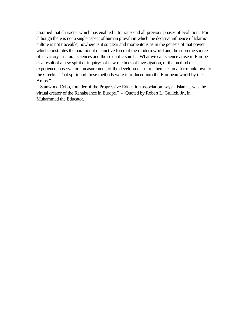assumed that character which has enabled it to transcend all previous phases of evolution. For although there is not a single aspect of human growth in which the decisive influence of Islamic culture is not traceable, nowhere is it so clear and momentous as in the genesis of that power which constitutes the paramount distinctive force of the modern world and the supreme source of its victory - natural sciences and the scientific spirit ... What we call science arose in Europe as a result of a new spirit of inquiry: of new methods of investigation, of the method of experience, observation, measurement, of the development of mathemaics in a form unknown to the Greeks. That spirit and those methods were introduced into the European world by the Arabs."

 Stanwood Cobb, founder of the Progressive Education association, says: "Islam ... was the virtual creator of the Renaissance in Europe." - Quoted by Robert L. Gullick, Jr., in Muhammad the Educator.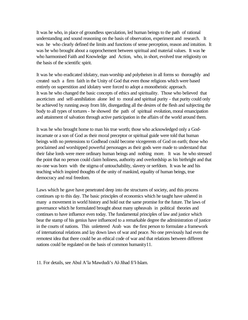It was he who, in place of groundless speculation, led human beings to the path of rational understanding and sound reasoning on the basis of observation, experiment and research. It was he who clearly defined the limits and functions of sense perception, reason and intuition. It was he who brought about a rapprochement between spiritual and material values. It was he who harmonised Faith and Knowledge and Action, who, in short, evolved true religiosity on the basis of the scientific spirit.

It was he who eradicated idolatry, man-worship and polytheism in all forms so thoroughly and created such a firm faith in the Unity of God that even those religions which were based entirely on superstition and idolatry were forced to adopt a monotheistic approach. It was he who changed the basic concepts of ethics and spirituality. Those who believed that asceticism and self-annihilation alone led to moral and spiritual purity - that purity could only be achieved by running away from life, disregarding all the desires of the flesh and subjecting the body to all types of tortures - he showed the path of spiritual evolution, moral emancipation and attainment of salvation through active participation in the affairs of the world around them.

It was he who brought home to man his true worth; those who acknowledged only a Godincarnate or a son of God as their moral preceptor or spiritual guide were told that human beings with no pretensions to Godhead could become vicegerents of God on earth; those who proclaimed and worshipped powerful personages as their gods were made to understand that their false lords were mere ordinary human beings and nothing more. It was he who stressed the point that no person could claim holiness, authority and overlordship as his birthright and that no-one was born with the stigma of untouchability, slavery or serfdom. It was he and his teaching which inspired thoughts of the unity of mankind, equality of human beings, true democracy and real freedom.

Laws which he gave have penetrated deep into the structures of society, and this process continues up to this day. The basic principles of economics which he taught have ushered in many a movement in world history and hold out the same promise for the future. The laws of governance which he formulated brought about many upheavals in political theories and continues to have influence even today. The fundamental principles of law and justice which bear the stamp of his genius have influenced to a remarkable degree the administration of justice in the courts of nations. This unlettered Arab was the first person to formulate a framework of international relations and lay down laws of war and peace. No one previously had even the remotest idea that there could be an ethical code of war and that relations between different nations could be regulated on the basis of common humanity11.

11. For details, see Abul A'la Mawdudi's Al-Jihad fi'l-Islam.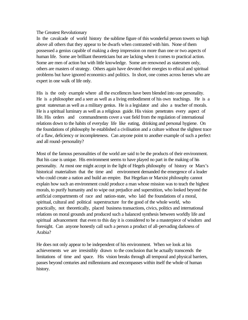# The Greatest Revolutionary

In the cavalcade of world history the sublime figure of this wonderful person towers so high above all others that they appear to be dwarfs when contrasted with him. None of them possessed a genius capable of making a deep impression on more than one or two aspects of human life. Some are brilliant theoreticians but are lacking when it comes to practical action. Some are men of action but with little knowledge. Some are renowned as statesmen only, others are masters of strategy. Others again have devoted their energies to ethical and spiritual problems but have ignored economics and politics. In short, one comes across heroes who are expert in one walk of life only.

His is the only example where all the excellences have been blended into one personality. He is a philosopher and a seer as well as a living embodiment of his own teachings. He is a great statesman as well as a military genius. He is a legislator and also a teacher of morals. He is a spiritual luminary as well as a religious guide. His vision penetrates every aspect of life. His orders and commandments cover a vast field from the regulation of international relations down to the habits of everyday life like eating, drinking and personal hygiene. On the foundations of philosophy he established a civilisation and a culture without the slightest trace of a flaw, deficiency or incompleteness. Can anyone point to another example of such a perfect and all round-personality?

Most of the famous personalities of the world are said to be the products of their environment. But his case is unique. His environment seems to have played no part in the making of his personality. At most one might accept in the light of Hegels philosophy of history or Marx's historical materialism that the time and environment demanded the emergence of a leader who could create a nation and build an empire. But Hegelian or Marxist philosophy cannot explain how such an environment could produce a man whose mission was to teach the highest morals, to purify humanity and to wipe out prejudice and superstition, who looked beyond the artificial compartments of race and nation-state, who laid the foundations of a moral, spiritual, cultural and political superstructure for the good of the whole world, who practically, not theoretically, placed business transactions, civics, politics and international relations on moral grounds and produced such a balanced synthesis between worldly life and spiritual advancement that even to this day it is considered to be a masterpiece of wisdom and foresight. Can anyone honestly call such a person a product of all-pervading darkness of Arabia?

He does not only appear to be independent of his environment. When we look at his achievements we are irresistibly drawn to the conclusion that he actually transcends the limitations of time and space. His vision breaks through all temporal and physical barriers, passes beyond centuries and millenniums and encompasses within itself the whole of human history.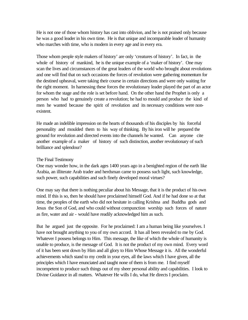He is not one of those whom history has cast into oblivion, and he is not praised only because he was a good leader in his own time. He is that unique and incomparable leader of humanity who marches with time, who is modern in every age and in every era.

Those whom people style makers of history' are only 'creatures of history'. In fact, in the whole of history of mankind, he is the unique example of a 'maker of history'. One may scan the lives and circumstances of the great leaders of the world who brought about revolutions and one will find that on such occasions the forces of revolution were gathering momentum for the destined upheaval, were taking their course in certain directions and were only waiting for the right moment. In harnessing these forces the revolutionary leader played the part of an actor for whom the stage and the role is set before hand. On the other hand the Prophet is only a person who had to genuinely create a revolution; he had to mould and produce the kind of men he wanted because the spirit of revolution and its necessary conditions were nonexistent.

He made an indelible impression on the hearts of thousands of his disciples by his forceful personality and moulded them to his way of thinking. By his iron will he prepared the ground for revolution and directed events into the channels he wanted. Can anyone cite another example of a maker of history of such distinction, another revolutionary of such brilliance and splendour?

# The Final Testimony

One may wonder how, in the dark ages 1400 years ago in a benighted region of the earth like Arabia, an illiterate Arab trader and herdsman came to possess such light, such knowledge, such power, such capabilities and such finely developed moral virtues?

One may say that there is nothing peculiar about his Message, that it is the product of his own mind. If this is so, then he should have proclaimed himself God. And if he had done so at that time, the peoples of the earth who did not hesitate in calling Krishna and Buddha gods and Jesus the Son of God, and who could without compunction worship such forces of nature as fire, water and air - would have readily acknowledged him as such.

But he argued just the opposite. For he proclaimed: I am a human being like yourselves. I have not brought anything to you of my own accord. It has all been revealed to me by God. Whatever I possess belongs to Him. This message, the like of which the whole of humanity is unable to produce, is the message of God. It is not the product of my own mind. Every word of it has been sent down by Him and all glory to Him Whose Message it is. All the wonderful achievements which stand to my credit in your eyes, all the laws which I have given, all the principles which I have enunciated and taught none of them is from me. I find myself incompetent to produce such things out of my sheer personal ability and capabilities. I look to Divine Guidance in all matters. Whatever He wills I do, what He directs I proclaim.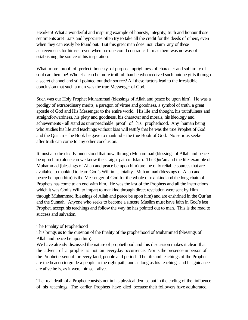Hearken! What a wonderful and inspiring example of honesty, integrity, truth and honour those sentiments are! Liars and hypocrites often try to take all the credit for the deeds of others, even when they can easily be found out. But this great man does not claim any of these achievements for himself even when no-one could contradict him as there was no way of establishing the source of his inspiration.

What more proof of perfect honesty of purpose, uprightness of character and sublimity of soul can there be! Who else can be more truthful than he who received such unique gifts through a secret channel and still pointed out their source? All these factors lead to the irresistible conclusion that such a man was the true Messenger of God.

Such was our Holy Prophet Muhammad (blessings of Allah and peace be upon him). He was a prodigy of extraordinary merits, a paragon of virtue and goodness, a symbol of truth, a great apostle of God and His Messenger to the entire world. His life and thought, his truthfulness and straightforwardness, his piety and goodness, his character and morals, his ideology and achievements - all stand as unimpeachable proof of his prophethood. Any human being who studies his life and teachings without bias will testify that he was the true Prophet of God and the Qur'an - the Book he gave to mankind - the true Book of God. No serious seeker after truth can come to any other conclusion.

It must also be clearly understood that now, through Muhammad (blessings of Allah and peace be upon him) alone can we know the straight path of Islam. The Qur'an and the life-example of Muhammad (blessings of Allah and peace be upon him) are the only reliable sources that are available to mankind to learn God's Will in its totality. Muhammad (blessings of Allah and peace be upon him) is the Messenger of God for the whole of mankind and the long chain of Prophets has come to an end with him. He was the last of the Prophets and all the instructions which it was God's Will to impart to mankind through direct revelation were sent by Him through Muhammad (blessings of Allah and peace be upon him) and are enshrined in the Qur'an and the Sunnah. Anyone who seeks to become a sincere Muslim must have faith in God's last Prophet, accept his teachings and follow the way he has pointed out to man. This is the road to success and salvation.

# The Finality of Prophethood

This brings us to the question of the finality of the prophethood of Muhammad (blessings of Allah and peace be upon him).

We have already discussed the nature of prophethood and this discussion makes it clear that the advent of a prophet is not an everyday occurrence. Nor is the presence in person of the Prophet essential for every land, people and period. The life and teachings of the Prophet are the beacon to guide a people to the right path, and as long as his teachings and his guidance are alive he is, as it were, himself alive.

The real death of a Prophet consists not in his physical demise but in the ending of the influence of his teachings. The earlier Prophets have died because their followers have adulterated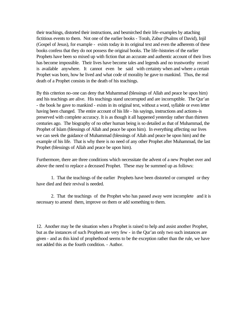their teachings, distorted their instructions, and besmirched their life-examples by attaching fictitious events to them. Not one of the earlier books - Torah, Zabur (Psalms of David), Injil (Gospel of Jesus), for example - exists today in its original text and even the adherents of these books confess that they do not possess the original books. The life-histories of the earlier Prophets have been so mixed up with fiction that an accurate and authentic account of their lives has become impossible. Their lives have become tales and legends and no trustworthy record is available anywhere. It cannot even be said with certainty when and where a certain Prophet was born, how he lived and what code of morality he gave to mankind. Thus, the real death of a Prophet consists in the death of his teachings.

By this criterion no-one can deny that Muhammad (blessings of Allah and peace be upon him) and his teachings are alive. His teachings stand uncorrupted and are incorruptible. The Qur'an - the book he gave to mankind - exists in its original text, without a word, syllable or even letter having been changed. The entire account of his life - his sayings, instructions and actions-is preserved with complete accuracy. It is as though it all happened yesterday rather than thirteen centuries ago. The biography of no other human being is so detailed as that of Muhammad, the Prophet of Islam (blessings of Allah and peace be upon him). In everything affecting our lives we can seek the guidance of Muhammad (blessings of Allah and peace be upon him) and the example of his life. That is why there is no need of any other Prophet after Muhammad, the last Prophet (blessings of Allah and peace be upon him).

Furthermore, there are three conditions which necessitate the advent of a new Prophet over and above the need to replace a deceased Prophet. These may be summed up as follows:

1. That the teachings of the earlier Prophets have been distorted or corrupted or they have died and their revival is needed.

2. That the teachings of the Prophet who has passed away were incomplete and it is necessary to amend them, improve on them or add something to them.

12. Another may be the situation when a Prophet is raised to help and assist another Prophet, but as the instances of such Prophets are very few - in the Qur'an only two such instances are given - and as this kind of prophethood seems to be the exception rather than the rule, we have not added this as the fourth condition. - Author.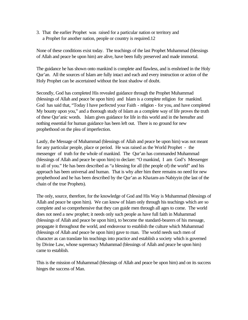3. That the earlier Prophet was raised for a particular nation or territory and a Prophet for another nation, people or country is required.12

None of these conditions exist today. The teachings of the last Prophet Muhammad (blessings of Allah and peace be upon him) are alive, have been fully preserved and made immortal.

The guidance he has shown onto mankind is complete and flawless, and is enshrined in the Holy Qur'an. All the sources of Islam are fully intact and each and every instruction or action of the Holy Prophet can be ascertained without the least shadow of doubt.

Secondly, God has completed His revealed guidance through the Prophet Muhammad (blessings of Allah and peace be upon him) and Islam is a complete religion for mankind. God has said that, "Today I have perfected your Faith - religion - for you, and have completed My bounty upon you," and a thorough study of Islam as a complete way of life proves the truth of these Qur'anic words. Islam gives guidance for life in this world and in the hereafter and nothing essential for human guidance has been left out. There is no ground for new prophethood on the plea of imperfection.

Lastly, the Message of Muhammad (blessings of Allah and peace be upon him) was not meant for any particular people, place or period. He was raised as the World Prophet - the messenger of truth for the whole of mankind. The Qur'an has commanded Muhammad (blessings of Allah and peace be upon him) to declare: "O mankind, I am God's Messenger to all of you." He has been described as "a blessing for all (the people of) the world" and his approach has been universal and human. That is why after him there remains no need for new prophethood and he has been described by the Qur'an as Khatam-an-Nabiyyin (the last of the chain of the true Prophets).

The only, source, therefore, for the knowledge of God and His Way is Muhammad (blessings of Allah and peace be upon him). We can know of Islam only through his teachings which are so complete and so comprehensive that they can guide men through all ages to come. The world does not need a new prophet; it needs only such people as have full faith in Muhammad (blessings of Allah and peace be upon him), to become the standard-bearers of his message, propagate it throughout the world, and endeavour to establish the culture which Muhammad (blessings of Allah and peace be upon him) gave to man. The world needs such men of character as can translate his teachings into practice and establish a society which is governed by Divine Law, whose supremacy Muhammad (blessings of Allah and peace be upon him) came to establish.

This is the mission of Muhammad (blessings of Allah and peace be upon him) and on its success hinges the success of Man.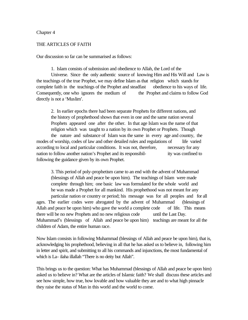#### Chapter 4

#### THE ARTICLES OF FAITH

Our discussion so far can be summarised as follows:

1. Islam consists of submission and obedience to Allah, the Lord of the

Universe. Since the only authentic source of knowing Him and His Will and Law is the teachings of the true Prophet, we may define Islam as that religion which stands for complete faith in the teachings of the Prophet and steadfast obedience to his ways of life. Consequently, one who ignores the medium of the Prophet and claims to follow God directly is not a 'Muslim'.

2. In earlier epochs there had been separate Prophets for different nations, and the history of prophethood shows that even in one and the same nation several Prophets appeared one after the other. In that age Islam was the name of that religion which was taught to a nation by its own Prophet or Prophets. Though the nature and substance of Islam was the same in every age and country, the modes of worship, codes of law and other detailed rules and regulations of life varied according to local and particular conditions. It was not, therefore, necessary for any nation to follow another nation's Prophet and its responsibil- ity was confined to following the guidance given by its own Prophet.

3. This period of poly-prophetism came to an end with the advent of Muhammad (blessings of Allah and peace be upon him). The teachings of Islam were made complete through him; one basic law was formulated for the whole world and he was made a Prophet for all mankind. His prophethood was not meant for any particular nation or country or period; his message was for all peoples and for all ages. The earlier codes were abrogated by the advent of Muhammad (blessings of Allah and peace be upon him) who gave the world a complete code of life. This means there will be no new Prophets and no new religious code until the Last Day. Muhammad's (blessings of Allah and peace be upon him) teachings are meant for all the children of Adam, the entire human race.

Now Islam consists in following Muhammad (blessings of Allah and peace be upon him), that is, acknowledging his prophethood, believing in all that he has asked us to believe in, following him in letter and spirit, and submitting to all his commands and injunctions, the most fundamental of which is La- ilaha illallah "There is no deity but Allah".

This brings us to the question: What has Muhammad (blessings of Allah and peace be upon him) asked us to believe in? What are the articles of Islamic faith? We shall discuss these articles and see how simple, how true, how lovable and how valuable they are and to what high pinnacle they raise the status of Man in this world and the world to come.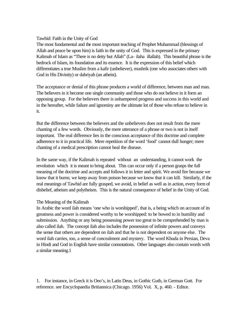# Tawhid: Faith in the Unity of God

The most fundamental and the most important teaching of Prophet Muhammad (blessings of Allah and peace be upon him) is faith in the unity of God. This is expressed in the primary Kalimah of Islam as "There is no deity but Allah" (La- ilaha illallah). This beautiful phrase is the bedrock of Islam, its foundation and its essence. It is the expression of this belief which differentiates a true Muslim from a kafir (unbeliever), mushrik (one who associates others with God in His Divinity) or dahriyah (an atheist).

The acceptance or denial of this phrase produces a world of difference, between man and man. The believers in it become one single community and those who do not believe in it form an opposing group. For the believers there is unhampered progress and success in this world and in the hereafter, while failure and ignominy are the ultimate lot of those who refuse to believe in it.

But the difference between the believers and the unbelievers does not result from the mere chanting of a few words. Obviously, the mere utterance of a phrase or two is not in itself important. The real difference lies in the conscious acceptance of this doctrine and complete adherence to it in practical life. Mere repetition of the word 'food' cannot dull hunger; mere chanting of a medical prescription cannot heal the disease.

In the same way, if the Kalimah is repeated without an understanding, it cannot work the revolution which it is meant to bring about. This can occur only if a person grasps the full meaning of the doctrine and accepts and follows it in letter and spirit. We avoid fire because we know that it burns; we keep away from poison because we know that it can kill. Similarly, if the real meanings of Tawhid are fully grasped, we avoid, in belief as well as in action, every form of disbelief, atheism and polytheism. This is the natural consequence of belief in the Unity of God.

# The Meaning of the Kalimah

In Arabic the word ilah means 'one who is worshipped', that is, a being which on account of its greatness and power is considered worthy to be worshipped: to be bowed to in humility and submission. Anything or any being possessing power too great to be comprehended by man is also called ilah. The concept ilah also includes the possession of infinite powers and conveys the sense that others are dependent on ilah and that he is not dependent on anyone else. The word ilah carries, too, a sense of concealment and mystery. The word Khuda in Persian, Deva in Hindi and God in English have similar connotations. Other languages also contain words with a similar meaning.1

1. For instance, in Greck it is Oeo's, in Latin Deus, in Gothic Guth, in German Gott. For reference. see Encyclopaedia Britiannica (Chicago. 1956) Vol. X, p. 460. - Editor.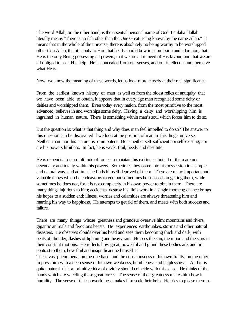The word Allah, on the other hand, is the essential personal name of God. La ilaha illallah literally means "There is no ilah other than the One Great Being known by the name Allah." It means that in the whole of the universe, there is absolutely no being worthy to be worshipped other than Allah, that it is only to Him that heads should bow in submission and adoration, that He is the only Being possessing all powers, that we are all in need of His favour, and that we are all obliged to seek His help. He is concealed from our senses, and our intellect cannot perceive what He is.

Now we know the meaning of these words, let us look more closely at their real significance.

From the earliest known history of man as well as from the oldest relics of antiquity that we have been able to obtain, it appears that in every age man recognised some deity or deities and worshipped them. Even today every nation, from the most primitive to the most advanced, believes in and worships some deity. Having a deity and worshipping him is ingrained in human nature. There is something within man's soul which forces him to do so.

But the question is: what is that thing and why does man feel impelled to do so? The answer to this question can be discovered if we look at the position of man in this huge universe. Neither man nor his nature is omnipotent. He is neither self-sufficient nor self-existing; nor are his powers limitless. In fact, he is weak, frail, needy and destitute.

He is dependent on a multitude of forces to maintain his existence, but all of them are not essentially and totally within his powers. Sometimes they come into his possession in a simple and natural way, and at times he finds himself deprived of them. There are many important and valuable things which he endeavours to get, but sometimes he succeeds in getting them, while sometimes he does not, for it is not completely in his own power to obtain them. There are many things injurious to him; accidents destroy his life's work in a single moment; chance brings his hopes to a sudden end; illness, worries and calamities are always threatening him and marring his way to happiness. He attempts to get rid of them, and meets with both success and failure.

There are many things whose greatness and grandeur overawe him: mountains and rivers, gigantic animals and ferocious beasts. He experiences earthquakes, storms and other natural disasters. He observes clouds over his head and sees them becoming thick and dark, with peals of, thunder, flashes of lightning and heavy rain. He sees the sun, the moon and the stars in their constant motions. He reflects how great, powerful and grand these bodies are, and, in contrast to them, how frail and insignificant he himself is!

These vast phenomena, on the one hand, and the consciousness of his own frailty, on the other, impress him with a deep sense of his own weakness, humbleness and helplessness. And it is quite natural that a primitive idea of divinity should coincide with this sense. He thinks of the hands which are wielding these great forces. The sense of their greatness makes him bow in humility. The sense of their powerfulness makes him seek their help. He tries to please them so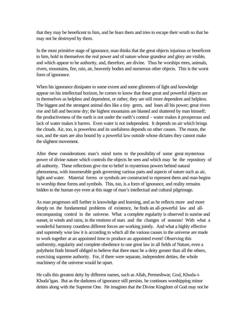that they may be beneficent to him, and he fears them and tries to escape their wrath so that he may not be destroyed by them.

In the most primitive stage of ignorance, man thinks that the great objects injurious or beneficent to him, hold in themselves the real power and of nature whose grandeur and glory are visible, and which appear to be authority, and, therefore, are divine. Thus he worships trees, animals, rivers, mountains, fire, rain, air, heavenly bodies and numerous other objects. This is the worst form of ignorance.

When his ignorance dissipates to some extent and some glimmers of light and knowledge appear on his intellectual horizon, he comes to know that these great and powerful objects are in themselves as helpless and dependent, or rather, they are still more dependent and helpless. The biggest and the strongest animal dies like a tiny germ, and loses all his power; great rivers rise and fall and become dry; the highest mountains are blasted and shattered by man himself; the productiveness of the earth is not under the earth's control - water makes it prosperous and lack of water makes it barren. Even water is not independent. It depends on air which brings the clouds. Air, too, is powerless and its usefulness depends on other causes. The moon, the sun, and the stars are also bound by a powerful law outside whose dictates they cannot make the slightest movement.

After these considerations man's mind turns to the possibility of some great mysterious power of divine nature which controls the objects he sees and which may be the repository of all authority. These reflections give rise to belief in mysterious powers behind natural phenomena, with innumerable gods governing various parts and aspects of nature such as air, light and water. Material forms or symbols are constructed to represent them and man begins to worship these forms and symbols. This, too, is a form of ignorance, and reality remains hidden to the human eye even at this stage of man's intellectual and cultural pilgrimage.

As man progresses still further in knowledge and learning, and as he reflects more and more deeply on the fundamental problems of existence, he finds an all-powerful law and allencompassing control in the universe. What a complete regularity is observed in sunrise and sunset, in winds and rains, in the motions of stars and the changes of seasons! With what a wonderful harmony countless different forces are working jointly. And what a highly effective and supremely wise law it is according to which all the various causes in the universe are made to work together at an appointed time to produce an appointed event! Observing this uniformity, regularity and complete obedience to one great law in all fields of Nature, even a polytheist finds himself obliged to believe that there must be a deity greater than all the others, exercising supreme authority. For, if there were separate, independent deities, the whole machinery of the universe would be upset.

He calls this greatest deity by different names, such as Allah, Permeshwar, God, Khuda-i-Khuda'igan. But as the darkness of ignorance still persists. he continues worshipping minor deities along with the Supreme One. He imagines that the Divine Kingdom of God may not be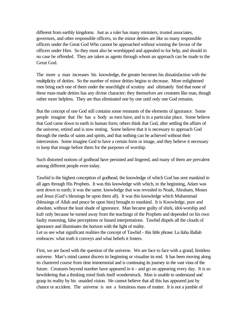different from earthly kingdoms. Just as a ruler has many ministers, trusted associates, governors, and other responsible officers, so the minor deities are like so many responsible officers under the Great God Who cannot be approached without winning the favour of the officers under Him. So they must also be worshipped and appealed to for help, and should in no case be offended. They are taken as agents through whom an approach can be made to the Great God.

The more a man increases his knowledge, the greater becomes his dissatisfaction with the multiplicity of deities. So the number of minor deities begins to decrease. More enlightened men bring each one of them under the searchlight of scrutiny and ultimately find that none of these man-made deities has any divine character; they themselves are creatures like man, though rather more helpless. They are thus eliminated one by one until only one God remains.

But the concept of one God still contains some remnants of the elements of ignorance. Some people imagine that He has a body as men have, and is in a particular place. Some believe that God came down to earth in human form; others think that God, after settling the affairs of the universe, retired and is now resting. Some believe that it is necessary to approach God through the media of saints and spirits, and that nothing can be achieved without their intercession. Some imagine God to have a certain form or image, and they believe it necessary to keep that image before them for the purposes of worship.

Such distorted notions of godhead have persisted and lingered, and many of them are prevalent among different people even today.

Tawhid is the highest conception of godhead, the knowledge of which God has sent mankind in all ages through His Prophets. It was this knowledge with which, in the beginning, Adam was sent down to earth; it was the same. knowledge that was revealed to Noah, Abraham, Moses and Jesus (God's blessings be upon them all). It was this knowledge which Muhammad (blessings of Allah and peace be upon him) brought to mankind. It is Knowledge, pure and absolute, without the least shade of ignorance. Man became guilty of shirk, idol-worship and kufr only because he turned away from the teachings of the Prophets and depended on his own faulty reasoning, false perceptions or biased interpretations. Tawhid dispels all the clouds of ignorance and illuminates the horizon with the light of reality.

Let us see what significant realities the concept of Tawhid - this little phrase: La ilaha illallah embraces: what truth it conveys and what beliefs it fosters.

First, we are faced with the question of the universe. We are face to face with a grand, limitless universe. Man's mind cannot discern its beginning or visualise its end. It has been moving along its chartered course from time immemorial and is continuing its journey in the vast vista of the future. Creatures beyond number have appeared in it - and go on appearing every day. It is so bewildering that a thinking mind finds itself wonderstruck. Man is unable to understand and grasp its reality by his unaided vision. He cannot believe that all this has appeared just by chance or accident. The universe is not a fortuitous mass of matter. It is not a jumble of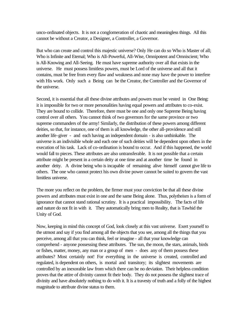unco-ordinated objects. It is not a conglomeration of chaotic and meaningless things. All this cannot be without a Creator, a Designer, a Controller, a Governor.

But who can create and control this majestic universe? Only He can do so Who is Master of all; Who is Infinite and Eternal; Who is All-Powerful, All-Wise, Omnipotent and Omniscient; Who is All-Knowing and All-Seeing. He must have supreme authority over all that exists in the universe. He must possess limitless powers, must be Lord of the universe and all that it contains, must be free from every flaw and weakness and none may have the power to interfere with His work. Only such a Being can be the Creator, the Controller and the Governor of the universe.

Second, it is essential that all these divine attributes and powers must be vested in One Being: it is impossible for two or more personalities having equal powers and attributes to co-exist. They are bound to collide. Therefore, there must be one and only one Supreme Being having control over all others. You cannot think of two governors for the same province or two supreme commanders of the army! Similarly, the distribution of these powers among different deities, so that, for instance, one of them is all knowledge, the other all-providence and still another life-giver - and each having an independent domain - is also unthinkable. The universe is an indivisible whole and each one of such deities will be dependent upon others in the execution of his task. Lack of co-ordination is bound to occur. And if this happened, the world would fall to pieces. These attributes are also untransferable. It is not possible that a certain attribute might be present in a certain deity at one time and at another time be found in another deity. A divine being who is incapable of remaining alive himself cannot give life to others. The one who cannot protect his own divine power cannot be suited to govern the vast limitless universe.

The more you reflect on the problem, the firmer must your conviction be that all these divine powers and attributes must exist in one and the same Being alone. Thus, polytheism is a form of ignorance that cannot stand rational scrutiny. It is a practical impossibility. The facts of life and nature do not fit in with it. They automatically bring men to Reality, that is Tawhid the Unity of God.

Now, keeping in mind this concept of God, look closely at this vast universe. Exert yourself to the utmost and say if you find among all the objects that you see, among all the things that you perceive, among all that you can think, feel or imagine - all that your knowledge can comprehend - anyone possessing these attributes. The sun, the moon, the stars, animals, birds or fishes, matter, money, any man or a group of men - does any of them possess these attributes? Most certainly not! For everything in the universe is created, controlled and regulated, is dependent on others, is mortal and transitory; its slightest movements are controlled by an inexorable law from which there can be no deviation. Their helpless condition proves that the attire of divinity cannot fit their body. They do not possess the slightest trace of divinity and have absolutely nothing to do with it. It is a travesty of truth and a folly of the highest magnitude to attribute divine status to them.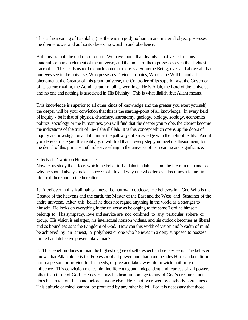This is the meaning of La- ilaha, (i.e. there is no god) no human and material object possesses the divine power and authority deserving worship and obedience.

But this is not the end of our quest. We have found that divinity is not vested in any material or human element of the universe, and that none of them possesses even the slightest trace of it. This leads us to the conclusion that there is a Supreme Being, over and above all that our eyes see in the universe, Who possesses Divine attributes, Who is the Will behind all phenomena, the Creator of this grand universe, the Controller of its superb Law, the Governor of its serene rhythm, the Administrator of all its workings: He is Allah, the Lord of the Universe and no one and nothing is associated in His Divinity. This is what illallah (but Allah) means.

This knowledge is superior to all other kinds of knowledge and the greater you exert yourself, the deeper will be your conviction that this is the starting-point of all knowledge. In every field of inquiry - be it that of physics, chemistry, astronomy, geology, biology, zoology, economics, politics, sociology or the humanities, you will find that the deeper you probe, the clearer become the indications of the truth of La- ilaha illallah. It is this concept which opens up the doors of inquiry and investigation and illumines the pathways of knowledge with the light of reality. And if you deny or disregard this reality, you will find that at every step you meet disillusionment, for the denial of this primary truth robs everything in the universe of its meaning and significance.

#### Effects of Tawhid on Human Life

Now let us study the effects which the belief in La ilaha illallah has on the life of a man and see why he should always make a success of life and why one who denies it becomes a failure in life, both here and in the hereafter.

1. A believer in this Kalimah can never be narrow in outlook. He believes in a God Who is the Creator of the heavens and the earth, the Master of the East and the West and Sustainer of the entire universe. After this belief he does not regard anything in the world as a stranger to himself. He looks on everything in the universe as belonging to the same Lord he himself belongs to. His sympathy, love and service are not confined to any particular sphere or group. His vision is enlarged, his intellectual horizon widens, and his outlook becomes as liberal and as boundless as is the Kingdom of God. How can this width of vision and breadth of mind be achieved by an atheist, a polytheist or one who believes in a deity supposed to possess limited and defective powers like a man?

2. This belief produces in man the highest degree of self-respect and self-esteem. The believer knows that Allah alone is the Possessor of all power, and that none besides Him can benefit or harm a person, or provide for his needs, or give and take away life or wield authority or influence. This conviction makes him indifferent to, and independent and fearless of, all powers other than those of God. He never bows his head in homage to any of God's creatures, nor does he stretch out his hand before anyone else. He is not overawed by anybody's greatness. This attitude of mind cannot be produced by any other belief. For it is necessary that those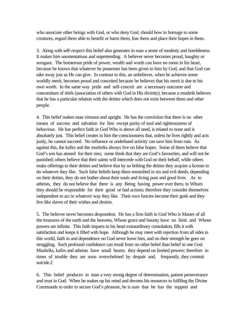who associate other beings with God, or who deny God, should bow in homage to some creatures, regard them able to benefit or harm them, fear them and place their hopes in them.

3. Along with self-respect this belief also generates in man a sense of modesty and humbleness. It makes him unostentatious and unpretending. A believer never becomes proud, haughty or arrogant. The boisterous pride of power, wealth and worth can have no room in his heart, because he knows that whatever he possesses has been given to him by God, and that God can take away just as He can give. In contrast to this, an unbeliever, when he achieves some worldly merit, becomes proud and conceited because he believes that his merit is due to his own worth. In the same way pride and self-conceit are a necessary outcome and concomitant of shirk (association of others with God in His divinity), because a mushrik believes that he has a particular relation with the deities which does not exist between them and other people.

4. This belief makes man virtuous and upright. He has the conviction that there is no other means of success and salvation for him except purity of soul and righteousness of behaviour. He has perfect faith in God Who is above all need, is related to none and is absolutely just. This belief creates in him the consciousness that, unless he lives rightly and acts justly, he cannot succeed. No influence or underhand activity can save him from ruin. As against this, the kafirs and the mushriks always live on false hopes. Some of them believe that God's son has atoned for their sins; some think that they are God's favourites, and will not be punished; others believe that their saints will intercede with God on their behalf, while others make offerings to their deities and believe that by so bribing the deities they acquire a license to do whatever they like. Such false beliefs keep them enmeshed in sin and evil deeds; depending on their deities, they do not bother about their souls and living pure and good lives. As to atheists, they do not believe that there is any Being having power over them, to Whom they should be responsible for their good or bad actions; therefore they consider themselves independent to act in whatever way they like. Their own fancies become their gods and they live like slaves of their wishes and desires.

5. The believer never becomes despondent. He has a firm faith in God Who is Master of all the treasures of the earth and the heavens, Whose grace and bounty have no limit and Whose powers are infinite. This faith imparts to his heart extraordinary consolation, fills it with satisfaction and keeps it filled with hope. Although he may meet with rejection from all sides in this world, faith in and dependence on God never leave him, and on their strength he goes on struggling. Such profound confidence can result from no other belief than belief in one God. Mushriks, kafirs and atheists have small hearts; they depend on limited powers; therefore in times of trouble they are soon overwhelmed by despair and, frequently, they commit suicide.2

6. This belief produces in man a very strong degree of determination, patient perseverance and trust in God. When he makes up his mind and devotes his resources to fulfiling the Divine Commands in order to secure God's pleasure, he is sure that he has the support and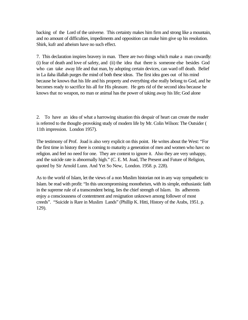backing of the Lord of the universe. This certainty makes him firm and strong like a mountain, and no amount of difficulties, impediments and opposition can make him give up his resolution. Shirk, kufr and atheism have no such effect.

7. This declaration inspires bravery in man. There are two things which make a man cowardly: (i) fear of death and love of safety, and (ii) the idea that there is someone else besides God who can take away life and that man, by adopting certain devices, can ward off death. Belief in La ilaha illallah purges the mind of both these ideas. The first idea goes out of his mind because he knows that his life and his property and everything else really belong to God, and he becomes ready to sacrifice his all for His pleasure. He gets rid of the second idea because he knows that no weapon, no man or animal has the power of taking away his life; God alone

2. To have an idea of what a harrowing situation this despair of heart can create the reader is referred to the thought-provoking study of modern life by Mr. Colin Wilson: The Outsider ( 11th impression. London 1957).

The testimony of Prof. Joad is also very explicit on this point. He writes about the West: "For the first time in history there is coming to maturity a generation of men and women who havc no religion. and feel no need for one. They are content to ignore it. Also they are very unhappy, and the suicide rate is abnormally high." (C. E. M. Joad, The Present and Future of Religion, quoted by Sir Arnold Lunn. And Yet So New, London. 1958. p. 228).

As to the world of Islam, let the views of a non Muslim historian not in any way sympathetic to Islam. be read with profit: "In this uncompromising monotheism, with its simple, enthusiastic faith in the supreme rule of a transcendent being, lies the chief strength of Islam. Its adherents enjoy a consciousness of contentment and resignation unknown among follower of most creeds". "Suicide is Rare in Muslim Lands" (Phillip K. Hitti, History of the Arabs, 1951. p. 129).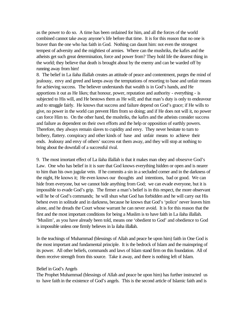as the power to do so. A time has been ordained for him, and all the forces of the world combined cannot take away anyone's life before that time. It is for this reason that no one is braver than the one who has faith in God. Nothing can daunt him: not even the strongest tempest of adversity and the mightiest of armies. Where can the mushriks, the kafirs and the atheists get such great determination, force and power from? They hold life the dearest thing in the world; they believe that death is brought about by the enemy and can be warded off by running away from him!

8. The belief in La ilaha illallah creates an attitude of peace and contentment, purges the mind of jealousy, envy and greed and keeps away the temptations of resorting to base and unfair means for achieving success. The believer understands that wealth is in God's hands, and He apportions it out as He likes; that honour, power, reputation and authority - everything - is subjected to His will, and He bestows them as He will; and that man's duty is only to endeavour and to struggle fairly. He knows that success and failure depend on God's grace; if He wills to give, no power in the world can prevent Him from so doing; and if He does not will it, no power can force Him to. On the other hand, the mushriks, the kafirs and the atheists consider success and failure as dependent on their own efforts and the help or opposition of earthly powers. Therefore, they always remain slaves to cupidity and envy. They never hesitate to turn to bribery, flattery. conspiracy and other kinds of base and unfair means to achieve their ends. Jealousy and envy of others' success eat them away, and they will stop at nothing to bring about the downfall of a successful rival.

9. The most imortant effect of La ilaha illallah is that it makes man obey and obsesrve God's Law. One who has belief in it is sure that God knows everything hidden or open and is nearer to him than his own jugular vein. If he commits a sin in a secluded corner and in the darkness of the night, He knows it; He even knows our thoughts and intentions, bad or good. We can hide from everyone, but we cannot hide anything from God; we can evade everyone, but it is impossible to evade God's grip. The firmer a man's belief is in this respect, the more observant will he be of God's commands; he will shun what God has forbidden and he will carry out His behest even in solitude and in darkness, because he knows that God's 'police' never leaves him alone, and he dreads the Court whose warrant he can never avoid. It is for this reason that the first and the most important conditions for being a Muslim is to have faith in La ilaha illallah. 'Muslim', as you have already been told, means one 'obedient to God' and obedience to God is impossible unless one firmly believes in la ilaha illallah.

In the teachings of Muhammad (blessings of Allah and peace be upon him) faith in One God is the most important and fundamental principle. It is the bedrock of Islam and the mainspring of its power. All other beliefs, commands and laws of Islam stand firm on this foundation. All of them receive strength from this source. Take it away, and there is nothing left of Islam.

#### Belief in God's Angels

The Prophet Muhammad (blessings of Allah and peace be upon him) has further instructed us to have faith in the existence of God's angels. This is the second article of Islamic faith and is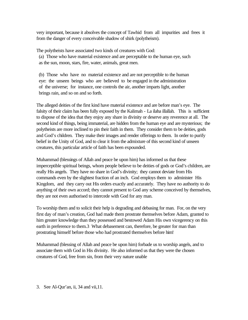very important, because it absolves the concept of Tawhid from all impurities and frees it from the danger of every conceivable shadow of shirk (polytheism).

The polytheists have associated two kinds of creatures with God: (a) Those who have material existence and are perceptable to the human eye, such as the sun, moon, stars, fire, water, animals, great men.

 (b) Those who have no material existence and are not perceptible to the human eye: the unseen beings who are believed to be engaged in the administration of the universe; for instance, one controls the air, another imparts light, another brings rain, and so on and so forth.

The alleged deities of the first kind have material existence and are before man's eye. The falsity of their claim has been fully exposed by the Kalimah - La ilaha illallah. This is sufficient to dispose of the idea that they enjoy any share in divinity or deserve any reverence at all. The second kind of things, being immaterial, are hidden from the human eye and are mysterious; the polytheists are more inclined to pin their faith in them. They consider them to be deities, gods and God's children. They make their images and render offerings to them. In order to purify belief in the Unity of God, and to clear it from the admixture of this second kind of unseen creatures, this particular article of faith has been expounded.

Muhammad (blessings of Allah and peace be upon him) has informed us that these imperceptible spiritual beings, whom people believe to be deities of gods or God's children, are really His angels. They have no share in God's divinity; they cannot deviate from His commands even by the slightest fraction of an inch. God employs them to administer His Kingdom, and they carry out His orders exactly and accurately. They have no authority to do anything of their own accord; they cannot present to God any scheme conceived by themselves, they are not even authorised to intercede with God for any man.

To worship them and to solicit their help is degrading and debasing for man. For, on the very first day of man's creation, God had made them prostrate themselves before Adam, granted to him greater knowledge than they possessed and bestowed Adam His own vicegerency on this earth in preference to them.3 What debasement can, therefore, be greater for man than prostrating himself before those who had prostrated themselves before him!

Muhammad (blessing of Allah and peace be upon him) forbade us to worship angels, and to associate them with God in His divinity. He also informed us that they were the chosen creatures of God, free from sin, from their very nature unable

3. See Al-Qur'an, ii, 34 and vii,11.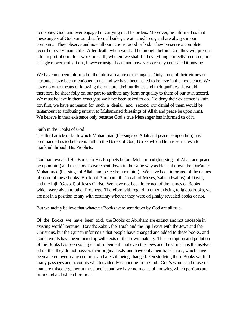to disobey God, and ever engaged in carrying out His orders. Moreover, he informed us that these angels of God surround us from all sides, are attached to us, and are always in our company. They observe and note all our actions, good or bad. They preserve a complete record of every man's life. After death, when we shall be brought before God, they will present a full report of our life's-work on earth, wherein we shall find everything correctly recorded, not a single movement left out, however insignificant and however carefully concealed it may be.

We have not been informed of the intrinsic nature of the angels. Only some of their virtues or attributes have been mentioned to us, and we have been asked to believe in their existence. We have no other means of knowing their nature, their attributes and their qualities. It would therefore, be sheer folly on our part to attribute any form or quality to them of our own accord. We must believe in them exactly as we have been asked to do. To deny their existence is kufr for, first, we have no reason for such a denial, and, second, our denial of them would be tantamount to attributing untruth to Muhammad (blessings of Allah and peace be upon him). We believe in their existence only because God's true Messenger has informed us of it.

#### Faith in the Books of God

The third article of faith which Muhammad (blessings of Allah and peace be upon him) has commanded us to believe is faith in the Books of God, Books which He has sent down to mankind through His Prophets.

God had revealed His Books to His Prophets before Muhammad (blessings of Allah and peace be upon him) and these books were sent down in the same way as He sent down the Qur'an to Muhammad (blessings of Allah and peace be upon him). We have been informed of the names of some of these books: Books of Abraham, the Torah of Moses, Zabur (Psalms) of David, and the Injil (Gospel) of Jesus Christ. We have not been informed of the names of Books which were given to other Prophets. Therefore with regard to other existing religious books, we are not in a position to say with certainty whether they were originally revealed books or not.

But we tacitly believe that whatever Books were sent down by God are all true.

Of the Books we have been told, the Books of Abraham are extinct and not traceable in existing world literature. David's Zabur, the Torah and the Inji'l exist with the Jews and the Christians, but the Qur'an informs us that people have changed and added to these books, and God's words have been mixed up with texts of their own making. This corruption and pollution of the Books has been so large and so evident that even the Jews and the Christians themselves admit that they do not possess their original texts, and have only their translations, which have been altered over many centuries and are still being changed. On studying these Books we find many passages and accounts which evidently cannot be from God. God's words and those of man are mixed together in these books, and we have no means of knowing which portions are from God and which from man.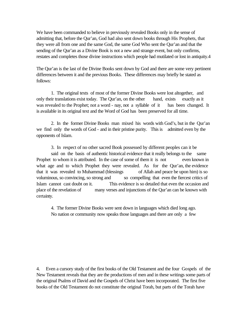We have been commanded to believe in previously revealed Books only in the sense of admitting that, before the Qur'an, God had also sent down books through His Prophets, that they were all from one and the same God, the same God Who sent the Qur'an and that the sending of the Qur'an as a Divine Book is not a new and strange event, but only confirms, restates and completes those divine instructions which people had mutilated or lost in antiquity.4

The Qur'an is the last of the Divine Books sent down by God and there are some very pertinent differences between it and the previous Books. These differences may briefly be stated as follows:

1. The original texts of most of the former Divine Books were lost altogether, and only their translations exist today. The Qur'an, on the other hand, exists exactly as it was revealed to the Prophet; not a word - nay, not a syllable of it has been changed. It is available in its original text and the Word of God has been preserved for all time.

2. In the former Divine Books man mixed his words with God's, but in the Qur'an we find only the words of God - and in their pristine purity. This is admitted even by the opponents of Islam.

3. In respect of no other sacred Book possessed by different peoples can it be

said on the basis of authentic historical evidence that it really belongs to the same Prophet to whom it is attributed. In the case of some of them it is not even known in what age and to which Prophet they were revealed. As for the Qur'an, the evidence that it was revealed to Muhammad (blessings of Allah and peace be upon him) is so voluminous, so convincing, so strong and so compelling that even the fiercest critics of Islam cannot cast doubt on it. This evidence is so detailed that even the occasion and place of the revelation of many verses and injunctions of the Qur'an can be known with certainty.

4. The former Divine Books were sent down in languages which died long ago. No nation or community now speaks those languages and there are only a few

4. Even a cursory study of the first books of the Old Testament and the four Gospels of the New Testament reveals that they are the productions of men and in these writings some parts of the original Psalms of David and the Gospels of Christ have been incorporated. The first five books of the Old Testament do not constitute the original Torah, but parts of the Torah have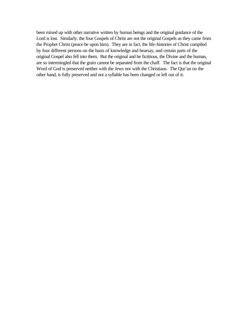been mixed up with other narrative written by human beings and the original guidance of the Lord is lost. Similarly. the four Gospels of Christ are not the original Gospels as they came from the Prophet Christ (peace be upon him). They are in fact, the life-histories of Christ compiled by four different persons on the basis of knowledge and hearsay, and certain parts of the original Gospel also fell into them. But the original and he fictitious, the Divine and the human, are so intermingled that the grain cannot be separated from the chaff. The fact is that the original Word of God is preserved neither with the Jews nor with the Christians. The Qur'an on the other hand, is fully preserved and not a syllable has been changed or left out of it.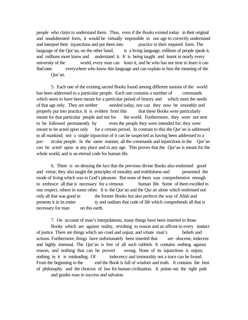people who claim to understand them. Thus, even if the Books existed today in their original and unadulterated form, it would be virtually impossible in our age to correctly understand and interpret their injunctions and put them into practice in their required form. The language of the Qur'an, on the other hand, is a living language; millions of people speak it, and millions more know and understand it. It is being taught and learnt in nearly every university of the world, every man can learn it, and he who has not time to learn it can find men everywhere who know this language and can explain to him the meaning of the Qur'an.

5. Each one of the existing sacred Books found among different nations of the world has been addressed to a particular people. Each one contains a number of commands which seem to have been meant for a particular period of history and which meet the needs of that age only. They are neither needed today, nor can they now be smoothly and properly put into practice. It is evident from this that these Books were particularly meant for that particular people and not for the world. Furthermore, they were not sent to be followed permanently by even the people they were intended for; they were meant to be acted upon only for a certain period. In contrast to this the Qur'an is addressed to all mankind; not a single injunction of it can be suspected as having been addressed to a par- ticular people. In the same manner, all the commands and injunctions in the Qur'an can be acted upon at any place and in any age. This proves that the Qur'an is meant for the whole world, and is an eternal code for human life.

6. There is no denying the fact that the previous divine Books also enshrined good and virtue; they also taught the principles of morality and truthfulness and presented the mode of living which was to God's pleasure. But none of them was comprehensive enough to embrace all that is necessary for a virtuous human life. Some of them excelled in one respect, others in some other. It is the Qur'an and the Qur an alone which enshrined not only all that was good in the former Books but also perfects the way of Allah and presents it in its entire ty and outlines that code of life which comprehends all that is necessary for man on this earth.

7. On account of man's interpolations, many things have been inserted in those

Books which are against reality, revolting to reason and an affront to every instinct of justice. There are things which are cruel and unjust, and vitiate man's beliefs and actions. Furthermore, things have unfortunately been inserted that are obscene, indecent and highly immoral. The Qur'an is free of all such rubbish. It contains nothing against reason, and nothing that can be proved wrong. None of its injunctions is unjust; nothing in it is misleading. Of indecency and immorality not a trace can be found. From the beginning to the end the Book is full of wisdom and truth. It contains the best of philosophy and the choicest of law for human civilisation. It points out the right path and guides man to success and salvaion.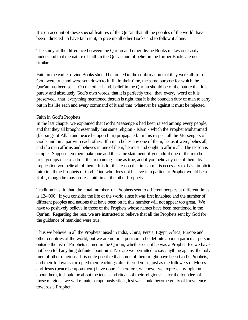It is on account of these special features of the Qur'an that all the peoples of the world have been directed to have faith in it, to give up all other Books and to follow it alone.

The study of the difference between the Qur'an and other divine Books makes one easily understand that the nature of faith in the Qur'an and of belief in the former Books are not similar.

Faith in the earlier divine Books should be limited to the confirmation that they were all from God, were true and were sent down to fulfil, in their time, the same purpose for which the Qur'an has been sent. On the other hand, belief in the Qur'an should be of the nature that it is purely and absolutely God's own words, that it is perfectly true, that every, word of it is preserved, that everything mentioned therein is right, that it is the bounden duty of man to carry out in his life each and every command of it and that whatever be against it must be rejected.

#### Faith in God's Prophets

In the last chapter we explained that God's Messengers had been raised among every people, and that they all brought essentially that same religion - Islam - which the Prophet Muhammad (blessings of Allah and peace be upon him) propagated. In this respect all the Messengers of God stand on a par with each other. If a man belies any one of them, he, as it were, belies all, and if a man affirms and believes in one of them, he must and ought to affirm all. The reason is simple. Suppose ten men make one and the same statement; if you admit one of them to be true, you ipso facto admit the remaining nine as true, and if you belie any one of them, by implication you belie all of them. It is for this reason that in Islam it is necessary to have implicit faith in all the Prophets of God. One who does not believe in a particular Prophet would be a Kafir, though he may profess faith in all the other Prophets.

Tradition has it that the total number of Prophets sent to different peoples at different times is 124,000. If you consider the life of the world since it was first inhabited and the number of different peoples and nations that have been on it, this number will not appear too great. We have to positively believe in those of the Prophets whose names have been mentioned in the Qur'an. Regarding the rest, we are instructed to believe that all the Prophets sent by God for the guidance of mankind were true.

Thus we believe in all the Prophets raised in India, China, Persia, Egypt, Africa, Europe and other countries of the world, but we are not in a position to be definite about a particular person outside the list of Prophets named in the Qur'an, whether or not he was a Prophet, for we have not been told anything definite about him. Nor are we permitted to say anything against the holy men of other religions. It is quite possible that some of them might have been God's Prophets, and their followers corrupted their teachings after their demise, just as the followers of Moses and Jesus (peace be upon them) have done. Therefore, whenever we express any opinion about them, it should be about the tenets and rituals of their religions; as for the founders of those religions, we will remain scrupulously silent, lest we should become guilty of irreverence towards a Prophet.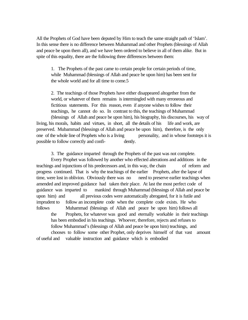All the Prophets of God have been deputed by Him to teach the same straight path of 'Islam'. In this sense there is no difference between Muhammad and other Prophets (blessings of Allah and peace be upon them all), and we have been ordered to believe in all of them alike. But in spite of this equality, there are the following three differences between them:

1. The Prophets of the past came to certain people for certain periods of time, while Muhammad (blessings of Allah and peace be upon him) has been sent for the whole world and for all time to come.5

2. The teachings of those Prophets have either disappeared altogether from the world, or whatever of them remains is intermingled with many erroneous and fictitious statements. For this reason, even if anyone wishes to follow their teachings, he cannot do so. In contrast to this, the teachings of Muhammad (blessings of Allah and peace be upon him), his biography, his discourses, his way of living, his morals, habits and virtues, in short, all the details of his life and work, are preserved. Mubammad (blessings of Allah and peace be upon him), therefore, is the only one of the whole line of Prophets who is a living personality, and in whose footsteps it is possible to follow correctly and confi- dently.

3. The guidance imparted through the Prophets of the past was not complete.

Every Prophet was followed by another who effected alterations and additions in the teachings and injunctions of his predecessors and, in this way, the chain of reform and progress continued. That is why the teachings of the earlier Prophets, after the lapse of time, were lost in oblivion. Obviously there was no need to preserve earlier teachings when amended and improved guidance had taken their place. At last the most perfect code of guidance was imparted to mankind through Muhammad (blessings of Allah and peace be upon him) and all previous codes were automatically abrogated, for it is futile and imprudent to follow an incomplete code when the complete code exists. He who follows Muhammad (blessings of Allah and peace be upon him) follows all the Prophets, for whatever was good and eternally workable in their teachings has been embodied in his teachings. Whoever, therefore, rejects and refuses to follow Muhammad's (blessings of Allah and peace be upon him) teachings, and chooses to follow some other Prophet, only deprives himself of that vast amount of useful and valuable instruction and guidance which is embodied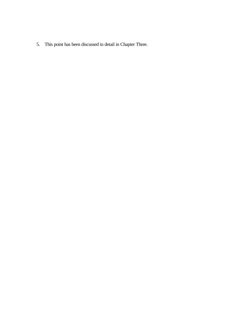5. This point has been discussed in detail in Chapter Three.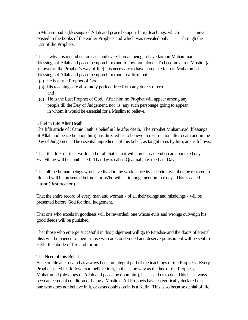in Muhammad's (blessings of Allah and peace be upon him) teachings, which never existed in the books of the earlier Prophets and which was revealed only through the Last of the Prophets.

This is why it is incumbent on each and every human being to have faith in Muhammad (blessings of Allah and peace be upon him) and follow him alone. To become a true Muslim (a follower of the Prophet's way of life) it is necessary to have complete faith in Muhammad (blessings of Allah and peace be upon him) and to affirm that:

- (a) He is a true Prophet of God;
- (b) His teachings are absolutely perfect, free from any defect or error and
- (c) He is the Last Prophet of God. After him no Prophet will appear among any people till the Day of Judgement, nor is any such personage going to appear in whom it would be essential for a Muslim to believe.

# Belief in Life After Death

The fifth article of Islamic Faith is belief in life after death. The Prophet Muhammad (blessings of Allah and peace be upon him) has directed us to believe in resurrection after death and in the Day of Judgement. The essential ingredients of this belief, as taught to us by him, are as follows:

That the life of this world and of all that is in it will come to an end on an appointed day. Everything will be annihilated. That day is called Qiyamah, i.e. the Last Day.

That all the human beings who have lived in the world since its inception will then be restored to life and will be presented before God Who will sit in judgement on that day. This is called Hashr (Resurrection).

That the entire record of every man and woman - of all their doings and misdoings - will be presented before God for final judgement.

That one who excels in goodness will be rewarded; one whose evils and wrongs outweigh his good deeds will be punished.

That those who emerge successful in this judgement will go to Paradise and the doors of eternal bliss will be opened to them- those who are condemned and deserve punishment will be sent to Hell - the abode of fire and torture.

# The Need of this Belief

Belief in life after death has always been an integral part of the teachings of the Prophets. Every Prophet asked his followers to believe in it, in the same way as the last of the Prophets, Muhammad (blessings of Allah and peace be upon him), has asked us to do. This has always been an essential condition of being a Muslim. All Prophets have categorically declared that one who does not believe in it, or casts doubts on it, is a Kafir. This is so because denial of life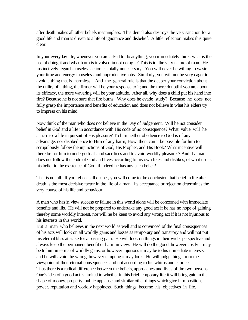after death makes all other beliefs meaningless. This denial also destroys the very sanction for a good life and man is driven to a life of ignorance and disbelief. A little reflection makes this quite clear.

In your everyday life, whenever you are asked to do anything, you immediately think: what is the use of doing it and what harm is involved in not doing it? This is in the very nature of man. He instinctively regards a useless action as totally unnecessary. You will never be willing to waste your time and energy in useless and unproductive jobs. Similarly, you will not be very eager to avoid a thing that is harmless. And the general rule is that the deeper your conviction about the utility of a thing, the firmer will be your response to it; and the more doubtful you are about its efficacy, the more wavering will be your attitude. After all, why does a child put his hand into fire? Because he is not sure that fire burns. Why does he evade study? Because he does not fully grasp the importance and benefits of education and does not believe in what his elders try to impress on his mind.

Now think of the man who does not believe in the Day of Judgement. Will he not consider belief in God and a life in accordance with His code of no consequence? What value will he attach to a life in pursuit of His pleasure? To him neither obedience to God is of any advantage, nor disobedience to Him of any harm, How, then, can it be possible for him to scrupulously follow the injunctions of God, His Prophet, and His Book? What incentive will there be for him to undergo trials and sacrifices and to avoid worldly pleasures? And if a man does not follow the code of God and lives according to his own likes and dislikes, of what use is his belief in the existence of God, if indeed he has any such belief?

That is not all. If you reflect still deeper, you will come to the conclusion that belief in life after death is the most decisive factor in the life of a man. Its acceptance or rejection determines the very course of his life and behaviour.

A man who has in view success or failure in this world alone will be concerned with immediate benefits and ills. He will not be prepared to undertake any good act if he has no hope of gaining thereby some worldly interest, nor will he be keen to avoid any wrong act if it is not injurious to his interests in this world.

But a man who believes in the next world as well and is convinced of the final consequences of his acts will look on all worldly gains and losses as temporary and transitory and will not put his eternal bliss at stake for a passing gain. He will look on things in their wider perspective and always keep the permanent benefit or harm in view. He will do the good, however costly it may be to him in terms of worldly gains, or however injurious it may be to his immediate interests; and he will avoid the wrong, however tempting it may look. He will judge things from the viewpoint of their eternal consequences and not according to his whims and caprices. Thus there is a radical difference between the beliefs, approaches and lives of the two persons. One's idea of a good act is limited to whether in this brief temporary life it will bring gain in the shape of money, property, public applause and similar other things which give him position, power, reputation and worldly happiness. Such things become his objectives in life.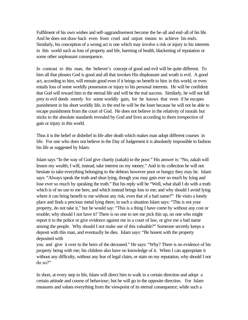Fulfilment of his own wishes and self-aggrandisement become the be-all and end-all of his life. And he does not draw back even from cruel and unjust means to achieve his ends. Similarly, his conception of a wrong act is one which may involve a risk or injury to his interests in this world such as loss of property and life, harming of health, blackening of reputation or some other unpleasant consequence.

In contrast to this man, the believer's concept of good and evil will be quite different. To him all that pleases God is good and all that invokes His displeasure and wrath is evil. A good act, according to him, will remain good even if it brings no benefit to him in this world, or even entails loss of some worldly possession or injury to his personal interests. He will be confident that God will reward him in the eternal life and will be the real success. Similarly, he will not fall prey to evil deeds merely for some worldly gain, for he knows that even if he escapes punishment in his short worldly life, in the end he will be the loser because he will not be able to escape punishment from the court of God. He does not believe in the relativity of morals but sticks to the absolute standards revealed by God and lives according to them irrespective of gain or injury in this world.

Thus it is the belief or disbelief in life after death which makes man adopt different courses in life. For one who does not believe in the Day of Judgement it is absolutely impossible to fashion his life as suggested by Islam.

Islam says "In the way of God give charity (zakah) to the poor." His answer is: "No, zakah will lessen my wealth; I will, instead, take interest on my money." And in its collection he will not hesitate to take everything belonging to the debtors however poor or hungry they may be. Islam says: "Always speak the truth and shun lying, though you may gain ever so much by lying and lose ever so much by speaking the truth." But his reply will be "Well, what shall I do with a truth which is of no use to me here, and which instead brings loss to me; and why should I avoid lying where it can bring benefit to me without any risk, even that of a bad name?" He visits a lonely place and finds a precious metal lying there; in such a situation Islam says: "This is not your property, do not take it," but he would say: "This is a thing I have come by without any cost or trouble; why should I not have it? There is no one to see me pick this up, no one who might report it to the police or give evidence against me in a court of law, or give me a bad name among the people. Why should I not make use of this valuable?" Someone secretly keeps a deposit with this man, and eventually he dies. Islam says: "Be honest with the property deposited with

you and give it over to the heirs of the deceased." He says: "Why? There is no evidence of his property being with me; his children also have no knowledge of it. When I can appropriate it without any difficulty, without any fear of legal claim, or stain on my reputation, why should I not do so?"

In short, at every step in life, Islam will direct him to walk in a certain direction and adopt a certain attitude and course of behaviour; but he will go in the opposite direction. For Islam measures and values everything from the viewpoint of its eternal consequence; while such a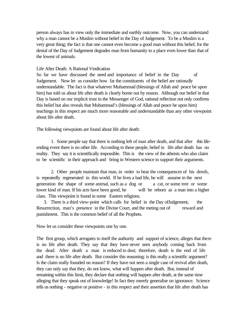person always has in view only the immediate and earthly outcome. Now, you can understand why a man cannot be a Muslim without belief in the Day of Judgement. To be a Muslim is a very great thing; the fact is that one cannot even become a good man without this belief, for the denial of the Day of Judgement degrades man from humanity to a place even lower than that of the lowest of animals.

#### Life After Death: A Rational Vindication

So far we have discussed the need and importance of belief in the Day of Judgement. Now let us consider how far the constituents of the belief are rationally understandable. The fact is that whatever Muhammad (blessings of Allah and peace be upon him) has told us about life after death is clearly borne out by reason. Although our belief in that Day is based on our implicit trust in the Messenger of God, rational reflection not only confirms this belief but also reveals that Muhammad's (blessings of Allah and peace be upon him) teachings in this respect are much more reasonable and understandable than any other viewpoint about life after death.

The following viewpoints are found about life after death:

1. Some people say that there is nothing left of man after death, and that after this lifeending event there is no other life. According to these people, belief in life after death has no reality. They say it is scientifically impossible. This is the view of the atheists who also claim to be scientific in their approach and bring in Western science to support their arguments.

2. Other people maintain that man, in order to bear the consequences of his deeds, is repeatedly regenerated in this world. If he lives a bad life, he will assume in the next generation the shape of some animal, such as a dog or a cat, or some tree or some lower kind of man. If his acts have been good, he will be reborn as a man into a higher class. This viewpoint is found in some Eastern religions.

 3. There is a third view-point which calls for belief in the Day ofJudgement, the Resurrection, man's presence in the Divine Court, and the meting out of reward and punishment. This is the common belief of all the Prophets.

Now let us consider these viewpoints one by one.

The first group, which arrogates to itself the authority and support of science, alleges that there is no life after death. They say that they have never seen anybody coming back from the dead. After death a man is reduced to dust; therefore, death is the end of life and there is no life after death. But consider this reasoning: is this really a scientific argument? Is the claim really founded on reason? If they have not seen a single case of revival after death, they can only say that they, do not know, what will happen after death. But, instead of remaining within this limit, they declare that nothing will happen after death, at the same time alleging that they speak out of knowledge! In fact they merely generalise on ignorance. Science tells us nothing - negative or positive - in this respect and their assertion that life after death has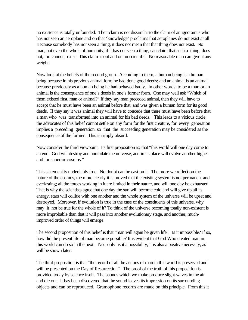no existence is totally unfounded. Their claim is not dissimilar to the claim of an ignoramus who has not seen an aeroplane and on that 'knowledge' proclaims that aeroplanes do not exist at all! Because somebody has not seen a thing, it does not mean that that thing does not exist. No man, not even the whole of humanity, if it has not seen a thing, can claim that such a thing does not, or cannot, exist. This claim is out and out unscientific. No reasonable man can give it any weight.

Now look at the beliefs of the second group. According to them, a human being is a human being because in his previous animal form he had done good deeds; and an animal is an animal because previously as a human being he had behaved badly. In other words, to be a man or an animal is the consequence of one's deeds in one's former form. One may well ask "Which of them existed first, man or animal?" If they say man preceded animal, then they will have to accept that he must have been an animal before that, and was given a human form for its good deeds. If they say it was animal they will have to concede that there must have been before that a man who was transformed into an animal for his bad deeds. This leads to a vicious circle; the advocates of this belief cannot settle on any form for the first creature, for every generation implies a preceding generation so that the succeeding generation may be considered as the consequence of the former. This is simply absurd.

Now consider the third viewpoint. Its first proposition is: that "this world will one day come to an end. God will destroy and annihilate the universe, and in its place will evolve another higher and far superior cosmos."

This statement is undeniably true. No doubt can be cast on it. The more we reflect on the nature of the cosmos, the more clearly it is proved that the existing system is not permanent and everlasting; all the forces working in it are limited in their nature, and will one day be exhausted. That is why the scientists agree that one day the sun will become cold and will give up all its energy, stars will collide with one another and the whole system of the universe will be upset and destroyed. Moreover, if evolution is true in the case of the constituents of this universe, why may it not be true for the whole of it? To think of the universe becoming totally non-existent is more improbable than that it will pass into another evolutionary stage, and another, muchimproved order of things will emerge.

The second proposition of this belief is that "man will again be given life". Is it impossible? If so, how did the present life of man become possible? It is evident that God Who created man in this world can do so in the next. Not only is it a possibility, it is also a positive necessity, as will be shown later.

The third proposition is that "the record of all the actions of man in this world is preserved and will be presented on the Day of Resurrection". The proof of the truth of this proposition is provided today by science itself. The sounds which we make produce slight waves in the air and die out. It has been discovered that the sound leaves its impression on its surrounding objects and can be reproduced. Gramophone records are made on this principle. From this it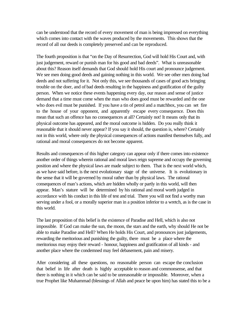can be understood that the record of every movement of man is being impressed on everything which comes into contact with the waves produced by the movements. This shows that the record of all our deeds is completely preserved and can be reproduced.

The fourth proposition is that "on the Day of Resurrection, God will hold His Court and, with just judgement, reward or punish man for his good and bad deeds". What is unreasonable about this? Reason itself demands that God should hold His court and pronounce judgement. We see men doing good deeds and gaining nothing in this world. We see other men doing bad deeds and not suffering for it. Not only this, we see thousands of cases of good acts bringing trouble on the doer, and of bad deeds resulting in the happiness and gratification of the guilty person. When we notice these events happening every day, our reason and sense of justice demand that a time must come when the man who does good must be rewarded and the one who does evil must be punished. If you have a tin of petrol and a matchbox, you can set fire to the house of your opponent, and apparently escape every consequence. Does this mean that such an offence has no consequences at all? Certainly not! It means only that its physical outcome has appeared, and the moral outcome is hidden. Do you really think it reasonable that it should never appear? If you say it should, the question is, where? Certainly not in this world, where only the physical consequences of actions manifest themselves fully, and rational and moral consequences do not become apparent.

Results and consequences of this higher category can appear only if there comes into existence another order of things wherein rational and moral laws reign supreme and occupy the governing position and where the physical laws are made subject to them. That is the next world which, as we have said before, is the next evolutionary stage of the universe. It is evolutionary in the sense that it will be governed by moral rather than by physical laws. The rational consequences of man's actions, which are hidden wholly or partly in this world, will then appear. Man's stature will be determined by his rational and moral worth judged in accordance with his conduct in this life of test and trial. There you will not find a worthy man serving under a fool, or a morally superior man in a position inferior to a wretch, as is the case in this world.

The last proposition of this belief is the existence of Paradise and Hell, which is also not impossible. If God can make the sun, the moon, the stars and the earth, why should He not be able to make Paradise and Hell? When He holds His Court, and pronounces just judgements, rewarding the meritorious and punishing the guilty, there must be a place where the meritorious may enjoy their reward - honour, happiness and gratification of all kinds - and another place where the condemned may feel debasement, pain and misery.

After considering all these questions, no reasonable person can escape the conclusion that belief in life after death is highly acceptable to reason and commonsense, and that there is nothing in it which can be said to be unreasonable or impossible. Moreover, when a true Prophet like Muhammad (blessings of Allah and peace be upon him) has stated this to be a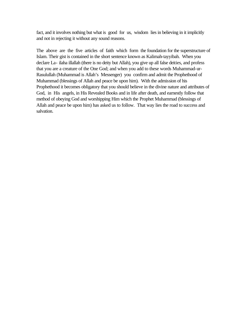fact, and it involves nothing but what is good for us, wisdom lies in believing in it implicitly and not in rejecting it without any sound reasons.

The above are the five articles of faith which form the foundation for the superstructure of Islam. Their gist is contained in the short sentence known as Kalimah-tayyibah. When you declare La- ilaha illallah (there is no deity but Allah), you give up all false deities, and profess that you are a creature of the One God; and when you add to these words Muhammad-ur-Rasulullah (Muhammad is Allah's Messenger) you confirm and admit the Prophethood of Muhammad (blessings of Allah and peace be upon him). With the admission of his Prophethood it becomes obligatory that you should believe in the divine nature and attributes of God, in His angels, in His Revealed Books and in life after death, and earnestly follow that method of obeying God and worshipping Him which the Prophet Muhammad (blessings of Allah and peace be upon him) has asked us to follow. That way lies the road to success and salvation.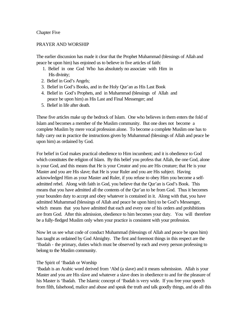# Chapter Five

## PRAYER AND WORSHIP

The earlier discussion has made it clear that the Prophet Muhammad (blessings of Allah and peace be upon him) has enjoined us to believe in five articles of faith:

- 1. Belief in one God Who has absolutely no associate with Him in His divinity;
- 2. Belief in God's Angels;
- 3. Belief in God's Books, and in the Holy Qur'an as His Last Book
- 4. Belief in God's Prophets, and in Muhammad (blessings of Allah and peace be upon him) as His Last and Final Messenger; and
- 5. Belief in life after death.

These five articles make up the bedrock of Islam. One who believes in them enters the fold of Islam and becomes a member of the Muslim community. But one does not become a complete Muslim by mere vocal profession alone. To become a complete Muslim one has to fully carry out in practice the instructions given by Muhammad (blessings of Allah and peace be upon him) as ordained by God.

For belief in God makes practical obedience to Him incumbent; and it is obedience to God which constitutes the religion of Islam. By this belief you profess that Allah, the one God, alone is your God, and this means that He is your Creator and you are His creature; that He is your Master and you are His slave; that He is your Ruler and you are His subject. Having acknowledged Him as your Master and Ruler, if you refuse to obey Him you become a selfadmitted rebel. Along with faith in God, you believe that the Qur'an is God's Book. This means that you have admitted all the contents of the Qur'an to be from God. Thus it becomes your bounden duty to accept and obey whatever is contained in it. Along with that, you have admitted Muhammad (blessings of Allah and peace be upon him) to be God's Messenger, which means that you have admitted that each and every one of his orders and prohibitions are from God. After this admission, obedience to him becomes your duty. You will therefore be a fully-fledged Muslim only when your practice is consistent with your profession.

Now let us see what code of conduct Muhammad (blessings of Allah and peace be upon him) has taught as ordained by God Almighty. The first and foremost things in this respect are the 'Ibadah - the primary, duties which must be observed by each and every person professing to belong to the Muslim community.

# The Spirit of 'Ibadah or Worship

'Ibadah is an Arabic word derived from 'Abd (a slave) and it means submission. Allah is your Master and you are His slave and whatever a slave does in obedience to and for the pleasure of his Master is 'Ibadah. The Islamic concept of 'Ibadah is very wide. If you free your speech from filth, falsehood, malice and abuse and speak the truth and talk goodly things, and do all this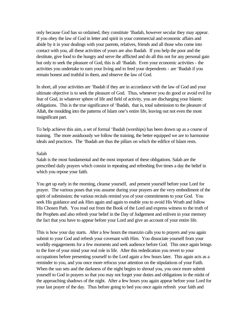only because God has so ordained, they constitute 'Ibadah, however secular they may appear. If you obey the law of God in letter and spirit in your commercial and economic affairs and abide by it in your dealings with your parents, relatives, friends and all those who come into contact with you, all these activities of yours are also Ibadah. If you help the poor and the destitute, give food to the hungry and serve the afflicted and do all this not for any personal gain but only to seek the pleasure of God, this is all 'Ibadah. Even your economic activities - the activities you undertake to earn your living and to feed your dependents - are 'Ibadah if you remain honest and truthful in them, and observe the law of God.

In short, all your activities are 'Ibadah if they are in accordance with the law of God and your ultimate objective is to seek the pleasure of God. Thus, whenever you do good or avoid evil for fear of God, in whatever sphere of life and field of activity, you are discharging your Islamic obligations. This is the true significance of 'Ibadah, that is, total submission to the pleasure of Allah, the moulding into the patterns of Islam one's entire life, leaving out not even the most insignificant part.

To help achieve this aim, a set of formal 'Ibadah (worships) has been drawn up as a course of training. The more assiduously we follow the training, the better equipped we are to harmonise ideals and practices. The 'Ibadah are thus the pillars on which the edifice of Islam rests.

#### Salah

Salah is the most fundamental and the most important of these obligations. Salah are the prescribed daily prayers which consist in repeating and refreshing five times a day the belief in which you repose your faith.

You get up early in the morning, cleanse yourself, and present yourself before your Lord for prayer. The various poses that you assume during your prayers are the very embodiment of the spirit of submission; the various recitals remind you of your commitments to your God. You seek His guidance and ask Him again and again to enable you to avoid His Wrath and follow His Chosen Path. You read out from the Book of the Lord and express witness to the truth of the Prophets and also refresh your belief in the Day of Judgement and enliven in your memory the fact that you have to appear before your Lord and give an account of your entire life.

This is how your day starts. After a few hours the muezzin calls you to prayers and you again submit to your God and refresh your covenant with Him. You dissociate yourself from your worldly engagements for a few moments and seek audience before God. This once again brings to the fore of your mind your real role in life. After this rededication you revert to your occupations before presenting yourself to the Lord again a few hours later. This again acts as a reminder to you, and you once more refocus your attention on the stipulations of your Faith. When the sun sets and the darkness of the night begins to shroud you, you once more submit yourself to God in prayers so that you may not forget your duties and obligations in the midst of the approaching shadows of the night. After a few hours you again appear before your Lord for your last prayer of the day. Thus before going to bed you once again refresh your faith and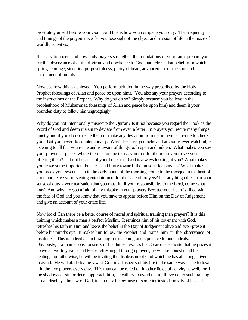prostrate yourself before your God. And this is how you complete your day. The frequency and timings of the prayers never let you lose sight of the object and mission of life in the maze of worldly activities.

It is easy to understand how daily prayers strengthen the foundations of your faith, prepare you for the observance of a life of virtue and obedience to God, and refresh that belief from which springs courage, sincerity, purposefulness, purity of heart, advancement of the soul and enrichment of morals.

Now see how this is achieved. You perform ablution in the way prescribed by the Holy Prophet (blessings of Allah and peace be upon him). You also say your prayers according to the instructions of the Prophet. Why do you do so? Simply because you believe in the prophethood of Muhammad (blessings of Allah and peace be upon him) and deem it your bounden duty to follow him ungrudgingly.

Why do you not intentionally misrecite the Qur'an? Is it not because you regard the Book as the Word of God and deem it a sin to deviate from even a letter? In prayers you recite many things quietly and if you do not recite them or make any deviation from them there is no-one to check you. But you never do so intentionally. Why? Because you believe that God is ever watchful, is listening to all that you recite and is aware of things both open and hidden. What makes you say your prayers at places where there is no one to ask you to offer them or even to see you offering them? Is it not because of your belief that God is always looking at you? What makes you leave some important business and hurry towards the mosque for prayers? What makes you break your sweet sleep in the early hours of the morning, come to the mosque in the heat of noon and leave your evening entertainment for the sake of prayers? Is it anything other than your sense of duty - your realisation that you must fulfil your responsibility to the Lord, come what may? And why are you afraid of any mistake in your prayer? Because your heart is filled with the fear of God and you know that you have to appear before Him on the Day of Judgement and give an account of your entire life.

Now look! Can there be a better course of moral and spiritual training than prayers? It is this training which makes a man a perfect Muslim. It reminds him of his covenant with God, refreshes his faith in Him and keeps the belief in the Day of Judgement alive and ever-present before his mind's eye. It makes him follow the Prophet and trains him in the observance of his duties. This is indeed a strict training for matching one's practice to one's ideals. Obviously, if a man's consciousness of his duties towards his Creator is so acute that he prizes it above all worldly gains and keeps refreshing it through prayers, he will be honest in all his dealings for, otherwise, he will be inviting the displeasure of God which he has all along striven to avoid. He will abide by the law of God in all aspects of his life in the same way as he follows it in the five prayers every day. This man can be relied on in other fields of activity as well, for if the shadows of sin or deceit approach him, he will try to avoid them. If even after such training, a man disobeys the law of God, it can only be because of some intrinsic depravity of his self.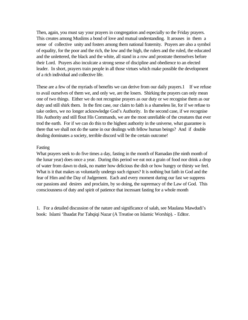Then, again, you must say your prayers in congregation and especially so the Friday prayers. This creates among Muslims a bond of love and mutual understanding. It arouses in them a sense of collective unity and fosters among them national fraternity. Prayers are also a symbol of equality, for the poor and the rich, the low and the high, the rulers and the ruled, the educated and the unlettered, the black and the white, all stand in a row and prostrate themselves before their Lord. Prayers also inculcate a strong sense of discipline and obedience to an elected leader. In short, prayers train people in all those virtues which make possible the development of a rich individual and collective life.

These are a few of the myriads of benefits we can derive from our daily prayers.1 If we refuse to avail ourselves of them we, and only we, are the losers. Shirking the prayers can only mean one of two things. Either we do not recognise prayers as our duty or we recognise them as our duty and still shirk them. In the first case, our claim to faith is a shameless lie, for if we refuse to take orders, we no longer acknowledge God's Authority. In the second case, if we recognise His Authority and still flout His Commands, we are the most unreliable of the creatures that ever trod the earth. For if we can do this to the highest authority in the universe, what guarantee is there that we shall not do the same in our dealings with fellow human beings? And if double dealing dominates a society, terrible discord will be the certain outcome!

## Fasting

What prayers seek to do five times a day, fasting in the month of Ramadan (the ninth month of the lunar year) does once a year. During this period we eat not a grain of food nor drink a drop of water from dawn to dusk, no matter how delicious the dish or how hungry or thirsty we feel. What is it that makes us voluntarily undergo such rigours? It is nothing but faith in God and the fear of Him and the Day of Judgement. Each and every moment during our fast we suppress our passions and desires and proclaim, by so doing, the supremacy of the Law of God. This consciousness of duty and spirit of patience that incessant fasting for a whole month

1. For a detailed discussion of the nature and significance of salah, see Maulana Mawdudi's book: Islami 'Ibaadat Par Tahqiqi Nazar (A Treatise on Islamic Worship). - Editor.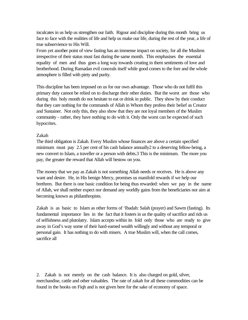inculcates in us help us strengthen our faith. Rigour and discipline during this month bring us face to face with the realities of life and help us make our life, during the rest of the year, a life of true subservience to His Will.

From yet another point of view fasting has an immense impact on society, for all the Muslims irrespective of their status must fast during the same month. This emphasises the essential equality of men and thus goes a long way towards creating in them sentiments of love and brotherhood. During Ramadan evil conceals itself while good comes to the fore and the whole atmosphere is filled with piety and purity.

This discipline has been imposed on us for our own advantage. Those who do not fulfil this primary duty cannot be relied on to discharge their other duties. But the worst are those who during this holy month do not hesitate to eat or drink in public. They show by their conduct that they care nothing for the commands of Allah in Whom they profess their belief as Creator and Sustainer. Not only this, they also show that they are not loyal members of the Muslim community - rather, they have nothing to do with it. Only the worst can be expected of such hypocrites.

# Zakah

The third obligation is Zakah. Every Muslim whose finances are above a certain specified minimum must pay 2.5 per cent of his cash balance annually2 to a deserving fellow-being, a new convert to Islam, a traveller or a person with debts.3 This is the minimum. The more you pay, the greater the reward that Allah will bestow on you.

The money that we pay as Zakah is not something Allah needs or receives. He is above any want and desire. He, in His benign Mercy, promises us manifold rewards if we help our brethren. But there is one basic condition for being thus rewarded: when we pay in the name of Allah, we shall neither expect nor demand any worldly gains from the beneficiaries nor aim at becoming known as philanthropists.

Zakah is as basic to Islam as other forms of 'Ibadah: Salah (prayer) and Sawm (fasting). Its fundamental importance lies in the fact that it fosters in us the quality of sacrifice and rids us of selfishness and plutolatry. Islam accepts within its fold only those who are ready to give away in God's way some of their hard-earned wealth willingly and without any temporal or personal gain. It has nothing to do with misers. A true Muslim will, when the call comes, sacrifice all

2. Zakah is not merely on the cash balance. It is also charged on gold, silver, merchandise, cattle and other valuables. The rate of zakah for all these commodities can be found in the books on Fiqh and is not given here for the sake of economy of space.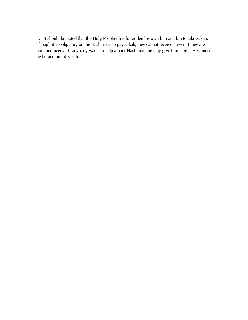3. It should be noted that the Holy Prophet has forbidden his own kith and kin to take zakah. Though it is obligatory on the Hashimites to pay zakah, they cannot receive it even if they are poor and needy. If anybody wants to help a poor Hashimite, he may give him a gift. He cannot be helped out of zakah.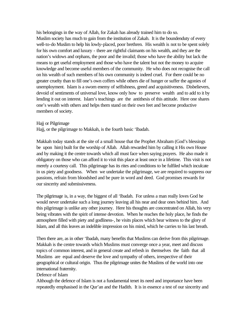his belongings in the way of Allah, for Zakah has already trained him to do so. Muslim society has much to gain from the institution of Zakah. It is the boundenduty of every well-to-do Muslim to help his lowly-placed, poor brethren. His wealth is not to be spent solely for his own comfort and luxury - there are rightful claimants on his wealth, and they are the nation's widows and orphans, the poor and the invalid; those who have the ability but lack the means to get useful employment and those who have the talent but not the money to acquire knowledge and become useful members of the community. He who does not recognise the call on his wealth of such members of his own community is indeed cruel. For there could be no greater cruelty than to fill one's own coffers while others die of hunger or suffer the agonies of unemployment. Islam is a sworn enemy of selfishness, greed and acquisitiveness. Disbelievers, devoid of sentiments of universal love, know only how to preserve wealth and to add to it by lending it out on interest. Islam's teachings are the antithesis of this attitude. Here one shares one's wealth with others and helps them stand on their own feet and become productive members of society.

#### Hajj or Pilgrimage

Hajj, or the pilgrimage to Makkah, is the fourth basic 'Ibadah.

Makkah today stands at the site of a small house that the Prophet Abraham (God's blessings be upon him) built for the worship of Allah. Allah rewarded him by calling it His own House and by making it the centre towards which all must face when saying prayers. He also made it obligatory on those who can afford it to visit this place at least once in a lifetime. This visit is not merely a courtesy call. This pilgrimage has its rites and conditions to be fulfiled which inculcate in us piety and goodness. When we undertake the pilgrimage, we are required to suppress our passions, refrain from bloodshed and be pure in word and deed. God promises rewards for our sincerity and submissiveness.

The pilgrimage is, in a way, the biggest of all 'Ibadah. For unless a man really loves God he would never undertake such a long journey leaving all his near and dear ones behind him. And this pilgrimage is unlike any other journey. Here his thoughts are concentrated on Allah, his very being vibrates with the spirit of intense devotion. When he reaches the holy place, he finds the atmosphere filled with piety and godliness-, he visits places which bear witness to the glory of Islam, and all this leaves an indelible impression on his mind, which he carries to his last breath.

Then there are, as in other 'Ibadah, many benefits that Muslims can derive from this pilgrimage. Makkah is the centre towards which Muslims must converge once a year, meet and discuss topics of common interest, and in general create and refresh in themselves the faith that all Muslims are equal and deserve the love and sympathy of others, irrespective of their geographical or cultural origin. Thus the pilgrimage unites the Muslims of the world into one international fraternity.

#### Defence of Islam

Although the defence of Islam is not a fundamental tenet its need and importance have been repeatedly emphasised in the Qur'an and the Hadith. It is in essence a test of our sincerity and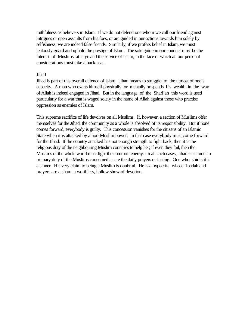truthfulness as believers in Islam. If we do not defend one whom we call our friend against intrigues or open assaults from his foes, or are guided in our actions towards him solely by selfishness, we are indeed false friends. Similarly, if we profess belief in Islam, we must jealously guard and uphold the prestige of Islam. The sole guide in our conduct must be the interest of Muslims at large and the service of Islam, in the face of which all our personal considerations must take a back seat.

## Jihad

Jihad is part of this overall defence of Islam. Jihad means to struggle to the utmost of one's capacity. A man who exerts himself physically or mentally or spends his wealth in the way of Allah is indeed engaged in Jihad. But in the language of the Shari'ah this word is used particularly for a war that is waged solely in the name of Allah against those who practise oppression as enemies of Islam.

This supreme sacrifice of life devolves on all Muslims. If, however, a section of Muslims offer themselves for the Jihad, the community as a whole is absolved of its responsibility. But if none comes forward, everybody is guilty. This concession vanishes for the citizens of an Islamic State when it is attacked by a non-Muslim power. In that case everybody must come forward for the Jihad. If the country attacked has not enough strength to fight back, then it is the religious duty of the neighbouring Muslim countries to help her; if even they fail, then the Muslims of the whole world must fight the common enemy. In all such cases, Jihad is as much a primary duty of the Muslims concerned as are the daily prayers or fasting. One who shirks it is a sinner. His very claim to being a Muslim is doubtful. He is a hypocrite whose 'Ibadah and prayers are a sham, a worthless, hollow show of devotion.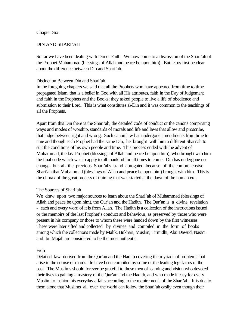## Chapter Six

# DIN AND SHARI'AH

So far we have been dealing with Din or Faith. We now come to a discussion of the Shari'ah of the Prophet Muhammad (blessings of Allah and peace be upon him). But let us first be clear about the difference between Din and Shari'ah.

## Distinction Between Din and Shari'ah

In the foregoing chapters we said that all the Prophets who have appeared from time to time propagated Islam, that is a belief in God with all His attributes, faith in the Day of Judgement and faith in the Prophets and the Books; they asked people to live a life of obedience and submission to their Lord. This is what constitutes al-Din and it was common to the teachings of all the Prophets.

Apart from this Din there is the Shari'ah, the detailed code of conduct or the canons comprising ways and modes of worship, standards of morals and life and laws that allow and proscribe, that judge between right and wrong. Such canon law has undergone amendments from time to time and though each Prophet had the same Din, he brought with him a different Shari'ah to suit the conditions of his own people and time. This process ended with the advent of Muhammad, the last Prophet (blessings of Allah and peace be upon him), who brought with him the final code which was to apply to all mankind for all times to come. Din has undergone no change, but all the previous Shari'ahs stand abrogated because of the comprehensive Shari'ah that Muhammad (blessings of Allah and peace be upon him) brought with him. This is the climax of the great process of training that was started at the dawn of the human era.

#### The Sources of Shari'ah

We draw upon two major sources to learn about the Shari'ah of Muhammad (blessings of Allah and peace be upon him), the Qur'an and the Hadith. The Qur'an is a divine revelation - each and every word of it is from Allah. The Hadith is a collection of the instructions issued or the memoirs of the last Prophet's conduct and behaviour, as preserved by those who were present in his company or those to whom these were handed down by the first witnesses. These were later sifted and collected by divines and compiled in the form of books among which the collections made by Malik, Bukhari, Muslim, Tirmidhi, Abu Dawud, Nasa'i and Ibn Majah are considered to be the most authentic.

#### Fiqh

Detailed law derived from the Qur'an and the Hadith covering the myriads of problems that arise in the course of man's life have been compiled by some of the leading legislators of the past. The Muslims should forever be grateful to those men of learning and vision who devoted their lives to gaining a mastery of the Qur'an and the Hadith, and who made it easy for every Muslim to fashion his everyday affairs according to the requirements of the Shari'ah. It is due to them alone that Muslims all over the world can follow the Shari'ah easily even though their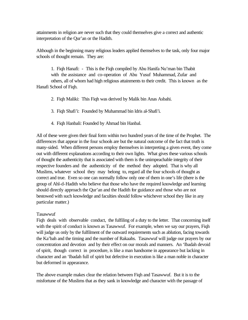attainments in religion are never such that they could themselves give a correct and authentic interpretation of the Qur'an or the Hadith.

Although in the beginning many religious leaders applied themselves to the task, only four major schools of thought remain. They are:

1. Fiqh Hanafi: - This is the Fiqh compiled by Abu Hanifa Nu'man bin Thabit with the assistance and co-operation of Abu Yusuf Muhammad, Zufar and others, all of whom had high religious attainments to their credit. This is known as the Hanafi School of Fiqh.

- 2. Fiqh Maliki: This Fiqh was derived by Malik bin Anas Asbahi.
- 3. Fiqh Shafi'i: Founded by Muhammad bin ldris al-Shafi'i.
- 4. Fiqh Hanbali: Founded by Ahmad bin Hanbal.

All of these were given their final form within two hundred years of the time of the Prophet. The differences that appear in the four schools are but the natural outcome of the fact that truth is many-sided. When different persons employ themselves in interpreting a given event, they come out with different explanations according to their own lights. What gives these various schools of thought the authenticity that is associated with them is the unimpeachable integrity of their respective founders and the authenticity of the method they adopted. That is why all Muslims, whatever school they may belong to, regard all the four schools of thought as correct and true. Even so one can normally follow only one of them in one's life (there is the group of Ahl-d-Hadith who believe that those who have the required knowledge and learning should directly approach the Qur'an and the Hadith for guidance and those who are not bestowed with such knowledge and faculties should follow whichever school they like in any particular matter.)

#### Tasawwuf

Fiqh deals with observable conduct, the fulfiling of a duty to the letter. That concerning itself with the spirit of conduct is known as Tasawwuf. For example, when we say our prayers, Fiqh will judge us only by the fulfilment of the outward requirements such as ablution, facing towards the Ka'bah and the timing and the number of Rakaahs. Tasawwuf will judge our prayers by our concentration and devotion and by their effect on our morals and manners. An 'Ibadah devoid of spirit, though correct in procedure, is like a man handsome in appearance but lacking in character and an 'Ibadah full of spirit but defective in execution is like a man noble in character but deformed in appearance.

The above example makes clear the relation between Fiqh and Tasawwuf. But it is to the misfortune of the Muslims that as they sank in knowledge and character with the passage of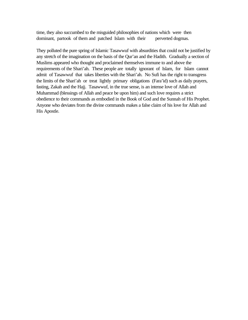time, they also succumbed to the misguided philosophies of nations which were then dominant, partook of them and patched Islam with their perverted dogmas.

They polluted the pure spring of Islamic Tasawwuf with absurdities that could not be justified by any stretch of the imagination on the basis of the Qur'an and the Hadith. Gradually a section of Muslims appeared who thought and proclaimed themselves immune to and above the requirements of the Shari'ah. These people are totally ignorant of Islam, for Islam cannot admit of Tasawwuf that takes liberties with the Shari'ah. No Sufi has the right to transgress the limits of the Shari'ah or treat lightly primary obligations (Fara'id) such as daily prayers, fasting, Zakah and the Hajj. Tasawwuf, in the true sense, is an intense love of Allah and Muhammad (blessings of Allah and peace be upon him) and such love requires a strict obedience to their commands as embodied in the Book of God and the Sunnah of His Prophet. Anyone who deviates from the divine commands makes a false claim of his love for Allah and His Apostle.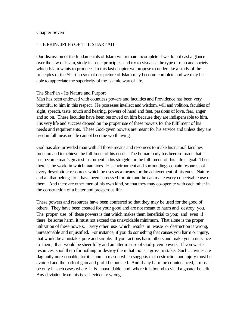## Chapter Seven

# THE PRINCIPLES OF THE SHARI'AH

Our discussion of the fundamentals of Islam will remain incomplete if we do not cast a glance over the law of Islam, study its basic principles, and try to visualise the type of man and society which Islam wants to produce. In this last chapter we propose to undertake a study of the principles of the Shari'ah so that our picture of Islam may become complete and we may be able to appreciate the superiority of the Islamic way of life.

## The Shari'ah - Its Nature and Purport

Man has been endowed with countless powers and faculties and Providence has been very bountiful to him in this respect. He possesses intellect and wisdom, will and volition, faculties of sight, speech, taste, touch and hearing, powers of hand and feet, passions of love, fear, anger and so on. These faculties have been bestowed on him because they are indispensable to him. His very life and success depend on the proper use of these powers for the fulfilment of his needs and requirements. These God-given powers are meant for his service and unless they are used in full measure life cannot become worth living.

God has also provided man with all those means and resources to make his natural faculties function and to achieve the fulfilment of his needs. The human body has been so made that it has become man's greatest instrument in his struggle for the fulfilment of his life's goal. Then there is the world in which man lives. His environment and surroundings contain resources of every description: resources which he uses as a means for the achievement of his ends. Nature and all that belongs to it have been harnessed for him and he can make every conceivable use of them. And there are other men of his own kind, so that they may co-operate with each other in the construction of a better and prosperous life.

These powers and resources have been conferred so that they may be used for the good of others. They have been created for your good and are not meant to harm and destroy you. The proper use of these powers is that which makes them beneficial to you; and even if there be some harm, it must not exceed the unavoidable minimum. That alone is the proper utilisation of these powers. Every other use which results in waste or destruction is wrong, unreasonable and unjustified. For instance, if you do something that causes you harm or injury, that would be a mistake, pure and simple. If your actions harm others and make you a nuisance to them, that would be sheer folly and an utter misuse of God-given powers. If you waste resources, spoil them for nothing or destroy them that too is a gross mistake. Such activities are flagrantly unreasonable, for it is human reason which suggests that destruction and injury must be avoided and the path of gain and profit be pursued. And if any harm be countenanced, it must be only in such cases where it is unavoidable and where it is bound to yield a greater benefit. Any deviation from this is self-evidently wrong.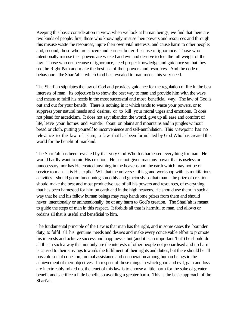Keeping this basic consideration in view, when we look at human beings, we find that there are two kinds of people: first, those who knowingly misuse their powers and resources and through this misuse waste the resources, injure their own vital interests, and cause harm to other people; and, second, those who are sincere and earnest but err because of ignorance. Those who intentionally misuse their powers are wicked and evil and deserve to feel the full weight of the law. Those who err because of ignorance, need proper knowledge and guidance so that they see the Right Path and make the best use of their powers and resources. And the code of behaviour - the Shari'ah - which God has revealed to man meets this very need.

The Shari'ah stipulates the law of God and provides guidance for the regulation of life in the best interests of man. Its objective is to show the best way to man and provide him with the ways and means to fulfil his needs in the most successful and most beneficial way. The law of God is out and out for your benefit. There is nothing in it which tends to waste your powers, or to suppress your natural needs and desires, or to kill your moral urges and emotions. It does not plead for asceticism. It does not say: abandon the world, give up all ease and comfort of life, leave your homes and wander about on plains and mountains and in jungles without bread or cloth, putting yourself to inconvenience and self-annihilation. This viewpoint has no relevance to the law of Islam, a law that has been formulated by God Who has created this world for the benefit of mankind.

The Shari'ah has been revealed by that very God Who has harnessed everything for man. He would hardly want to ruin His creation. He has not given man any power that is useless or unnecessary, nor has He created anything in the heavens and the earth which may not be of service to man. It is His explicit Will that the universe - this grand workshop with its multifarious activities - should go on functioning smoothly and graciously so that man - the prize of creation should make the best and most productive use of all his powers and resources, of everything that has been harnessed for him on earth and in the high heavens. He should use them in such a way that he and his fellow human beings may reap handsome prizes from them and should never, intentionally or unintentionally, be of any harm to God's creation. The Shari'ah is meant to guide the steps of man in this respect. It forbids all that is harmful to man, and allows or ordains all that is useful and beneficial to him.

The fundamental principle of the Law is that man has the right, and in some cases the bounden duty, to fulfil all his genuine needs and desires and make every conceivable effort to promote his interests and achieve success and happiness - but (and it is an important 'but') he should do all this in such a way that not only are the interests of other people not jeopardised and no harm is caused to their strivings towards the fulfilment of their rights and duties, but there should be all possible social cohesion, mutual assistance and co-operation among human beings in the achievement of their objectives. In respect of those things in which good and evil, gain and loss are inextricably mixed up, the tenet of this law is to choose a little harm for the sake of greater benefit and sacrifice a little benefit, so avoiding a greater harm. This is the basic approach of the Shari'ah.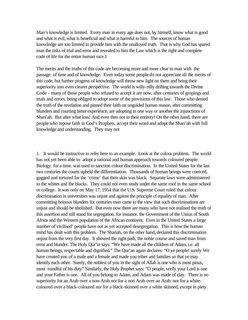Man's knowledge is limited. Every man in every age does not, by himself, know what is good and what is evil, what is beneficial and what is harmful to him. The sources of human knowledge are too limited to provide him with the unalloyed truth. That is why God has spared man the risks of trial and error and revealed to him the Law which is the right and complete code of life for the entire human race.1

The merits and the truths of this code are becoming more and more clear to man with the passage of time and of knowledge. Even today some people do not appreciate all the merits of this code, but further progress of knowledge will throw new light on them and bring their superiority into even clearer perspective. The world is willy-nilly drifting towards the Divine Code - many of those people who refused to accept it are now, after centuries of gropings and trials and errors, being obliged to adopt some of the provisions of this law. Those who denied the truth of the revelation and pinned their faith on unguided human reason, after committing blunders and courting bitter experience, are adopting in one way or another the injunctions of Shari'ah. But after what loss! And even then not in their entirety! On the other hand, there are people who repose faith in God's Prophets, accept their word and adopt the Shari'ah with full knowledge and understanding. They may not

1. It would be instructive to refer here to an example. Look at the colour problem. The world has not yet been able to adopt a rational and human approach towards coloured people. Biology. for a time. was used to sanction colour discrimination. In the United States for the last two centuries the courts upheld the differentiation. Thousands of human beings were coerced, gagged and tortured for the 'crime' that their skin was black. Separate laws were administered to the whites and the blacks. They could not even study under the same roof in the same school or college. It was only on May 17, 1954 that the U.S. Supreme Court ruled that colour discrimination in universities was unjust and against the principle cf equality of man. After committing heinous blunders for centuries man came to the view that such discriminations are unjust and should be abolished. But even now there are many who have not realised the truth of this assertion and still stand for segregation, for instance. the Government of the Union of South Africa and the Western population of the African continent. Even in the United States a large number of'civilised' people have not as yet accepted desegregation. This is how the human mind has dealt with this problem. The Shariah, on the other hand, declared this discrimination unjust from the very first day. It showed the right path, the noble course and saved man from error and blunder. The Holy Qur'in says: "We have made all the children of Adam, i.e. all human beings, respectable and dignified." The Qur'an again declares: "O ye people! surely We have created you of a male and a female and made you tribes and families so that ye may identify each other. Surely, the noblest of you in the sight of Allah is one who is most pious, most mindful of his duty" Similarly, the Holy Prophet says: "O people, verily your Lord is one and your Father is one. All of you belong to Adam, and Adam was made of clay. There is no superiority for an Arab over a non-Arab nor for a non Arab over an Arab: nor for a whitecoloured over a black-coloured nor for a black-skinned over a white skinned, except in piety.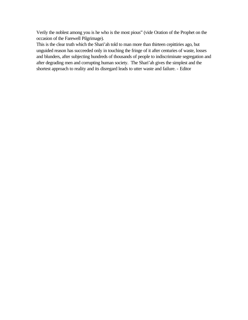Verily the noblest among you is he who is the most pious" (vide Oration of the Prophet on the occasion of the Farewell Pilgrimage).

This is the clear truth which the Shari'ah told to man more than thirteen cepittiries ago, but unguided reason has succeeded only in touching the fringe of it after centuries of waste, losses and blunders, after subjecting hundreds of thousands of people to indiscriminate segregation and after degrading men and corrupting human society. The Shari'ah gives the simplest and the shortest approach to reality and its disregard leads to utter waste and failure. - Editor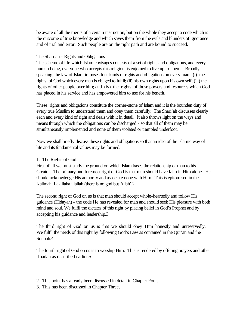be aware of all the merits of a certain instruction, but on the whole they accept a code which is the outcome of true knowledge and which saves them from the evils and blunders of ignorance and of trial and error. Such people are on the right path and are bound to succeed.

## The Shari'ah - Rights and Obligations

The scheme of life which Islam envisages consists of a set of rights and obligations, and every human being, everyone who accepts this religion, is enjoined to live up to them. Broadly speaking, the law of Islam imposes four kinds of rights and obligations on every man: (i) the rights of God which every man is obliged to fulfil; (ii) his own rights upon his own self; (iii) the rights of other people over him; and (iv) the rights of those powers and resources which God has placed in his service and has empowered him to use for his benefit.

These rights and obligations constitute the corner-stone of Islam and it is the bounden duty of every true Muslim to understand them and obey them carefully. The Shari'ah discusses clearly each and every kind of right and deals with it in detail. It also throws light on the ways and means through which the obligations can be discharged - so that all of them may be simultaneously implemented and none of them violated or trampled underfoot.

Now we shall briefly discuss these rights and obligations so that an idea of the Islamic way of life and its fundamental values may be formed.

#### 1. The Rights of God

First of all we must study the ground on which Islam bases the relationship of man to his Creator. The primary and foremost right of God is that man should have faith in Him alone. He should acknowledge His authority and associate none with Him. This is epitomised in the Kalimah: La- ilaha illallah (there is no god but Allah).2

The second right of God on us is that man should accept whole-heartedly and follow His guidance (Hidayah) - the code He has revealed for man and should seek His pleasure with both mind and soul. We fulfil the dictates of this right by placing belief in God's Prophet and by accepting his guidance and leadership.3

The third right of God on us is that we should obey Him honestly and unreservedly. We fulfil the needs of this right by following God's Law as contained in the Qur'an and the Sunnah.4

The fourth right of God on us is to worship Him. This is rendered by offering prayers and other 'Ibadah as described earlier.5

- 2. This point has already been discussed in detail in Chapter Four.
- 3. This has been discussed in Chapter Three,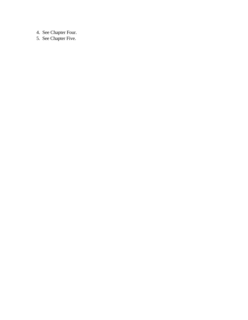- 4. See Chapter Four.
- 5. See Chapter Five.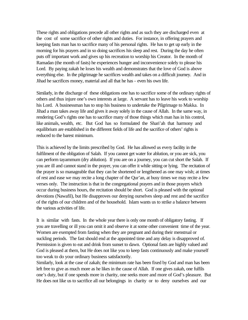These rights and obligations precede all other rights and as such they are discharged even at the cost of some sacrifice of other rights and duties. For instance, in offering prayers and keeping fasts man has to sacrifice many of his personal rights. He has to get up early in the morning for his prayers and in so doing sacrifices his sleep and rest. During the day he often puts off important work and gives up his recreation to worship his Creator. In the month of Ramadan (the month of fasts) he experiences hunger and inconvenience solely to please his Lord. By paying zakah he loses his wealth and demonstrates that the love of God is above everything else. In the pilgrimage he sacrifices wealth and takes on a difficult journey. And in Jihad he sacrifices money, material and all that he has - even his own life.

Similarly, in the discharge of these obligations one has to sacrifice some of the ordinary rights of others and thus injure one's own interests at large. A servant has to leave his work to worship his Lord. A businessman has to stop his business to undertake the Pilgrimage to Makka. In Jihad a man takes away life and gives it away solely in the cause of Allah. In the same way, in rendering God's rights one has to sacrifice many of those things which man has in his control, like animals, wealth, etc. But God has so formulated the Shari'ah that harmony and equilibrium are established in the different fields of life and the sacrifice of others' rights is reduced to the barest minimum.

This is achieved by the limits prescribed by God. He has allowed us every facility in the fulfilment of the obligation of Salah. If you cannot get water for ablution, or you are sick, you can perform tayammum (dry ablution). If you are on a journey, you can cut short the Salah. If you are ill and cannot stand in the prayer, you can offer it while sitting or lying. The recitation of the prayer is so manageable that they can be shortened or lengthened as one may wish; at times of rest and ease we may recite a long chapter of the Qur'an, at busy times we may recite a few verses only. The instruction is that in the congregational prayers and in those prayers which occur during business hours, the recitation should be short. God is pleased with the optional devotions (Nawafil), but He disapproves our denying ourselves sleep and rest and the sacrifice of the rights of our children and of the household. Islam wants us to strike a balance between the various activities of life.

It is similar with fasts. In the whole year there is only one month of obligatory fasting. If you are travelling or ill you can omit it and observe it at some other convenient time of the year. Women are exempted from fasting when they are pregnant and during their menstrual or suckling periods. The fast should end at the appointed time and any delay is disapproved of. Permission is given to eat and drink from sunset to dawn. Optional fasts are highly valued and God is pleased at them, but He does not like you to keep fasts continuously and make yourself too weak to do your ordinary business satisfactorily.

Similarly, look at the case of zakah; the minimum rate has been fixed by God and man has been left free to give as much more as he likes in the cause of Allah. If one gives zakah, one fulfils one's duty, but if one spends more in charity, one seeks more and more of God's pleasure. But He does not like us to sacrifice all our belongings in charity or to deny ourselves and our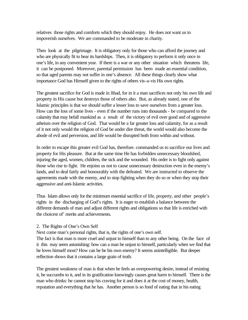relatives those rights and comforts which they should enjoy. He does not want us to impoverish ourselves. We are commanded to be moderate in charity.

Then look at the pilgrimage. It is obligatory only for those who can afford the journey and who are physically fit to bear its hardships. Then, it is obligatory to perform it only once in one's life, in any convenient year. If there is a war or any other situation which threatens life, it can be postponed. Moreover, parental permission has been made an essential condition, so that aged parents may not suffer in one's absence. All these things clearly show what importance God has Himself given to the rights of others vis-a-vis His own rights.

The greatest sacrifice for God is made in Jihad, for in it a man sacrifices not only his own life and property in His cause but destroys those of others also. But, as already stated, one of the Islamic principles is that we should suffer a lesser loss to save ourselves from a greater loss. How can the loss of some lives - even if the number runs into thousands - be compared to the calamity that may befall mankind as a result of the victory of evil over good and of aggressive atheism over the religion of God. That would be a far greater loss and calamity, for as a result of it not only would the religion of God be under dire threat, the world would also become the abode of evil and perversion, and life would be disrupted both from within and without.

In order to escape this greater evil God has, therefore. commanded us to sacrifice our lives and property for His pleasure. But at the same time He has forbidden unnecessary bloodshed, injuring the aged, women, children, the sick and the wounded. His order is to fight only against those who rise to fight. He enjoins us not to cause unnecessary destruction even in the enemy's lands, and to deal fairly and honourably with the defeated. We are instructed to observe the agreements made with the enemy, and to stop fighting when they do so or when they stop their aggressive and anti-Islamic activities.

Thus Islam allows only for the minimum essential sacrifice of life, property, and other people's rights in the discharging of God's rights. It is eager to establish a balance between the different demands of man and adjust different rights and obligations so that life is enriched with the choicest of' merits and achievements.

#### 2. The Rights of One's Own Self

Next come man's personal rights, that is, the rights of one's own self. The fact is that man is more cruel and unjust to himself than to any other being. On the face of it this may seem astonishing: how can a man be unjust to himself, particularly when we find that he loves himself most? How can he be his own enemy? It seems unintelligible. But deeper reflection shows that it contains a large grain of truth.

The greatest weakness of man is that when he feels an overpowering desire, instead of resisting it, he succumbs to it, and in its gratification knowingly causes great harm to himself. There is the man who drinks: he cannot stop his craving for it and does it at the cost of money, health, reputation and everything that he has. Another person is so fond of eating that in his eating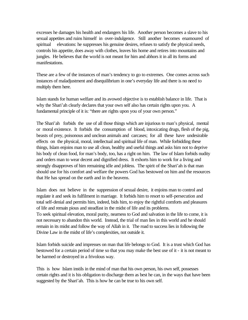excesses he damages his health and endangers his life. Another person becomes a slave to his sexual appetites and ruins himself in over-indulgence. Still another becomes enamoured of spiritual elevations: he suppresses his genuine desires, refuses to satisfy the physical needs, controls his appetite, does away with clothes, leaves his home and retires into mountains and jungles. He believes that the world is not meant for him and abhors it in all its forms and manifestations.

These are a few of the instances of man's tendency to go to extremes. One comes across such instances of maladjustment and disequilibrium in one's everyday life and there is no need to multiply them here.

Islam stands for human welfare and its avowed objective is to establish balance in life. That is why the Shari'ah clearly declares that your own self also has certain rights upon you. A fundamental principle of it is: "there are rights upon you of your own person."

The Shari'ah forbids the use of all those things which are injurious to man's physical, mental or moral existence. It forbids the consumption of blood, intoxicating drugs, flesh of the pig, beasts of prey, poisonous and unclean animals and carcases; for all these have undesirable effects on the physical, moral, intellectual and spiritual life of man. While forbidding these things, Islam enjoins man to use all clean, healthy and useful things and asks him not to deprive his body of clean food, for man's body, too, has a right on him. The law of Islam forbids nudity and orders man to wear decent and dignified dress. It exhorts him to work for a living and strongly disapproves of him remaining idle and jobless. The spirit of the Shari'ah is that man should use for his comfort and welfare the powers God has bestowed on him and the resources that He has spread on the earth and in the heavens.

Islam does not believe in the suppression of sexual desire, it enjoins man to control and regulate it and seek its fulfilment in marriage. It forbids him to resort to self-persecution and total self-denial and permits him, indeed, bids him, to enjoy the rightful comforts and pleasures of life and remain pious and steadfast in the midst of life and its problems. To seek spiritual elevation, moral purity, nearness to God and salvation in the life to come, it is not necessary to abandon this world. Instead, the trial of man lies in this world and he should remain in its midst and follow the way of Allah in it. The road to success lies in following the Divine Law in the midst of life's complexities, not outside it.

Islam forbids suicide and impresses on man that life belongs to God. It is a trust which God has bestowed for a certain period of time so that you may make the best use of it - it is not meant to be harmed or destroyed in a frivolous way.

This is how Islam instils in the mind of man that his own person, his own self, possesses certain rights and it is his obligation to discharge them as best he can, in the ways that have been suggested by the Shari'ah. This is how he can be true to his own self.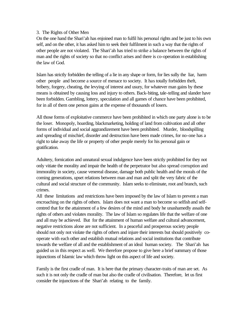# 3. The Rights of Other Men

On the one hand the Shari'ah has enjoined man to fulfil his personal rights and be just to his own self, and on the other, it has asked him to seek their fulfilment in such a way that the rights of other people are not violated. The Shari'ah has tried to strike a balance between the rights of man and the rights of society so that no conflict arises and there is co-operation in establishing the law of God.

Islam has strictly forbidden the telling of a lie in any shape or form, for lies sully the liar, harm other people and become a source of menace to society. It has totally forbidden theft, bribery, forgery, cheating, the levying of interest and usury, for whatever man gains by these means is obtained by causing loss and injury to others. Back-biting, tale-telling and slander have been forbidden. Gambling, lottery, speculation and all games of chance have been prohibited, for in all of them one person gains at the expense of thousands of losers.

All those forms of exploitative commerce have been prohibited in which one party alone is to be the loser. Monopoly, hoarding, blackmarketing, holding of land from cultivation and all other forms of individual and social aggrandizement have been prohibited. Murder, bloodspilling and spreading of mischief, disorder and destruction have been made crimes, for no-one has a right to take away the life or property of other people merely for his personal gain or gratification.

Adultery, fornication and unnatural sexual indulgence have been strictly prohibited for they not only vitiate the morality and impair the health of the perpetrator but also spread corruption and immorality in society, cause venereal disease, damage both public health and the morals of the coming generations, upset relations between man and man and split the very fabric of the cultural and social structure of the community. Islam seeks to eliminate, root and branch, such crimes.

All these limitations and restrictions have been imposed by the law of Islam to prevent a man encroaching on the rights of others. Islam does not want a man to become so selfish and selfcentred that for the attainment of a few desires of the mind and body he unashamedly assails the rights of others and violates morality. The law of Islam so regulates life that the welfare of one and all may be achieved. But for the attainment of human welfare and cultural advancement, negative restrictions alone are not sufficient. In a peaceful and prosperous society people should not only not violate the rights of others and injure their interests but should positively cooperate with each other and establish mutual relations and social institutions that contribute towards the welfare of all and the establishment of an ideal human society. The Shari'ah has guided us in this respect as well. We therefore propose to give here a brief summary of those injunctions of Islamic law which throw light on this aspect of life and society.

Family is the first cradle of man. It is here that the primary character-traits of man are set. As such it is not only the cradle of man but also the cradle of civilisation. Therefore, let us first consider the injunctions of the Shari'ah relating to the family.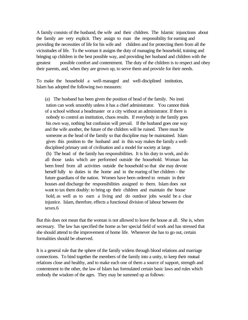A family consists of the husband, the wife and their children. The Islamic injunctions about the family are very explicit. They assign to man the responsibility for earning and providing the necessities of life for his wife and children and for protecting them from all the vicissitudes of life. To the woman it assigns the duty of managing the household, training and bringing up children in the best possible way, and providing her husband and children with the greatest possible comfort and contentment. The duty of the children is to respect and obey their parents, and, when they are grown up, to serve them and provide for their needs.

To make the household a well-managed and well-disciplined institution, Islam has adopted the following two measures:

 (a) The husband has been given the position of head of the family. No insti tution can work smoothly unless it has a chief administrator. You cannot think of a school without a headmaster or a city without an administrator. If there is nobody to control an institution, chaos results. If everybody in the family goes his own way, nothing but confusion will prevail. If the husband goes one way and the wife another, the future of the children will be ruined. There must be someone as the head of the family so that discipline may be maintained. Islam gives this position to the husband and in this way makes the family a well disciplined primary unit of civilisation and a model for society at large. (b) The head of the family has responsibilities. It is his duty to work, and do all those tasks which are performed outside the household. Woman has been freed from all activities outside the household so that she may devote herself fully to duties in the home and in the rearing of her children - the future guardians of the nation. Women have been ordered to remain in their houses and discharge the responsibilities assigned to them. Islam does not want to tax them doubly: to bring up their children and maintain the house hold, as well as to earn a living and do outdoor jobs would be a clear injustice. Islam, therefore, effects a functional division of labour between the sexes.6

But this does not mean that the woman is not allowed to leave the house at all. She is, when necessary. The law has specified the home as her special field of work and has stressed that she should attend to the improvement of home life. Whenever she has to go out, certain formalities should be observed.

It is a general rule that the sphere of the family widens through blood relations and marriage connections. To bind together the members of the family into a unity, to keep their mutual relations close and healthy, and to make each one of them a source of support, strength and contentment to the other, the law of Islam has formulated certain basic laws and rules which embody the wisdom of the ages. They may be summed up as follows: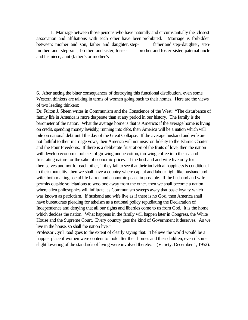I. Marriage between those persons who have naturally and circumstantially the closest association and affiliations with each other have been prohibited. Marriage is forbidden between: mother and son, father and daughter, step-<br>father and step-daughter, stepmother and step-son; brother and sister, foster-<br>brother and foster-sister, paternal uncle and his niece, aunt (father's or mother's

6. After tasting the bitter consequences of destroying this functional distribution, even some Western thinkers are talking in terms of women going back to their homes. Here are the views of two leading thinkers:

Dr. Fulton J. Sheen writes in Communism and the Conscience of the West: "The disturbance of family life in America is more desperate than at any period in our history. The family is the barometer of the nation. What the average home is that is America: if the average home is living on credit, spending money lavishly, running into debt, then America will be a nation which will pile on national debt until the day of the Great Collapse. If the average husband and wife are not faithful to their marriage vows, then America will not insist on fidelity to the Islamic Charter and the Four Freedoms. If there is a deliberate frustration of the fruits of love, then the nation will develop economic policies of growing undue cotton, throwing coffee into the sea and frustrating nature for the sake of economic prices. If the husband and wife live only for themselves and not for each other, if they fail to see that their individual happiness is conditional to their mutuality, then we shall have a country where capital and labour fight like husband and wife, both making social life barren and economic peace impossible. If the husband and wife permits outside solicitations to woo one away from the other, then we shall become a nation where alien philosophies will infiltrate, as Communism sweeps away that basic loyalty which was known as patriotism. If husband and wife live as if there is no God, then America shall have bureaucrats pleading for atheism as a national policy repudiating the Declaration of Independence and denying that all our rights and liberties come to us from God. It is the home which decides the nation. What happens in the family will happen later in Congress, the White House and the Supreme Court. Every country gets the kind of Government it deserves. As we live in the house, so shall the nation live."

Professor Cyril Joad goes to the extent of clearly saying that: "I believe the world would be a happier place if women were content to look after their homes and their children, even if some slight lowering of the standards of living were involved thereby." (Variety, December 1, 1952).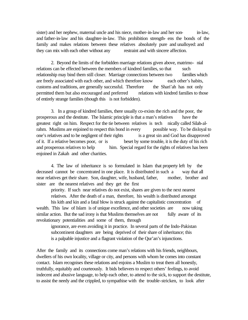sister) and her nephew, maternal uncle and his niece, mother-in-law and her son- in-law, and father-in-law and his daughter-in-law. This prohibition strength- ens the bonds of the family and makes relations between these relatives absolutely pure and unalloyed: and they can mix with each other without any restraint and with sincere affection.

2. Beyond the limits of the forbidden marriage relations given above, matrimo- nial relations can be effected between the members of kindred families, so that such relationship may bind them still closer. Marriage connections between two families which are freely associated with each other, and which therefore know each other's habits, customs and traditions, are generally successful. Therefore the Shari'ah has not only permitted them but also encouraged and preferred relations with kindred families to those of entirely strange families (though this is not forbidden).

3. In a group of kindred families, there usually co-exists the rich and the poor, the prosperous and the destitute. The Islamic principle is that a man's relatives have the greatest right on him. Respect for the tie between relatives is tech nically called Silah-alrahm. Muslims are enjoined to respect this bond in every possible way. To be disloyal to one's relatives and to be negligent of their rights is a great sin and God has disapproved of it. If a relative becomes poor, or is beset by some trouble, it is the duty of his rich and prosperous relatives to help him. Special regard for the rights of relatives has been enjoined in Zakah and other charities.

4. The law of inheritance is so formulated in Islam that property left by the deceased cannot be concentrated in one place. It is distributed in such a way that all near relatives get their share. Son, daughter, wife, husband, father, mother, brother and sister are the nearest relatives and they get the first

priority. If such near relatives do not exist, shares are given to the next nearest relatives. After the death of a man, therefore, his wealth is distributed amongst

his kith and kin and a fatal blow is struck against the capitalistic concentration of wealth. This law of Islam is of unique excellence, and other societies are now taking similar action. But the sad irony is that Muslims themselves are not fully aware of its revolutionary potentialities and some of them, through

ignorance, are even avoiding it in practice. In several parts of the Indo-Pakistan subcontinent daughters are being deprived of their share of inheritance; this is a palpable injustice and a flagrant violation of the Qur'an's injunctions.

After the family and its connections come man's relations with his friends, neighbours, dwellers of his own locality, village or city, and persons with whom he comes into constant contact. Islam recognises these relations and enjoins a Muslim to treat them all honestly, truthfully, equitably and courteously. It bids believers to respect others' feelings, to avoid indecent and abusive language, to help each other, to attend to the sick, to support the destitute, to assist the needy and the crippled, to sympathise with the trouble-stricken, to look after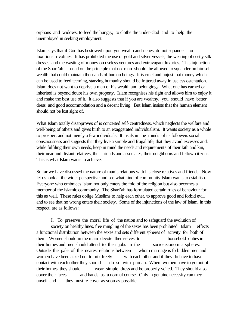orphans and widows, to feed the hungry, to clothe the under-clad and to help the unemployed in seeking employment.

Islam says that if God has bestowed upon you wealth and riches, do not squander it on luxurious frivolities. It has prohibited the use of gold and silver vessels, the wearing of costly silk dresses, and the wasting of money on useless ventures and extravagant luxuries. This injunction of the Shari'ah is based on the principle that no man should be allowed to squander on himself wealth that could maintain thousands of human beings. It is cruel and unjust that money which can be used to feed teeming, starving humanity should be frittered away in useless ostentation. Islam does not want to deprive a man of his wealth and belongings. What one has earned or inherited is beyond doubt his own property. Islam recognises his right and allows him to enjoy it and make the best use of it. It also suggests that if you are wealthy, you should have better dress and good accommodation and a decent living. But Islam insists that the human element should not be lost sight of.

What Islam totally disapproves of is conceited self-centredness, which neglects the welfare and well-being of others and gives birth to an exaggerated individualism. It wants society as a whole to prosper, and not merely a few individuals. It instils in the minds of its followers social consciousness and suggests that they live a simple and frugal life, that they avoid excesses and, while fulfiling their own needs, keep in mind the needs and requirements of their kith and kin, their near and distant relatives, their friends and associates, their neighbours and fellow-citizens. This is what Islam wants to achieve.

So far we have discussed the nature of man's relations with his close relatives and friends. Now let us look at the wider perspective and see what kind of community Islam wants to establish. Everyone who embraces Islam not only enters the fold of the religion but also becomes a member of the Islamic community. The Shari'ah has formulated certain rules of behaviour for this as well. These rules oblige Muslims to help each other, to approve good and forbid evil, and to see that no wrong enters their society. Some of the injunctions of the law of Islam, in this respect, are as follows:

I. To preserve the moral life of the nation and to safeguard the evolution of society on healthy lines, free mingling of the sexes has been prohibited. Islam effects a functional distribution between the sexes and sets different spheres of activity for both of them. Women should in the main devote themselves to household duties in their homes and men should attend to their jobs in the socio-economic spheres. Outside the pale of the nearest relations between whom marriage is forbidden men and women have been asked not to mix freely with each other and if they do have to have contact with each other they should do so with purdah. When women have to go out of their homes, they should wear simple dress and be properly veiled. They should also cover their faces and hands as a normal course. Only in genuine necessity can they unveil, and they must re-cover as soon as possible.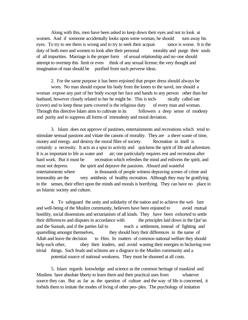Along with this, men have been asked to keep down their eyes and not to look at women. And if someone accidentally looks upon some woman, he should turn away his eyes. To try to see them is wrong and to try to seek their acquai- tance is worse. It is the duty of both men and women to look after their personal morality and purge their souls of all impurities. Marriage is the proper form of sexual relationship and no-one should attempt to overstep this limit or even think of any sexual license; the very thought and imagination of man should be purified from such perverse ideas.

2. For the same purpose it has been enjoined that proper dress should always be

worn. No man should expose his body from the knees to the navel, nor should a woman expose any part of her body except her face and hands to any person other than her husband, however closely related to her he might be. This is tech- nically called satr (cover) and to keep these parts covered is the religious duty of every man and woman. Through this directive Islam aims to cultivate in its followers a deep sense of modesty and purity and to suppress all forms of immodesty and moral deviation.

3. Islam does not approve of pastimes, entertainments and recreations which tend to stimulate sensual passions and vitiate the canons of morality. They are a sheer waste of time, money and energy. and destroy the moral fibre of society. Recreation in itself is certainly a necessity. It acts as a spur to activity and quickens the spirit of life and adventure. It is as important to life as water and air; one particularly requires rest and recreation after hard work. But it must be recreation which refreshes the mind and enlivens the spirit, and must not depress the spirit and deprave the passions. Absurd and wasteful entertainments where in thousands of people witness depraving scenes of crime and immorality are the very antithesis of healthy recreation. Although they may be gratifying to the senses, their effect upon the minds and morals is horrifying. They can have no place in an Islamic society and culture.

4. To safeguard the unity and solidarity of the nation and to achieve the wel- fare and well-being of the Muslim community, believers have been enjoined to avoid mutual hostility, social dissensions and sectarianism of all kinds. They have been exhorted to settle their differences and disputes in accordance with the principles laid down in the Qur'an and the Sunnah, and if the parties fail to reach a settlement, instead of fighting and quarrelling amongst themselves, they should bury their differences in the name of Allah and leave the decision to Him. In matters of common national welfare they should help each other, obey their leaders, and avoid wasting their energies in bickering over trivial things. Such feuds and schisms are a disgrace to the Muslim community and a potential source of national weakness. They must be shunned at all costs.

5. Islam regards knowledge and science as the common heritage of mankind and Muslims have absolute liberty to learn them and their practical uses from whatever source they can. But as far as the question of culture and the way of life is concerned, it forbids them to imitate the modes of living of other peo- ples. The psychology of imitation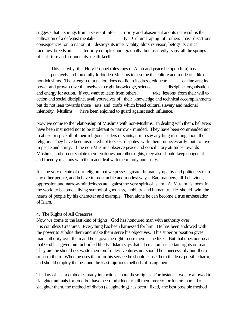suggests that it springs from a sense of infe- riority and abasement and its net result is the cultivation of a defeatist mentali- ty. Cultural aping of others has disastrous consequences on a nation; it destroys its inner vitality, blurs its vision, befogs its critical faculties, breeds an inferiority complex and gradually but assuredly saps all the springs of cul- ture and sounds its death-knell.

This is why the Holy Prophet (blessings of Allah and peace be upon him) has positively and forcefully forbidden Muslims to assume the culture and mode of life of non-Muslims. The strength of a nation does not lie in its dress, etiquette or fine arts; its power and growth owe themselves to right knowledge, science, discipline, organisation and energy for action. If you want to learn from others, take lessons from their will to action and social discipline, avail yourselves of their knowledge and technical accomplishments but do not lean towards those arts and crafts which breed cultural slavery and national inferiority. Muslims have been enjoined to guard against such influence.

Now we come to the relationship of Muslims with non-Muslims. In dealing with them, believers have been instructed not to be intolerant or narrow - minded. They have been commanded not to abuse or speak ill of their religious leaders or saints, nor to say anything insulting about their religion. They have been instructed not to seek disputes with them unnecessarily but to live in peace and amity. If the non-Muslims observe peace and conciliatory attitudes towards Muslims, and do not violate their territories and other rights, they also should keep congenial and friendly relations with them and deal with them fairly and justly.

It is the very dictate of our religion that we possess greater human sympathy and politeness than any other people, and behave in most noble and modest ways. Bad manners, ill-behaviour, oppression and narrow-mindedness are against the very spirit of Islam. A Muslim is born in the world to become a living symbol of goodness, nobility and humanity. He should win the hearts of people by his character and example. Then alone he can become a true ambassador of Islam.

# 4. The Rights of All Creatures

Now we come to the last kind of rights. God has honoured man with authority over His countless Creatures. Everything has been harnessed for him. He has been endowed with the power to subdue them and make them serve his objectives. This superior position gives man authority over them and he enjoys the right to use them as he likes. But that does not mean that God has given him unbridled liberty. Islam says that all creation has certain rights on man. They are: he should not waste them on fruitless ventures nor should he unnecessarily hurt them or harm them. When he uses them for his service he should cause them the least possible harm, and should employ the best and the least injurious methods of using them.

The law of Islam embodies many injunctions about these rights. For instance, we are allowed to slaughter animals for food but have been forbidden to kill them merely for fun or sport. To slaughter them, the method of dhabh (slaughtering) has been fixed, the best possible method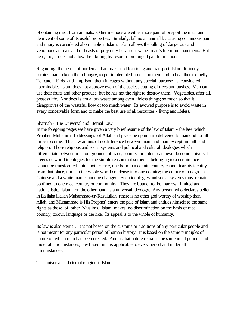of obtaining meat from animals. Other methods are either more painful or spoil the meat and deprive it of some of its useful properties. Similarly, killing an animal by causing continuous pain and injury is considered abominable in Islam. Islam allows the killing of dangerous and venomous animals and of beasts of prey only because it values man's life more than theirs. But here, too, it does not allow their killing by resort to prolonged painful methods.

Regarding the beasts of burden and animals used for riding and transport, Islam distinctly forbids man to keep them hungry, to put intolerable burdens on them and to beat them cruelly. To catch birds and imprison them in cages without any special purpose is considered abominable. Islam does not approve even of the useless cutting of trees and bushes. Man can use their fruits and other produce, but he has not the right to destroy them. Vegetables, after all, possess life. Nor does Islam allow waste among even lifeless things; so much so that it disapproves of the wasteful flow of too much water. Its avowed purpose is to avoid waste in every conceivable form and to make the best use of all resources - living and lifeless.

## Shari'ah - The Universal and Eternal Law

In the foregoing pages we have given a very brief resume of the law of Islam - the law which Prophet Muhammad (blessings of Allah and peace be upon him) delivered to mankind for all times to come. This law admits of no difference between man and man except in faith and religion. Those religious and social systems and political and cultural ideologies which differentiate between men on grounds of race, country or colour can never become universal creeds or world ideologies for the simple reason that someone belonging to a certain race cannot be transformed into another race, one born in a certain country cannot tear his identity from that place, nor can the whole world condense into one country; the colour of a negro, a Chinese and a white man cannot be changed. Such ideologies and social systems must remain confined to one race, country or community. They are bound to be narrow, limited and nationalistic. Islam, on the other hand, is a universal ideology. Any person who declares belief in La ilaha illallah Muhammad-ur-Rasulullah (there is no other god worthy of worship than Allah, and Muhammad is His Prophet) enters the pale of Islam and entitles himself to the same rights as those of other Muslims. Islam makes no discrimination on the basis of race, country, colour, language or the like. Its appeal is to the whole of humanity.

Its law is also eternal. It is not based on the customs or traditions of any particular people and is not meant for any particular period of human history. It is based on the same principles of nature on which man has been created. And as that nature remains the same in all periods and under all circumstances, law based on it is applicable to every period and under all circumstances.

This universal and eternal religion is Islam.